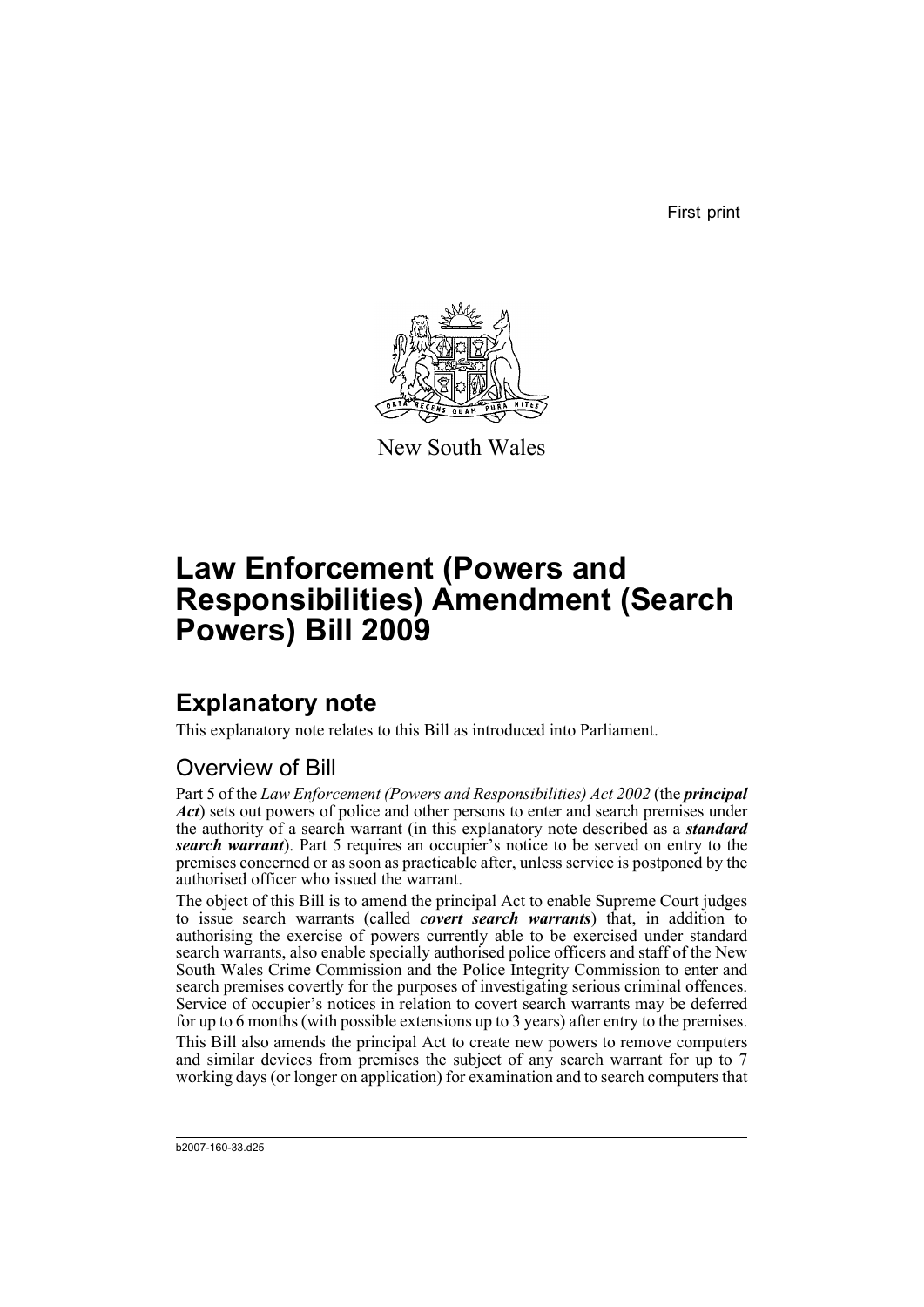First print



New South Wales

# **Law Enforcement (Powers and Responsibilities) Amendment (Search Powers) Bill 2009**

# **Explanatory note**

This explanatory note relates to this Bill as introduced into Parliament.

## Overview of Bill

Part 5 of the *Law Enforcement (Powers and Responsibilities) Act 2002* (the *principal Act*) sets out powers of police and other persons to enter and search premises under the authority of a search warrant (in this explanatory note described as a *standard search warrant*). Part 5 requires an occupier's notice to be served on entry to the premises concerned or as soon as practicable after, unless service is postponed by the authorised officer who issued the warrant.

The object of this Bill is to amend the principal Act to enable Supreme Court judges to issue search warrants (called *covert search warrants*) that, in addition to authorising the exercise of powers currently able to be exercised under standard search warrants, also enable specially authorised police officers and staff of the New South Wales Crime Commission and the Police Integrity Commission to enter and search premises covertly for the purposes of investigating serious criminal offences. Service of occupier's notices in relation to covert search warrants may be deferred for up to 6 months (with possible extensions up to 3 years) after entry to the premises.

This Bill also amends the principal Act to create new powers to remove computers and similar devices from premises the subject of any search warrant for up to 7 working days (or longer on application) for examination and to search computers that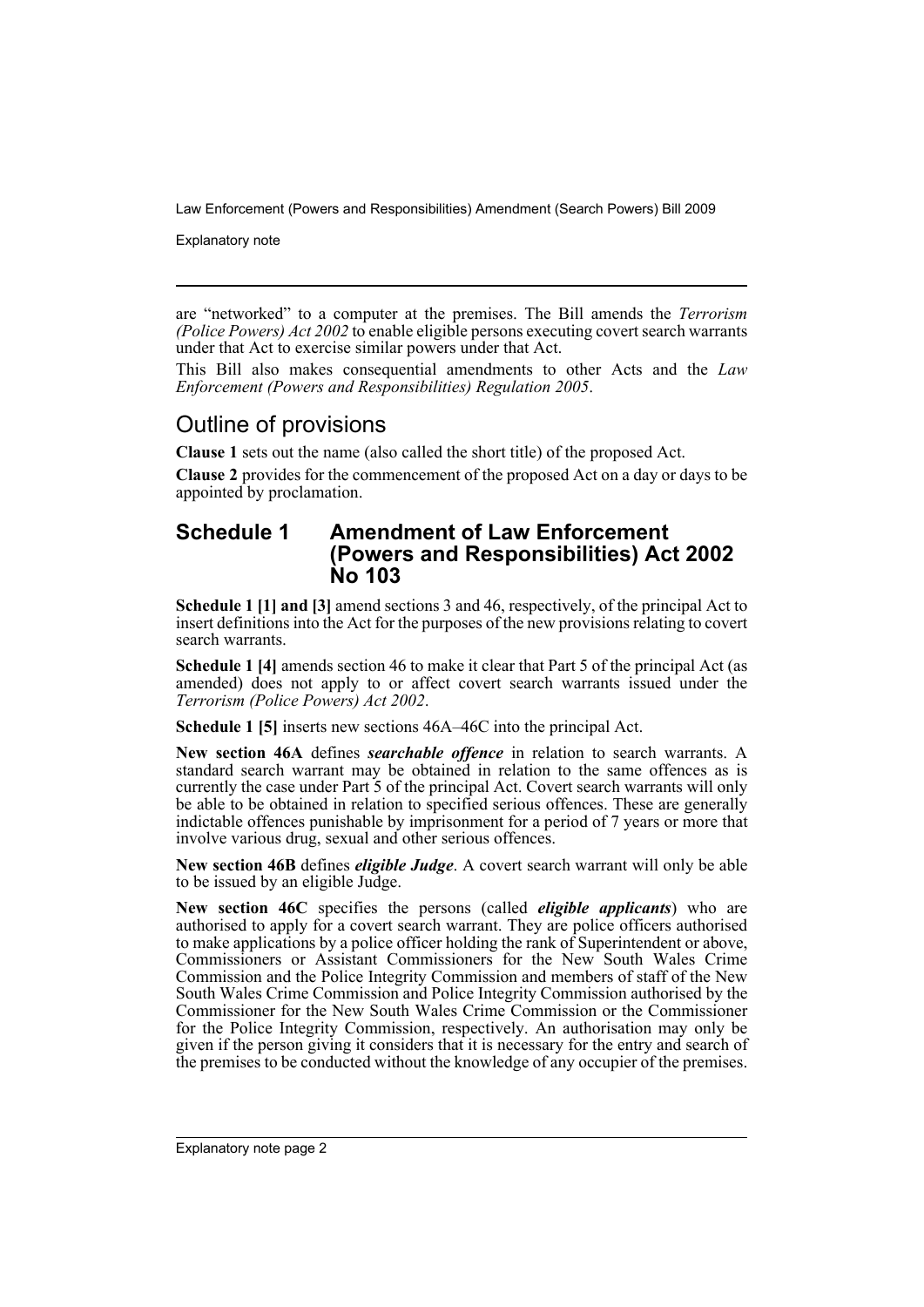Explanatory note

are "networked" to a computer at the premises. The Bill amends the *Terrorism (Police Powers) Act 2002* to enable eligible persons executing covert search warrants under that Act to exercise similar powers under that Act.

This Bill also makes consequential amendments to other Acts and the *Law Enforcement (Powers and Responsibilities) Regulation 2005*.

### Outline of provisions

**Clause 1** sets out the name (also called the short title) of the proposed Act.

**Clause 2** provides for the commencement of the proposed Act on a day or days to be appointed by proclamation.

### **Schedule 1 Amendment of Law Enforcement (Powers and Responsibilities) Act 2002 No 103**

**Schedule 1 [1] and [3]** amend sections 3 and 46, respectively, of the principal Act to insert definitions into the Act for the purposes of the new provisions relating to covert search warrants.

**Schedule 1 [4]** amends section 46 to make it clear that Part 5 of the principal Act (as amended) does not apply to or affect covert search warrants issued under the *Terrorism (Police Powers) Act 2002*.

**Schedule 1 [5]** inserts new sections 46A–46C into the principal Act.

**New section 46A** defines *searchable offence* in relation to search warrants. A standard search warrant may be obtained in relation to the same offences as is currently the case under Part 5 of the principal Act. Covert search warrants will only be able to be obtained in relation to specified serious offences. These are generally indictable offences punishable by imprisonment for a period of 7 years or more that involve various drug, sexual and other serious offences.

**New section 46B** defines *eligible Judge*. A covert search warrant will only be able to be issued by an eligible Judge.

**New section 46C** specifies the persons (called *eligible applicants*) who are authorised to apply for a covert search warrant. They are police officers authorised to make applications by a police officer holding the rank of Superintendent or above, Commissioners or Assistant Commissioners for the New South Wales Crime Commission and the Police Integrity Commission and members of staff of the New South Wales Crime Commission and Police Integrity Commission authorised by the Commissioner for the New South Wales Crime Commission or the Commissioner for the Police Integrity Commission, respectively. An authorisation may only be given if the person giving it considers that it is necessary for the entry and search of the premises to be conducted without the knowledge of any occupier of the premises.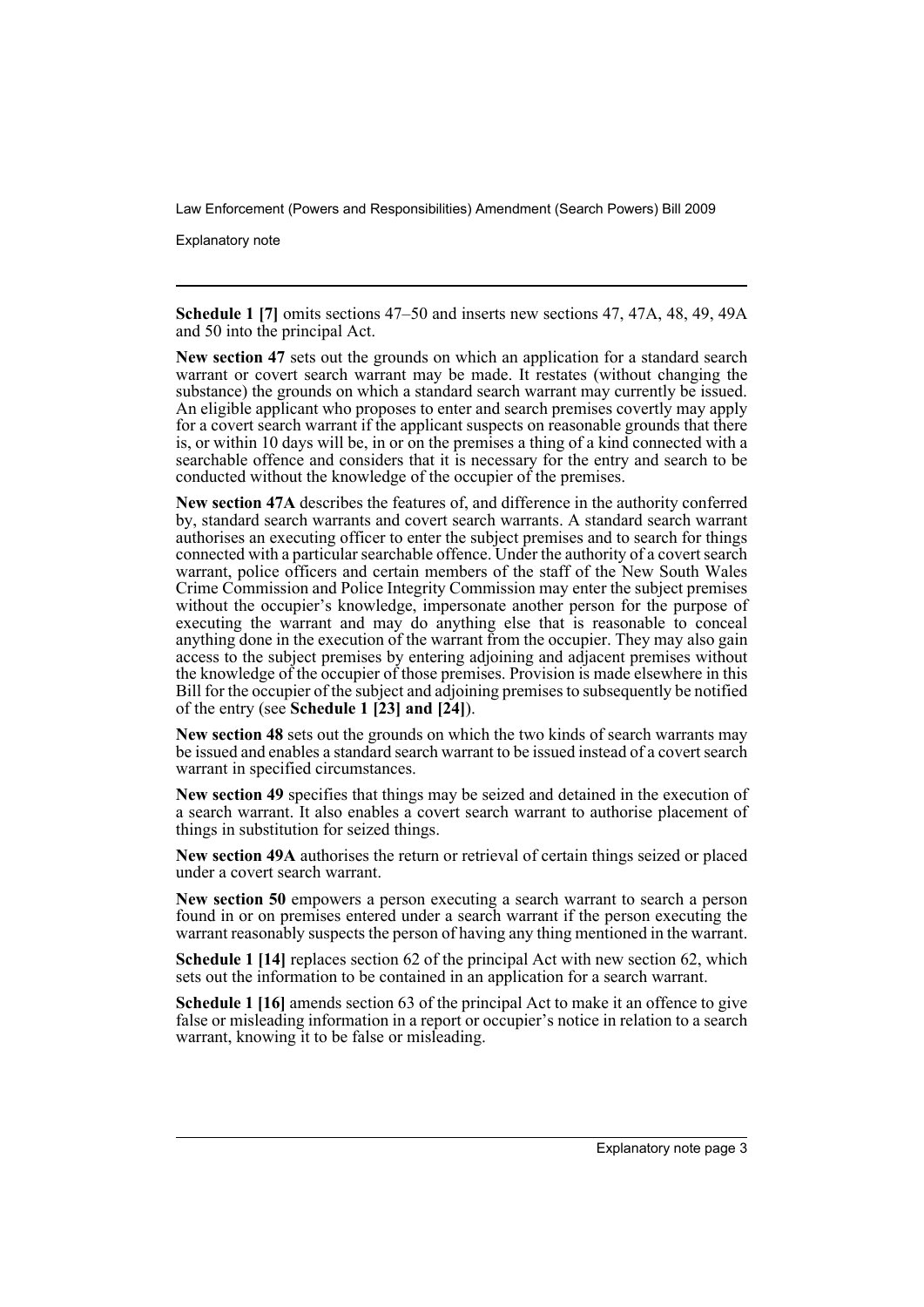Explanatory note

**Schedule 1 [7]** omits sections 47–50 and inserts new sections 47, 47A, 48, 49, 49A and 50 into the principal Act.

**New section 47** sets out the grounds on which an application for a standard search warrant or covert search warrant may be made. It restates (without changing the substance) the grounds on which a standard search warrant may currently be issued. An eligible applicant who proposes to enter and search premises covertly may apply for a covert search warrant if the applicant suspects on reasonable grounds that there is, or within 10 days will be, in or on the premises a thing of a kind connected with a searchable offence and considers that it is necessary for the entry and search to be conducted without the knowledge of the occupier of the premises.

**New section 47A** describes the features of, and difference in the authority conferred by, standard search warrants and covert search warrants. A standard search warrant authorises an executing officer to enter the subject premises and to search for things connected with a particular searchable offence. Under the authority of a covert search warrant, police officers and certain members of the staff of the New South Wales Crime Commission and Police Integrity Commission may enter the subject premises without the occupier's knowledge, impersonate another person for the purpose of executing the warrant and may do anything else that is reasonable to conceal anything done in the execution of the warrant from the occupier. They may also gain access to the subject premises by entering adjoining and adjacent premises without the knowledge of the occupier of those premises. Provision is made elsewhere in this Bill for the occupier of the subject and adjoining premises to subsequently be notified of the entry (see **Schedule 1 [23] and [24]**).

**New section 48** sets out the grounds on which the two kinds of search warrants may be issued and enables a standard search warrant to be issued instead of a covert search warrant in specified circumstances.

**New section 49** specifies that things may be seized and detained in the execution of a search warrant. It also enables a covert search warrant to authorise placement of things in substitution for seized things.

**New section 49A** authorises the return or retrieval of certain things seized or placed under a covert search warrant.

**New section 50** empowers a person executing a search warrant to search a person found in or on premises entered under a search warrant if the person executing the warrant reasonably suspects the person of having any thing mentioned in the warrant.

**Schedule 1 [14]** replaces section 62 of the principal Act with new section 62, which sets out the information to be contained in an application for a search warrant.

**Schedule 1** [16] amends section 63 of the principal Act to make it an offence to give false or misleading information in a report or occupier's notice in relation to a search warrant, knowing it to be false or misleading.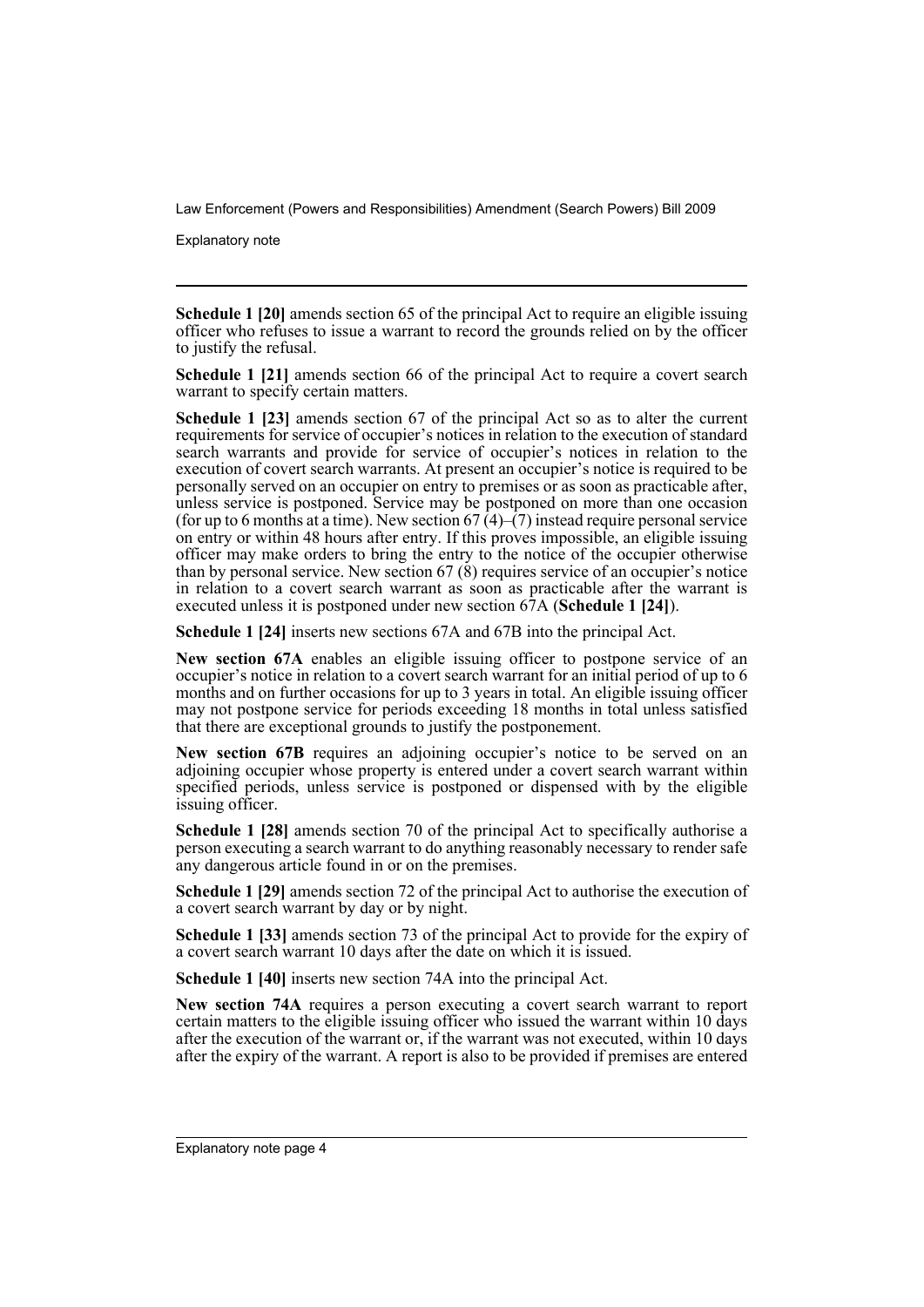Explanatory note

**Schedule 1 [20]** amends section 65 of the principal Act to require an eligible issuing officer who refuses to issue a warrant to record the grounds relied on by the officer to justify the refusal.

**Schedule 1 [21]** amends section 66 of the principal Act to require a covert search warrant to specify certain matters.

**Schedule 1 [23]** amends section 67 of the principal Act so as to alter the current requirements for service of occupier's notices in relation to the execution of standard search warrants and provide for service of occupier's notices in relation to the execution of covert search warrants. At present an occupier's notice is required to be personally served on an occupier on entry to premises or as soon as practicable after, unless service is postponed. Service may be postponed on more than one occasion (for up to 6 months at a time). New section  $67\,(4)-(7)$  instead require personal service on entry or within 48 hours after entry. If this proves impossible, an eligible issuing officer may make orders to bring the entry to the notice of the occupier otherwise than by personal service. New section  $67\,(8)$  requires service of an occupier's notice in relation to a covert search warrant as soon as practicable after the warrant is executed unless it is postponed under new section 67A (**Schedule 1 [24]**).

**Schedule 1 [24]** inserts new sections 67A and 67B into the principal Act.

**New section 67A** enables an eligible issuing officer to postpone service of an occupier's notice in relation to a covert search warrant for an initial period of up to 6 months and on further occasions for up to 3 years in total. An eligible issuing officer may not postpone service for periods exceeding 18 months in total unless satisfied that there are exceptional grounds to justify the postponement.

**New section 67B** requires an adjoining occupier's notice to be served on an adjoining occupier whose property is entered under a covert search warrant within specified periods, unless service is postponed or dispensed with by the eligible issuing officer.

**Schedule 1 [28]** amends section 70 of the principal Act to specifically authorise a person executing a search warrant to do anything reasonably necessary to render safe any dangerous article found in or on the premises.

**Schedule 1 [29]** amends section 72 of the principal Act to authorise the execution of a covert search warrant by day or by night.

**Schedule 1 [33]** amends section 73 of the principal Act to provide for the expiry of a covert search warrant 10 days after the date on which it is issued.

**Schedule 1 [40]** inserts new section 74A into the principal Act.

**New section 74A** requires a person executing a covert search warrant to report certain matters to the eligible issuing officer who issued the warrant within 10 days after the execution of the warrant or, if the warrant was not executed, within 10 days after the expiry of the warrant. A report is also to be provided if premises are entered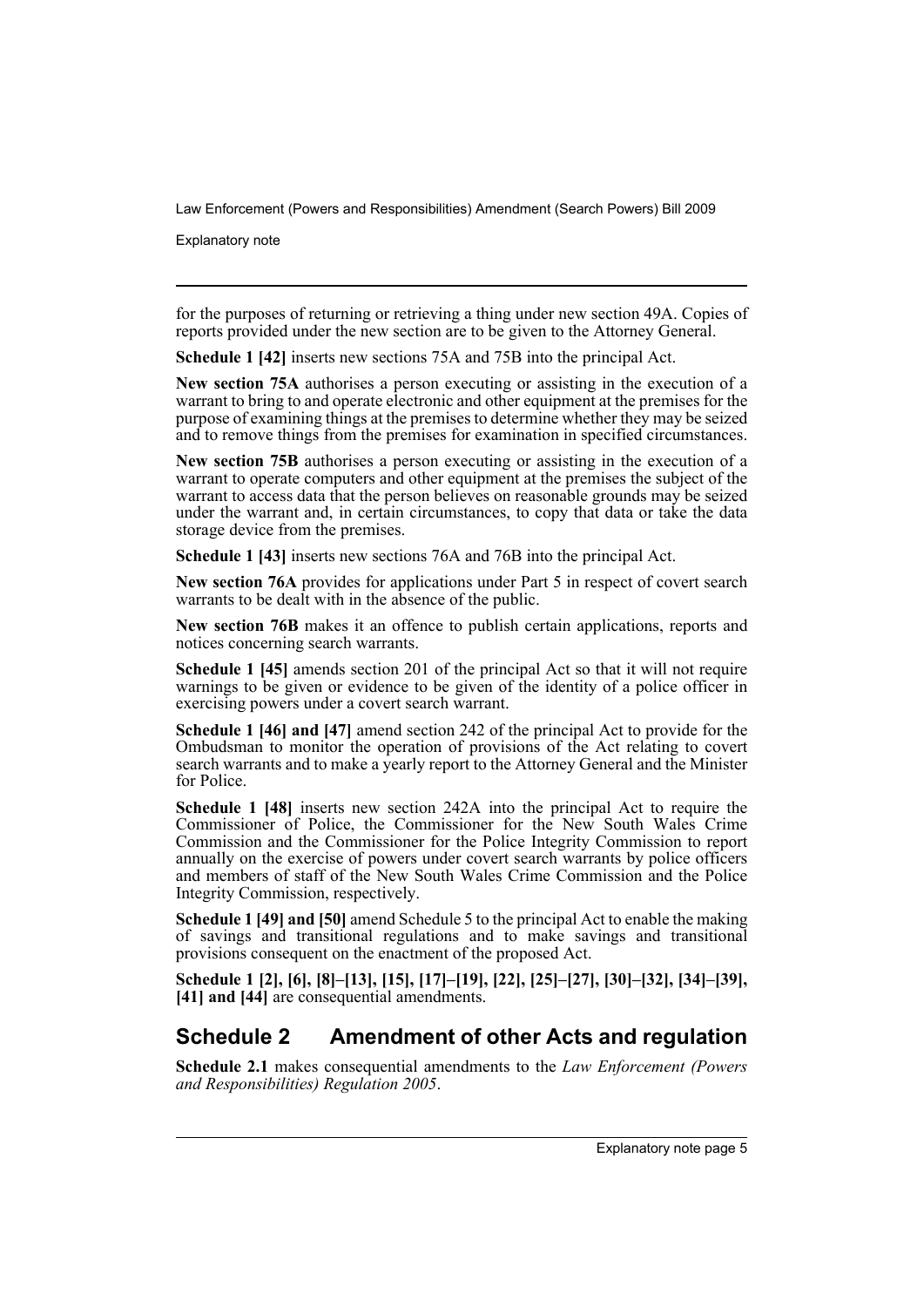Explanatory note

for the purposes of returning or retrieving a thing under new section 49A. Copies of reports provided under the new section are to be given to the Attorney General.

**Schedule 1 [42]** inserts new sections 75A and 75B into the principal Act.

**New section 75A** authorises a person executing or assisting in the execution of a warrant to bring to and operate electronic and other equipment at the premises for the purpose of examining things at the premises to determine whether they may be seized and to remove things from the premises for examination in specified circumstances.

**New section 75B** authorises a person executing or assisting in the execution of a warrant to operate computers and other equipment at the premises the subject of the warrant to access data that the person believes on reasonable grounds may be seized under the warrant and, in certain circumstances, to copy that data or take the data storage device from the premises.

**Schedule 1 [43]** inserts new sections 76A and 76B into the principal Act.

**New section 76A** provides for applications under Part 5 in respect of covert search warrants to be dealt with in the absence of the public.

**New section 76B** makes it an offence to publish certain applications, reports and notices concerning search warrants.

**Schedule 1 [45]** amends section 201 of the principal Act so that it will not require warnings to be given or evidence to be given of the identity of a police officer in exercising powers under a covert search warrant.

**Schedule 1 [46] and [47]** amend section 242 of the principal Act to provide for the Ombudsman to monitor the operation of provisions of the Act relating to covert search warrants and to make a yearly report to the Attorney General and the Minister for Police.

**Schedule 1 [48]** inserts new section 242A into the principal Act to require the Commissioner of Police, the Commissioner for the New South Wales Crime Commission and the Commissioner for the Police Integrity Commission to report annually on the exercise of powers under covert search warrants by police officers and members of staff of the New South Wales Crime Commission and the Police Integrity Commission, respectively.

**Schedule 1 [49] and [50]** amend Schedule 5 to the principal Act to enable the making of savings and transitional regulations and to make savings and transitional provisions consequent on the enactment of the proposed Act.

**Schedule 1 [2], [6], [8]–[13], [15], [17]–[19], [22], [25]–[27], [30]–[32], [34]–[39], [41] and [44]** are consequential amendments.

### **Schedule 2 Amendment of other Acts and regulation**

**Schedule 2.1** makes consequential amendments to the *Law Enforcement (Powers and Responsibilities) Regulation 2005*.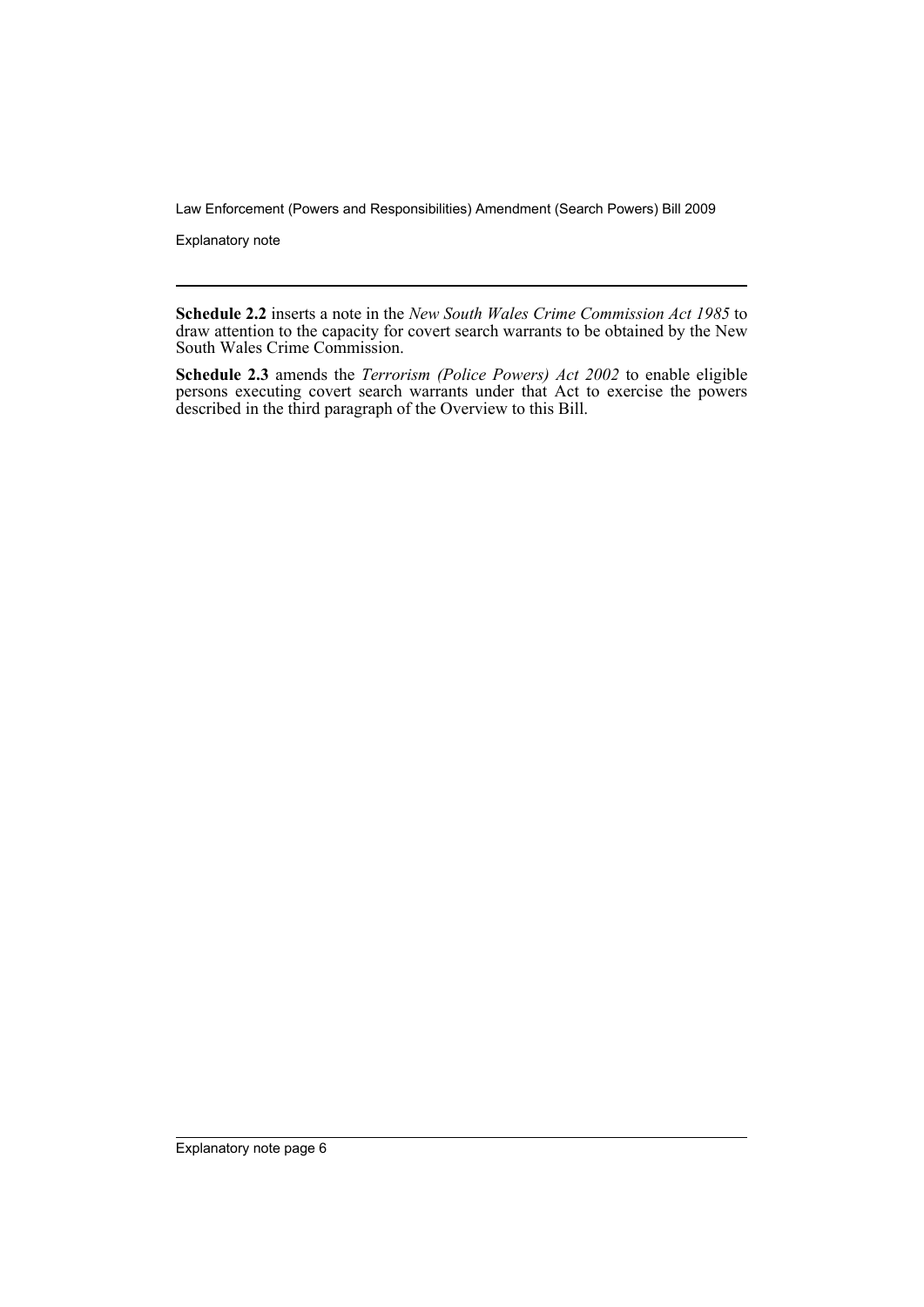Explanatory note

**Schedule 2.2** inserts a note in the *New South Wales Crime Commission Act 1985* to draw attention to the capacity for covert search warrants to be obtained by the New South Wales Crime Commission.

**Schedule 2.3** amends the *Terrorism (Police Powers) Act 2002* to enable eligible persons executing covert search warrants under that Act to exercise the powers described in the third paragraph of the Overview to this Bill.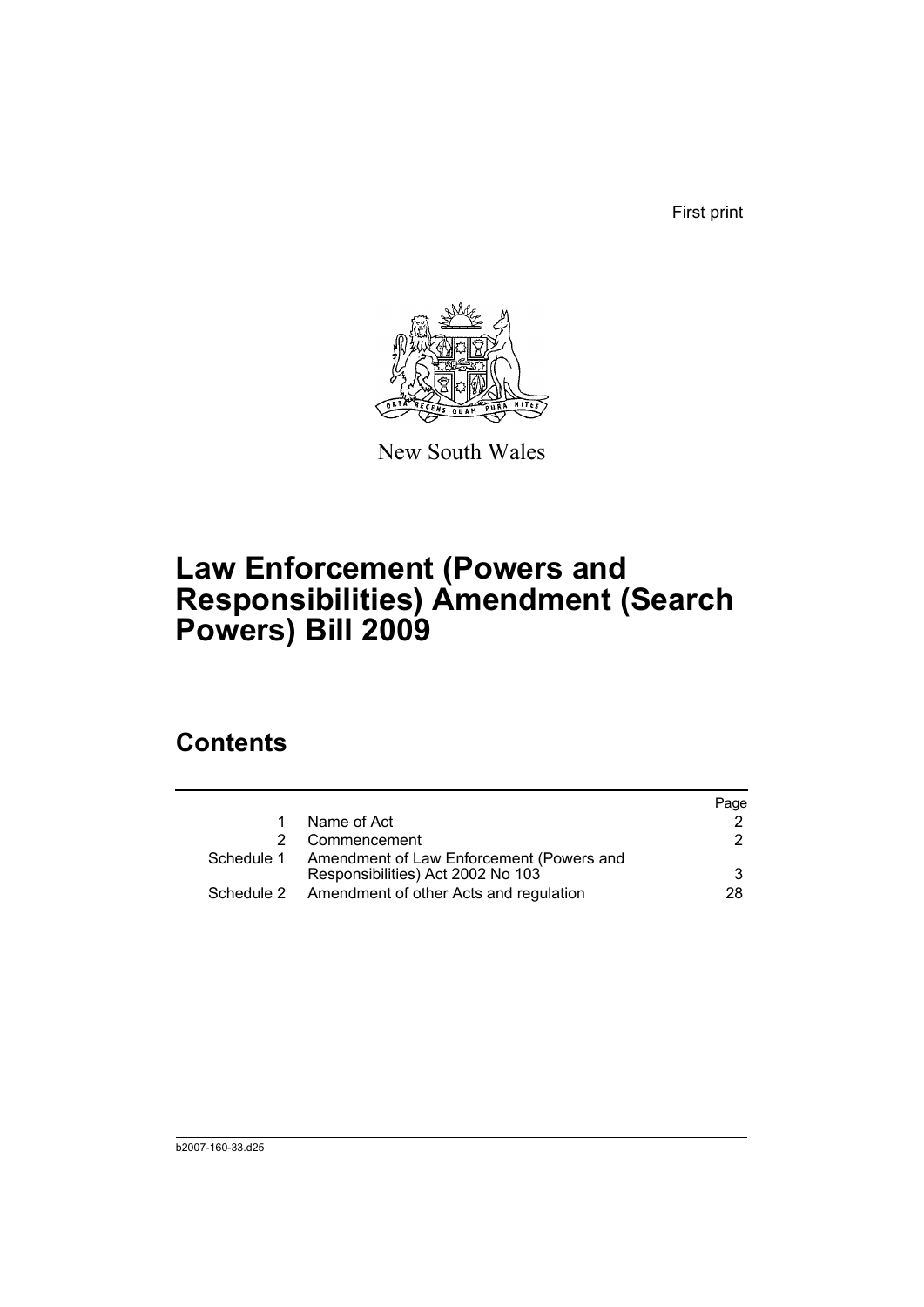First print



New South Wales

# **Law Enforcement (Powers and Responsibilities) Amendment (Search Powers) Bill 2009**

## **Contents**

|    |                                                     | Page |
|----|-----------------------------------------------------|------|
|    | Name of Act                                         |      |
| 2. | Commencement                                        | 2    |
|    | Schedule 1 Amendment of Law Enforcement (Powers and |      |
|    | Responsibilities) Act 2002 No 103                   | 3    |
|    | Schedule 2 Amendment of other Acts and regulation   | 28.  |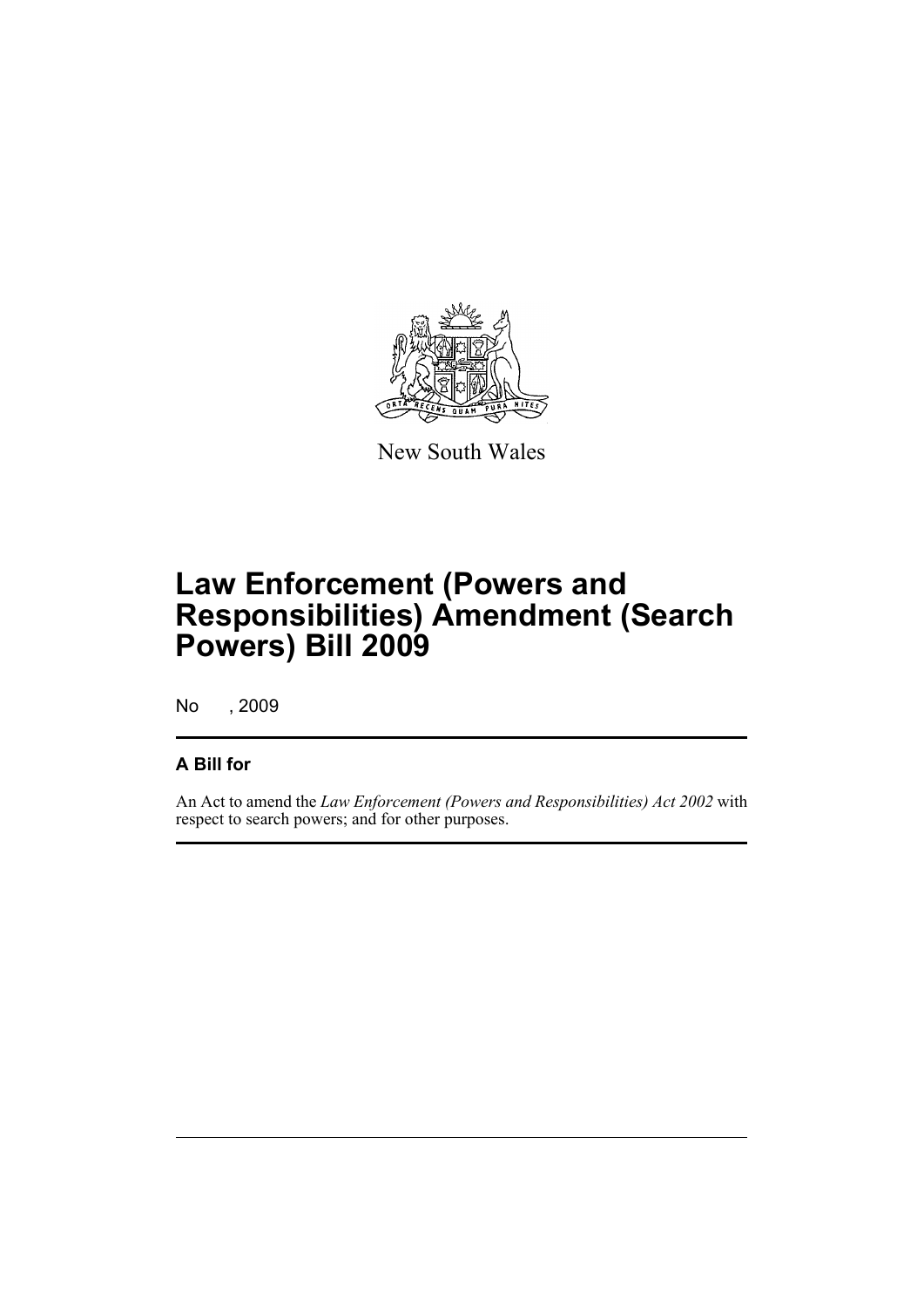

New South Wales

# **Law Enforcement (Powers and Responsibilities) Amendment (Search Powers) Bill 2009**

No , 2009

### **A Bill for**

An Act to amend the *Law Enforcement (Powers and Responsibilities) Act 2002* with respect to search powers; and for other purposes.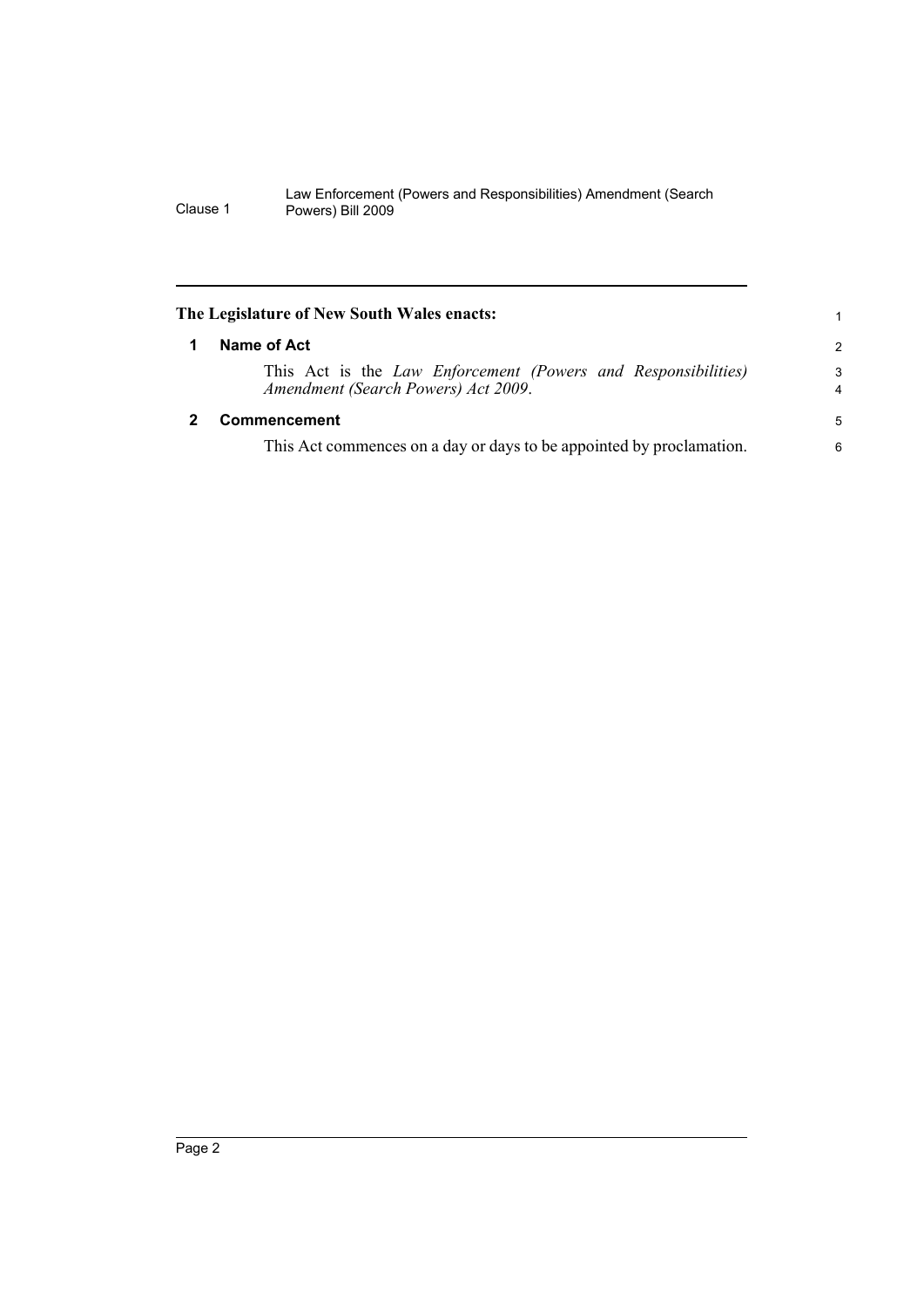<span id="page-9-1"></span><span id="page-9-0"></span>

| 1             |
|---------------|
| $\mathcal{P}$ |
| 3<br>4        |
| 5             |
| 6             |
|               |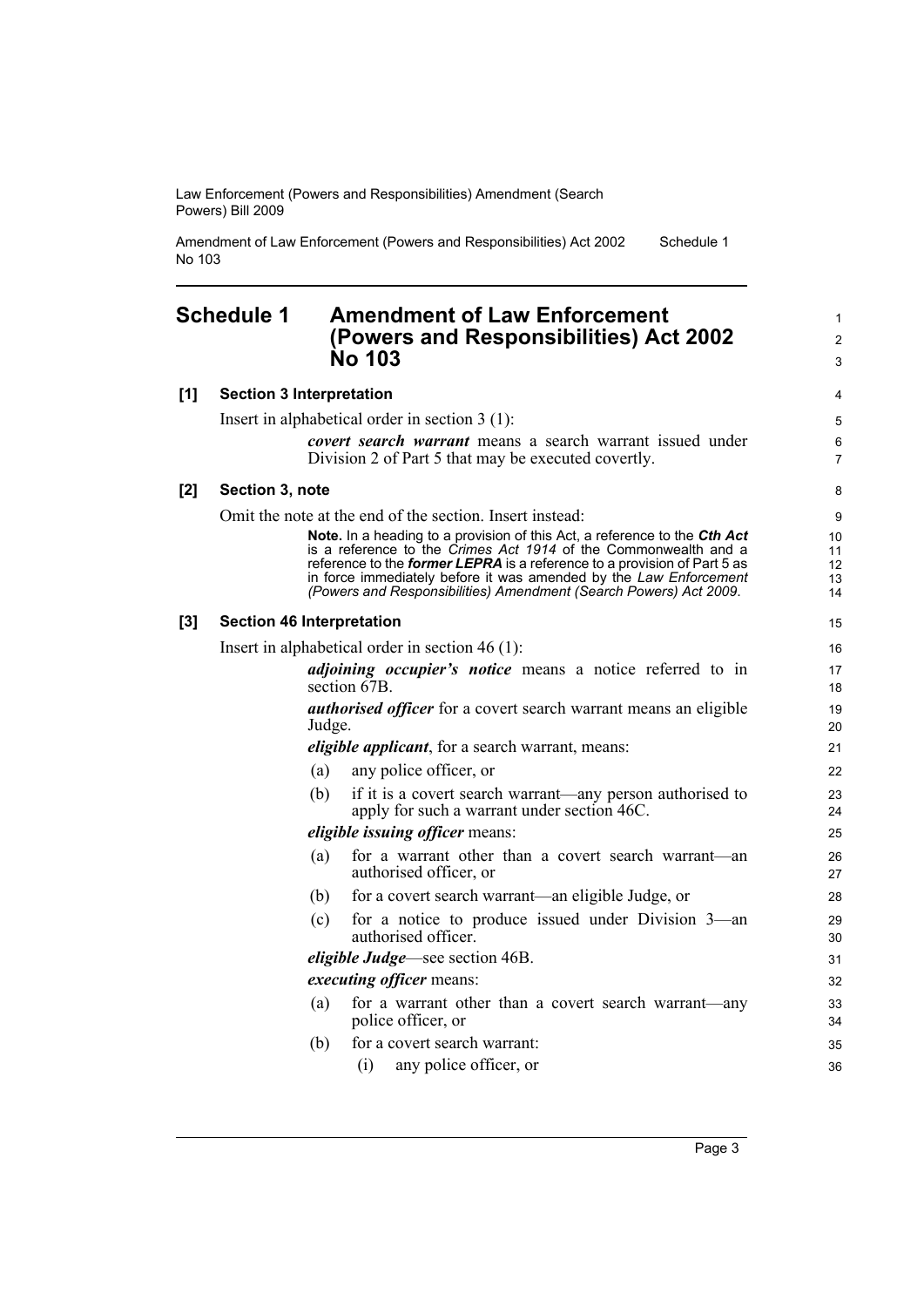Amendment of Law Enforcement (Powers and Responsibilities) Act 2002 No 103 Schedule 1

### <span id="page-10-0"></span>**Schedule 1 Amendment of Law Enforcement (Powers and Responsibilities) Act 2002 No 103**

#### **[1] Section 3 Interpretation**

Insert in alphabetical order in section 3 (1):

*covert search warrant* means a search warrant issued under Division 2 of Part 5 that may be executed covertly.

#### **[2] Section 3, note**

Omit the note at the end of the section. Insert instead:

**Note.** In a heading to a provision of this Act, a reference to the *Cth Act* is a reference to the *Crimes Act 1914* of the Commonwealth and a reference to the *former LEPRA* is a reference to a provision of Part 5 as in force immediately before it was amended by the *Law Enforcement (Powers and Responsibilities) Amendment (Search Powers) Act 2009*.

#### **[3] Section 46 Interpretation**

Insert in alphabetical order in section 46 (1):

*adjoining occupier's notice* means a notice referred to in section 67B. *authorised officer* for a covert search warrant means an eligible

Judge.

*eligible applicant*, for a search warrant, means:

(a) any police officer, or (b) if it is a covert search warrant—any person authorised to apply for such a warrant under section 46C.

*eligible issuing officer* means:

- (a) for a warrant other than a covert search warrant—an authorised officer, or
- (b) for a covert search warrant—an eligible Judge, or
- (c) for a notice to produce issued under Division 3—an authorised officer.

*eligible Judge*—see section 46B.

#### *executing officer* means:

(a) for a warrant other than a covert search warrant—any police officer, or

(b) for a covert search warrant:

(i) any police officer, or

1  $\mathfrak{p}$ 3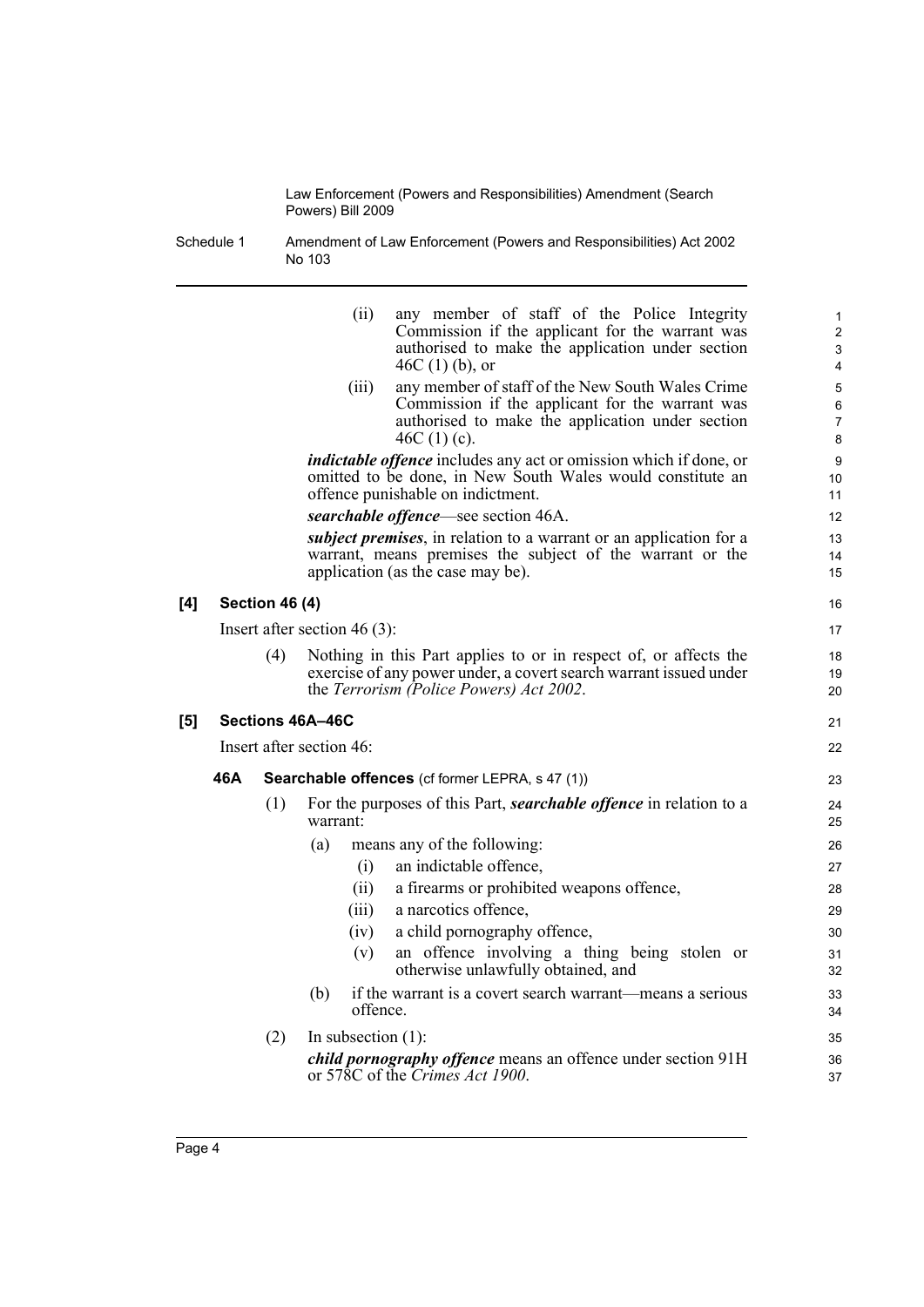Schedule 1 Amendment of Law Enforcement (Powers and Responsibilities) Act 2002 No 103

|     |     |                       | (ii)                            | any member of staff of the Police Integrity<br>Commission if the applicant for the warrant was<br>authorised to make the application under section<br>$46C(1)$ (b), or           | 1<br>$\overline{\mathbf{c}}$<br>3<br>4 |
|-----|-----|-----------------------|---------------------------------|----------------------------------------------------------------------------------------------------------------------------------------------------------------------------------|----------------------------------------|
|     |     |                       | (iii)                           | any member of staff of the New South Wales Crime<br>Commission if the applicant for the warrant was<br>authorised to make the application under section<br>46C $(1)(c)$ .        | 5<br>6<br>7<br>8                       |
|     |     |                       |                                 | <i>indictable offence</i> includes any act or omission which if done, or<br>omitted to be done, in New South Wales would constitute an<br>offence punishable on indictment.      | 9<br>10<br>11                          |
|     |     |                       |                                 | searchable offence—see section 46A.                                                                                                                                              | 12                                     |
|     |     |                       |                                 | <i>subject premises</i> , in relation to a warrant or an application for a<br>warrant, means premises the subject of the warrant or the<br>application (as the case may be).     | 13<br>14<br>15                         |
| [4] |     | <b>Section 46 (4)</b> |                                 |                                                                                                                                                                                  | 16                                     |
|     |     |                       | Insert after section 46 $(3)$ : |                                                                                                                                                                                  | 17                                     |
|     |     | (4)                   |                                 | Nothing in this Part applies to or in respect of, or affects the<br>exercise of any power under, a covert search warrant issued under<br>the Terrorism (Police Powers) Act 2002. | 18<br>19<br>20                         |
| [5] |     |                       | Sections 46A-46C                |                                                                                                                                                                                  | 21                                     |
|     |     |                       | Insert after section 46:        |                                                                                                                                                                                  | 22                                     |
|     | 46A |                       |                                 | <b>Searchable offences</b> (cf former LEPRA, s 47 (1))                                                                                                                           | 23                                     |
|     |     | (1)                   | warrant:                        | For the purposes of this Part, <i>searchable offence</i> in relation to a                                                                                                        | 24<br>25                               |
|     |     |                       | (a)                             | means any of the following:                                                                                                                                                      | 26                                     |
|     |     |                       | (i)                             | an indictable offence,                                                                                                                                                           | 27                                     |
|     |     |                       | (ii)                            | a firearms or prohibited weapons offence,                                                                                                                                        | 28                                     |
|     |     |                       | (iii)                           | a narcotics offence,                                                                                                                                                             | 29                                     |
|     |     |                       | (iv)                            | a child pornography offence,                                                                                                                                                     | 30                                     |
|     |     |                       | (v)                             | an offence involving a thing being stolen or<br>otherwise unlawfully obtained, and                                                                                               | 31<br>32                               |
|     |     |                       | (b)<br>offence.                 | if the warrant is a covert search warrant—means a serious                                                                                                                        | 33<br>34                               |
|     |     | (2)                   | In subsection $(1)$ :           |                                                                                                                                                                                  | 35                                     |
|     |     |                       |                                 | child pornography offence means an offence under section 91H<br>or 578C of the Crimes Act 1900.                                                                                  | 36<br>37                               |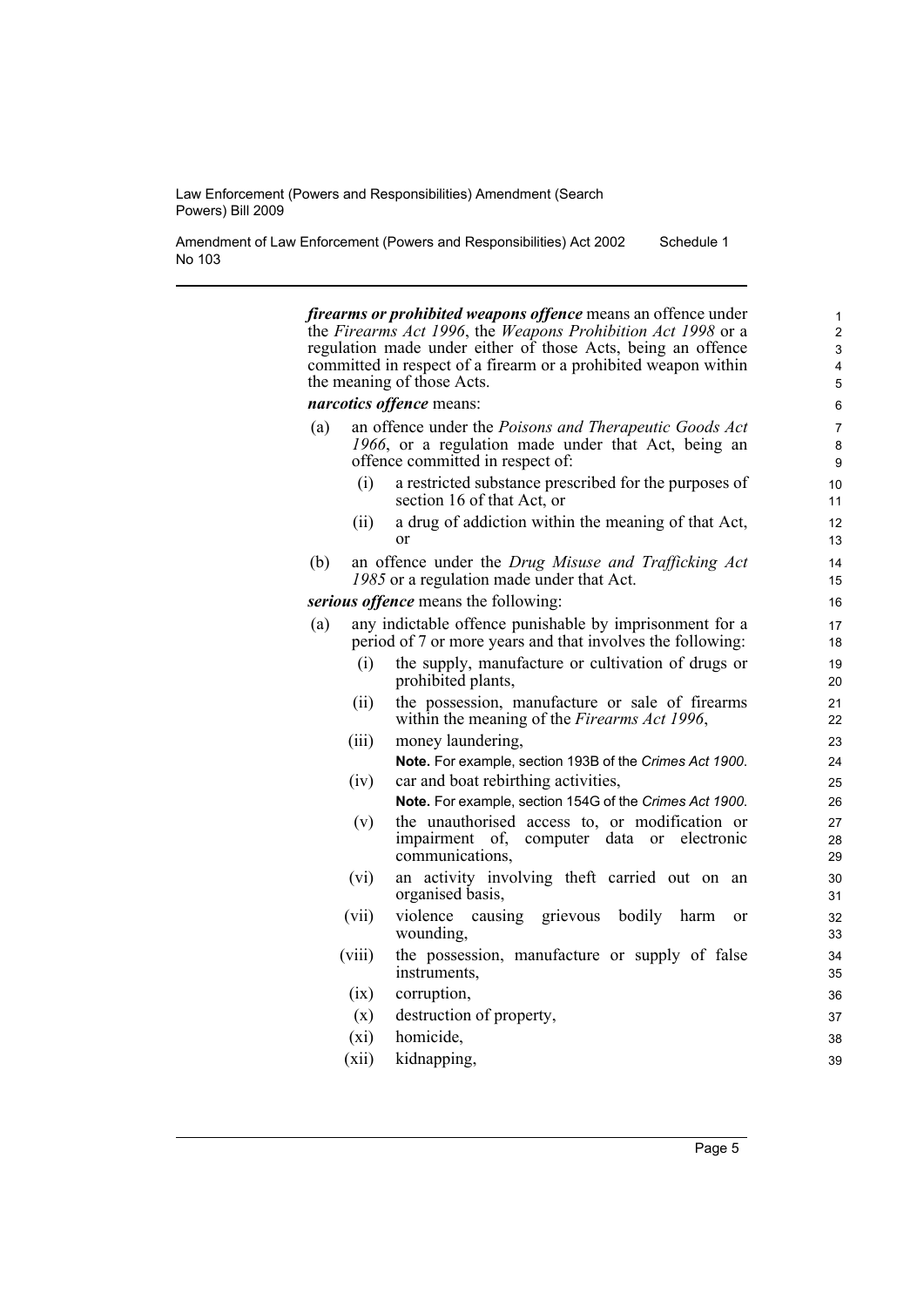Amendment of Law Enforcement (Powers and Responsibilities) Act 2002 No 103 Schedule 1

> *firearms or prohibited weapons offence* means an offence under the *Firearms Act 1996*, the *Weapons Prohibition Act 1998* or a regulation made under either of those Acts, being an offence committed in respect of a firearm or a prohibited weapon within the meaning of those Acts.

#### *narcotics offence* means:

- (a) an offence under the *Poisons and Therapeutic Goods Act 1966*, or a regulation made under that Act, being an offence committed in respect of:
	- (i) a restricted substance prescribed for the purposes of section 16 of that Act, or
	- (ii) a drug of addiction within the meaning of that Act, or
- (b) an offence under the *Drug Misuse and Trafficking Act 1985* or a regulation made under that Act.

*serious offence* means the following:

- (a) any indictable offence punishable by imprisonment for a period of 7 or more years and that involves the following:
	- (i) the supply, manufacture or cultivation of drugs or prohibited plants,
	- (ii) the possession, manufacture or sale of firearms within the meaning of the *Firearms Act 1996*,
	- (iii) money laundering, **Note.** For example, section 193B of the *Crimes Act 1900*.
	- (iv) car and boat rebirthing activities, **Note.** For example, section 154G of the *Crimes Act 1900*.
	- (v) the unauthorised access to, or modification or impairment of, computer data or electronic communications,
	- (vi) an activity involving theft carried out on an organised basis,
	- (vii) violence causing grievous bodily harm or wounding,
	- (viii) the possession, manufacture or supply of false instruments,
	- (ix) corruption,
	- (x) destruction of property,
	- (xi) homicide,
	- (xii) kidnapping,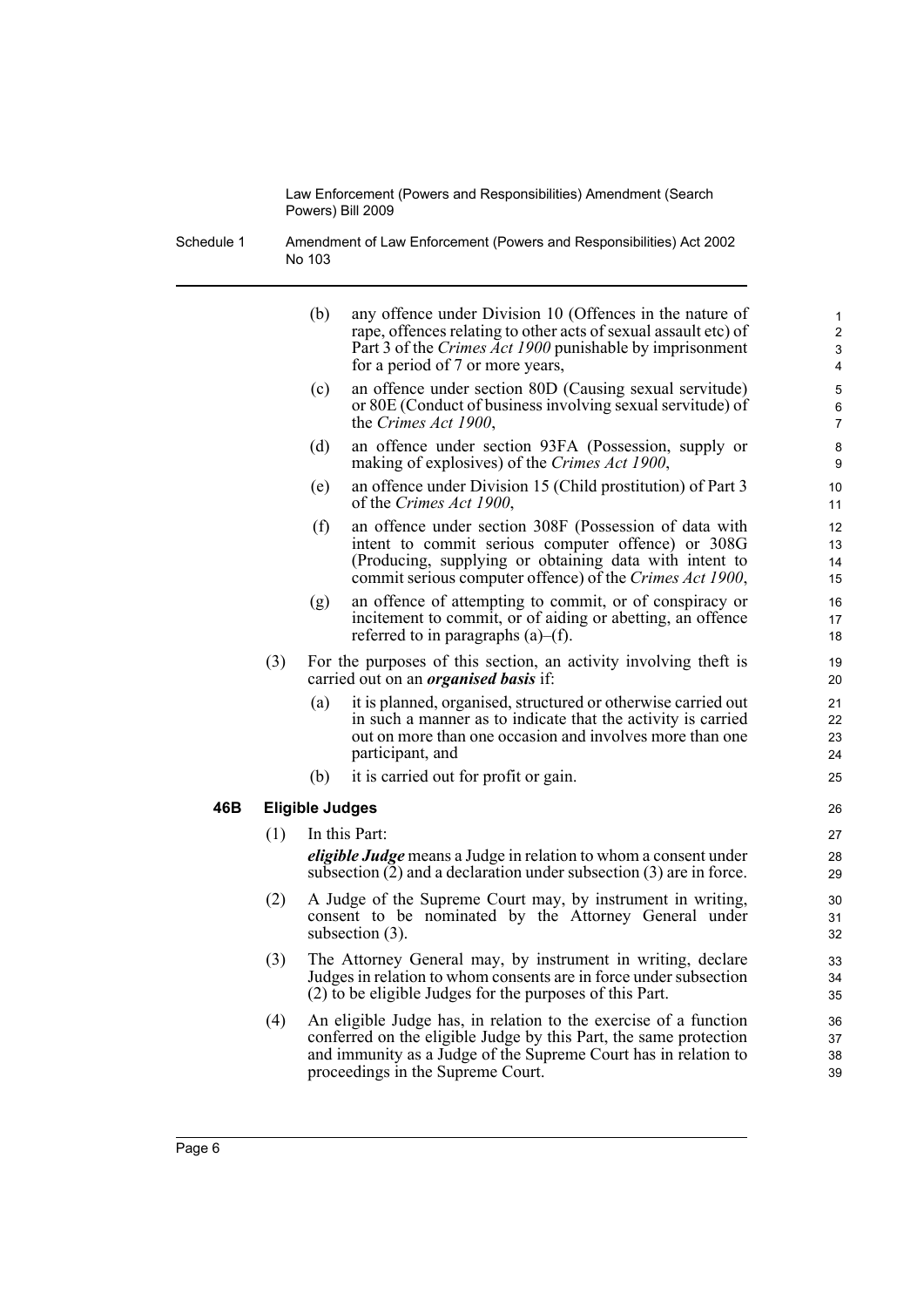Schedule 1 Amendment of Law Enforcement (Powers and Responsibilities) Act 2002 No 103

|     |     | (b)<br>any offence under Division 10 (Offences in the nature of<br>rape, offences relating to other acts of sexual assault etc) of<br>Part 3 of the Crimes Act 1900 punishable by imprisonment<br>for a period of 7 or more years,            | $\mathbf{1}$<br>$\overline{\mathbf{c}}$<br>3<br>4 |
|-----|-----|-----------------------------------------------------------------------------------------------------------------------------------------------------------------------------------------------------------------------------------------------|---------------------------------------------------|
|     |     | an offence under section 80D (Causing sexual servitude)<br>(c)<br>or 80E (Conduct of business involving sexual servitude) of<br>the Crimes Act 1900,                                                                                          | 5<br>6<br>$\overline{7}$                          |
|     |     | (d)<br>an offence under section 93FA (Possession, supply or<br>making of explosives) of the Crimes Act 1900,                                                                                                                                  | 8<br>9                                            |
|     |     | an offence under Division 15 (Child prostitution) of Part 3<br>(e)<br>of the Crimes Act 1900,                                                                                                                                                 | 10<br>11                                          |
|     |     | (f)<br>an offence under section 308F (Possession of data with<br>intent to commit serious computer offence) or 308G<br>(Producing, supplying or obtaining data with intent to<br>commit serious computer offence) of the Crimes Act 1900,     | 12<br>13<br>14<br>15                              |
|     |     | an offence of attempting to commit, or of conspiracy or<br>(g)<br>incitement to commit, or of aiding or abetting, an offence<br>referred to in paragraphs $(a)$ – $(f)$ .                                                                     | 16<br>17<br>18                                    |
|     | (3) | For the purposes of this section, an activity involving theft is<br>carried out on an <i>organised basis</i> if:                                                                                                                              | 19<br>20                                          |
|     |     | it is planned, organised, structured or otherwise carried out<br>(a)<br>in such a manner as to indicate that the activity is carried<br>out on more than one occasion and involves more than one<br>participant, and                          | 21<br>22<br>23<br>24                              |
|     |     | it is carried out for profit or gain.<br>(b)                                                                                                                                                                                                  | 25                                                |
| 46B |     | <b>Eligible Judges</b>                                                                                                                                                                                                                        | 26                                                |
|     | (1) | In this Part:<br><i>eligible Judge</i> means a Judge in relation to whom a consent under<br>subsection $(2)$ and a declaration under subsection $(3)$ are in force.                                                                           | 27<br>28<br>29                                    |
|     | (2) | A Judge of the Supreme Court may, by instrument in writing,<br>consent to be nominated by the Attorney General under<br>subsection $(3)$ .                                                                                                    | 30<br>31<br>32                                    |
|     | (3) | The Attorney General may, by instrument in writing, declare<br>Judges in relation to whom consents are in force under subsection<br>(2) to be eligible Judges for the purposes of this Part.                                                  | 33<br>34<br>35                                    |
|     | (4) | An eligible Judge has, in relation to the exercise of a function<br>conferred on the eligible Judge by this Part, the same protection<br>and immunity as a Judge of the Supreme Court has in relation to<br>proceedings in the Supreme Court. | 36<br>37<br>38<br>39                              |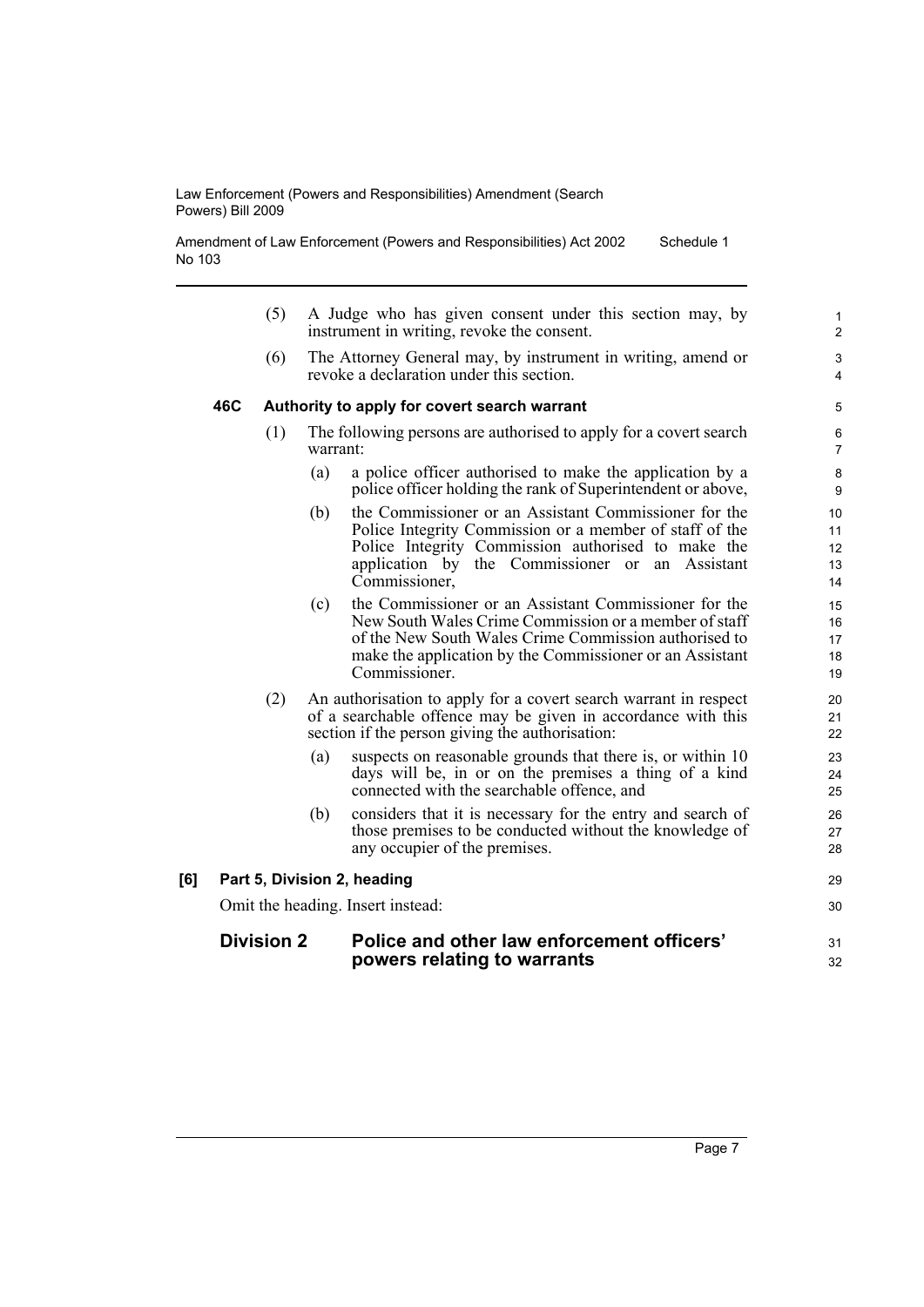Amendment of Law Enforcement (Powers and Responsibilities) Act 2002 No 103 Schedule 1

- (5) A Judge who has given consent under this section may, by instrument in writing, revoke the consent.
- (6) The Attorney General may, by instrument in writing, amend or revoke a declaration under this section.

#### **46C Authority to apply for covert search warrant**

- (1) The following persons are authorised to apply for a covert search warrant:
	- (a) a police officer authorised to make the application by a police officer holding the rank of Superintendent or above,
	- (b) the Commissioner or an Assistant Commissioner for the Police Integrity Commission or a member of staff of the Police Integrity Commission authorised to make the application by the Commissioner or an Assistant Commissioner,
	- (c) the Commissioner or an Assistant Commissioner for the New South Wales Crime Commission or a member of staff of the New South Wales Crime Commission authorised to make the application by the Commissioner or an Assistant Commissioner.
- (2) An authorisation to apply for a covert search warrant in respect of a searchable offence may be given in accordance with this section if the person giving the authorisation:
	- (a) suspects on reasonable grounds that there is, or within 10 days will be, in or on the premises a thing of a kind connected with the searchable offence, and
	- (b) considers that it is necessary for the entry and search of those premises to be conducted without the knowledge of any occupier of the premises.

#### **[6] Part 5, Division 2, heading**

Omit the heading. Insert instead:

#### **Division 2 Police and other law enforcement officers' powers relating to warrants**

29 30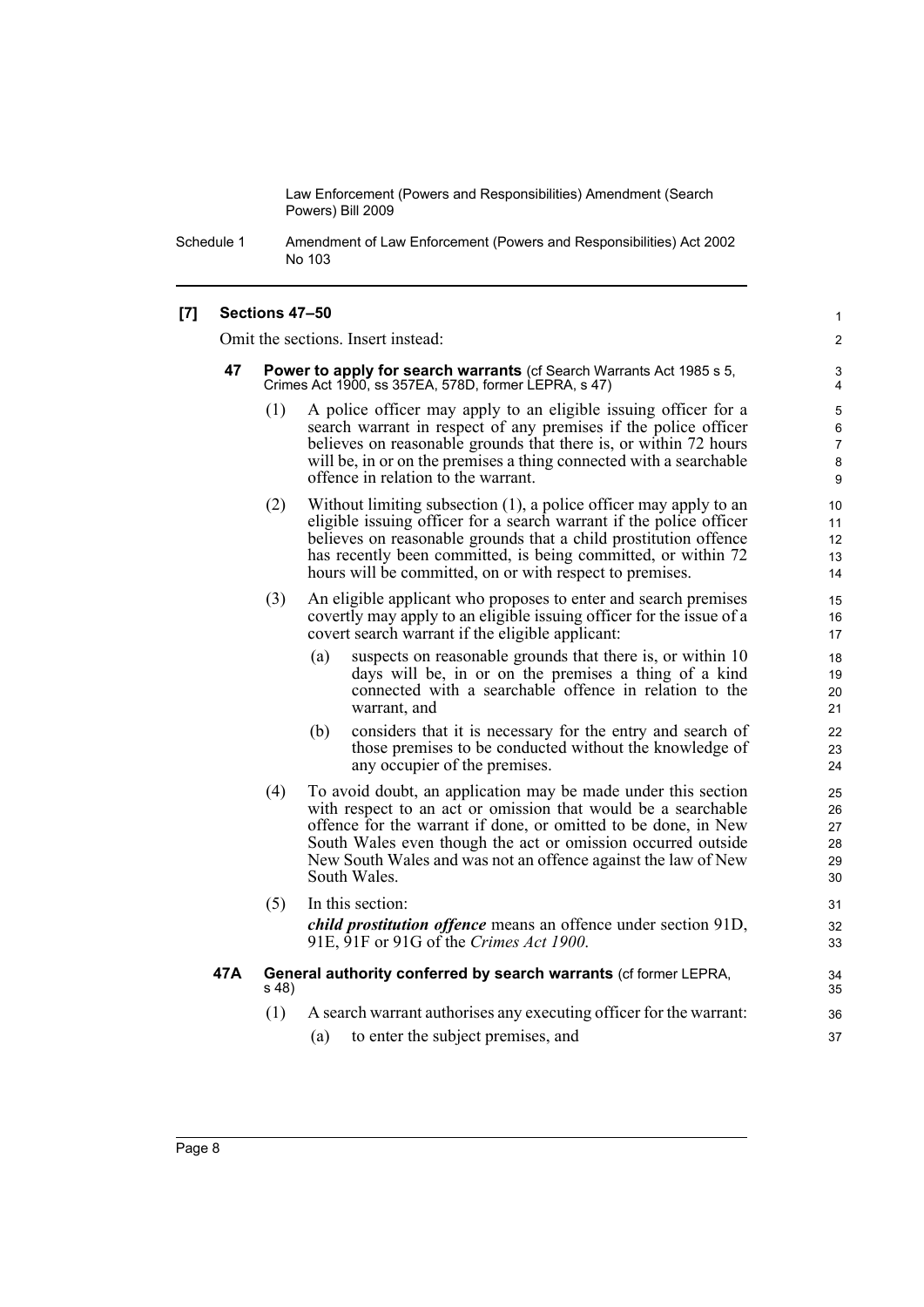Schedule 1 Amendment of Law Enforcement (Powers and Responsibilities) Act 2002 No 103

#### **[7] Sections 47–50**

Omit the sections. Insert instead:

- **47 Power to apply for search warrants** (cf Search Warrants Act 1985 s 5, Crimes Act 1900, ss 357EA, 578D, former LEPRA, s 47)
	- (1) A police officer may apply to an eligible issuing officer for a search warrant in respect of any premises if the police officer believes on reasonable grounds that there is, or within 72 hours will be, in or on the premises a thing connected with a searchable offence in relation to the warrant.

1 2

- (2) Without limiting subsection (1), a police officer may apply to an eligible issuing officer for a search warrant if the police officer believes on reasonable grounds that a child prostitution offence has recently been committed, is being committed, or within 72 hours will be committed, on or with respect to premises.
- (3) An eligible applicant who proposes to enter and search premises covertly may apply to an eligible issuing officer for the issue of a covert search warrant if the eligible applicant:
	- (a) suspects on reasonable grounds that there is, or within 10 days will be, in or on the premises a thing of a kind connected with a searchable offence in relation to the warrant, and
	- (b) considers that it is necessary for the entry and search of those premises to be conducted without the knowledge of any occupier of the premises.
- (4) To avoid doubt, an application may be made under this section with respect to an act or omission that would be a searchable offence for the warrant if done, or omitted to be done, in New South Wales even though the act or omission occurred outside New South Wales and was not an offence against the law of New South Wales.
- (5) In this section: *child prostitution offence* means an offence under section 91D, 91E, 91F or 91G of the *Crimes Act 1900*. **47A General authority conferred by search warrants** (cf former LEPRA,
	- s 48)
		- (1) A search warrant authorises any executing officer for the warrant:
			- (a) to enter the subject premises, and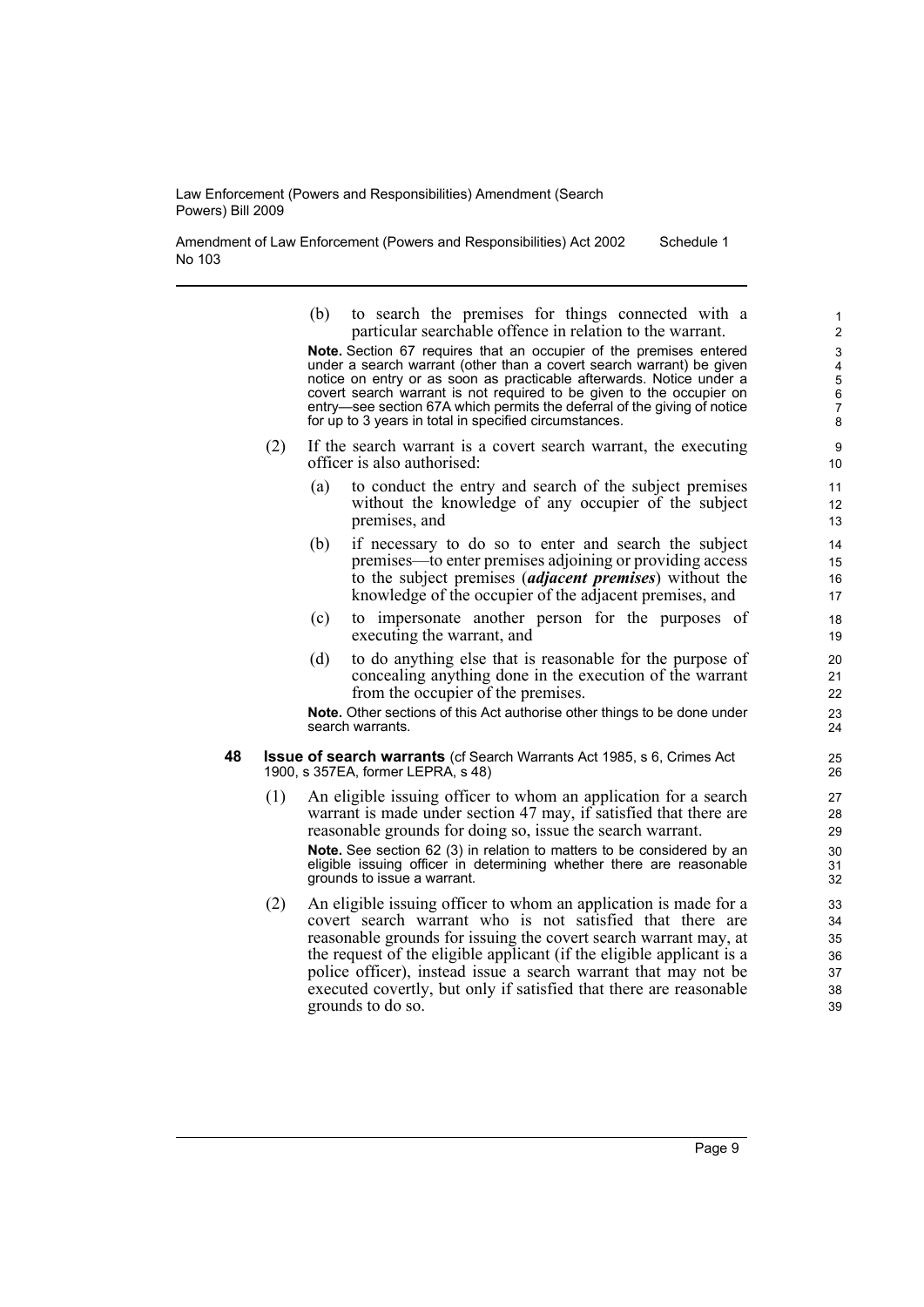Amendment of Law Enforcement (Powers and Responsibilities) Act 2002 No 103 Schedule 1

> (b) to search the premises for things connected with a particular searchable offence in relation to the warrant.

**Note.** Section 67 requires that an occupier of the premises entered under a search warrant (other than a covert search warrant) be given notice on entry or as soon as practicable afterwards. Notice under a covert search warrant is not required to be given to the occupier on entry—see section 67A which permits the deferral of the giving of notice for up to 3 years in total in specified circumstances.

- (2) If the search warrant is a covert search warrant, the executing officer is also authorised:
	- (a) to conduct the entry and search of the subject premises without the knowledge of any occupier of the subject premises, and
	- (b) if necessary to do so to enter and search the subject premises—to enter premises adjoining or providing access to the subject premises (*adjacent premises*) without the knowledge of the occupier of the adjacent premises, and
	- (c) to impersonate another person for the purposes of executing the warrant, and
	- (d) to do anything else that is reasonable for the purpose of concealing anything done in the execution of the warrant from the occupier of the premises.

**Note.** Other sections of this Act authorise other things to be done under search warrants.

- **48 Issue of search warrants** (cf Search Warrants Act 1985, s 6, Crimes Act 1900, s 357EA, former LEPRA, s 48)
	- (1) An eligible issuing officer to whom an application for a search warrant is made under section 47 may, if satisfied that there are reasonable grounds for doing so, issue the search warrant. **Note.** See section 62 (3) in relation to matters to be considered by an eligible issuing officer in determining whether there are reasonable grounds to issue a warrant.
	- (2) An eligible issuing officer to whom an application is made for a covert search warrant who is not satisfied that there are reasonable grounds for issuing the covert search warrant may, at the request of the eligible applicant (if the eligible applicant is a police officer), instead issue a search warrant that may not be executed covertly, but only if satisfied that there are reasonable grounds to do so.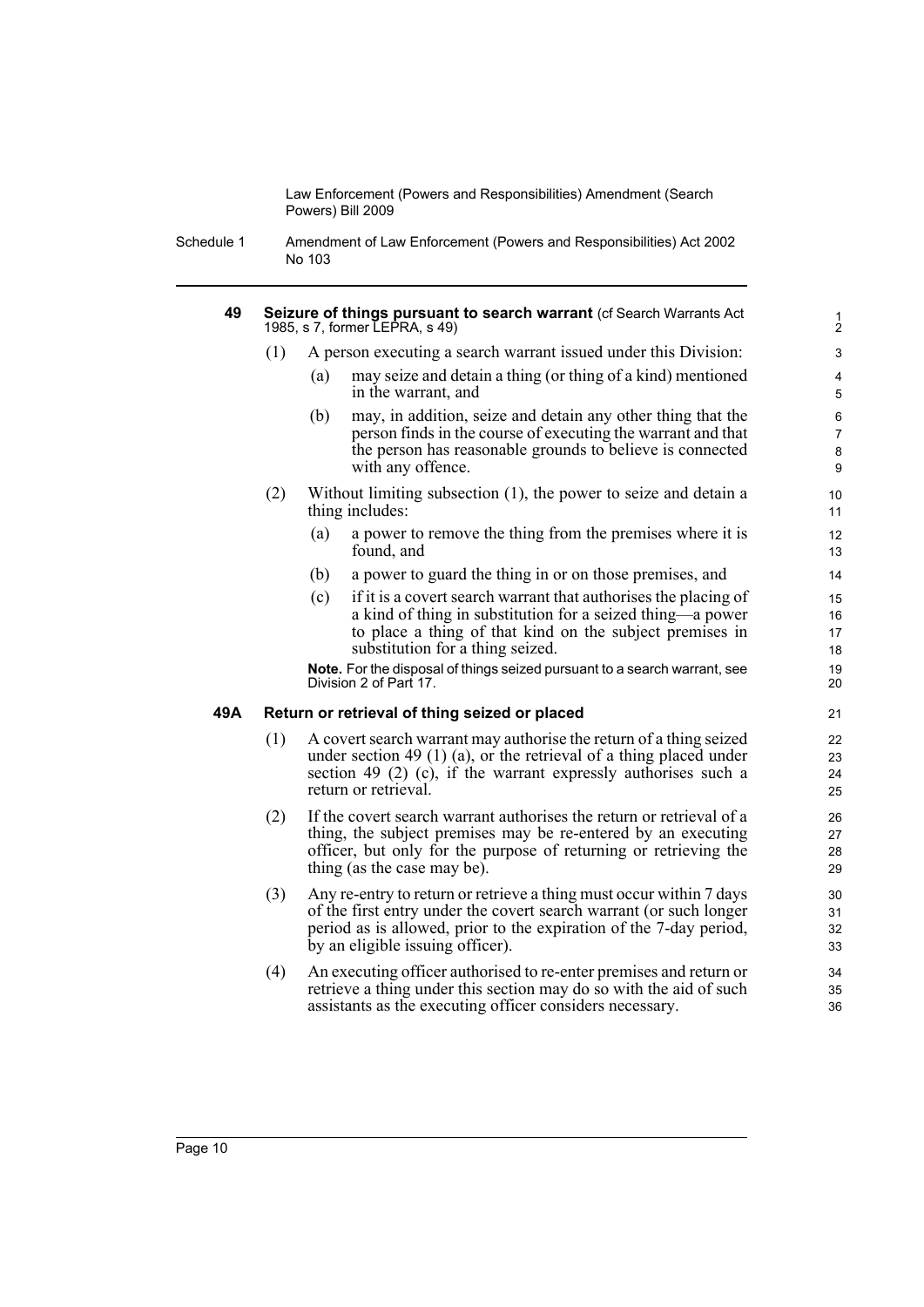Schedule 1 Amendment of Law Enforcement (Powers and Responsibilities) Act 2002 No 103

#### **49 Seizure of things pursuant to search warrant** (cf Search Warrants Act 1985, s 7, former LEPRA, s 49)

- (1) A person executing a search warrant issued under this Division:
	- (a) may seize and detain a thing (or thing of a kind) mentioned in the warrant, and

- (b) may, in addition, seize and detain any other thing that the person finds in the course of executing the warrant and that the person has reasonable grounds to believe is connected with any offence.
- (2) Without limiting subsection (1), the power to seize and detain a thing includes:
	- (a) a power to remove the thing from the premises where it is found, and
	- (b) a power to guard the thing in or on those premises, and
	- (c) if it is a covert search warrant that authorises the placing of a kind of thing in substitution for a seized thing—a power to place a thing of that kind on the subject premises in substitution for a thing seized.

**Note.** For the disposal of things seized pursuant to a search warrant, see Division 2 of Part 17.

#### **49A Return or retrieval of thing seized or placed**

- (1) A covert search warrant may authorise the return of a thing seized under section 49 (1) (a), or the retrieval of a thing placed under section 49 (2) (c), if the warrant expressly authorises such a return or retrieval.
- (2) If the covert search warrant authorises the return or retrieval of a thing, the subject premises may be re-entered by an executing officer, but only for the purpose of returning or retrieving the thing (as the case may be).
- (3) Any re-entry to return or retrieve a thing must occur within 7 days of the first entry under the covert search warrant (or such longer period as is allowed, prior to the expiration of the 7-day period, by an eligible issuing officer).
- (4) An executing officer authorised to re-enter premises and return or retrieve a thing under this section may do so with the aid of such assistants as the executing officer considers necessary.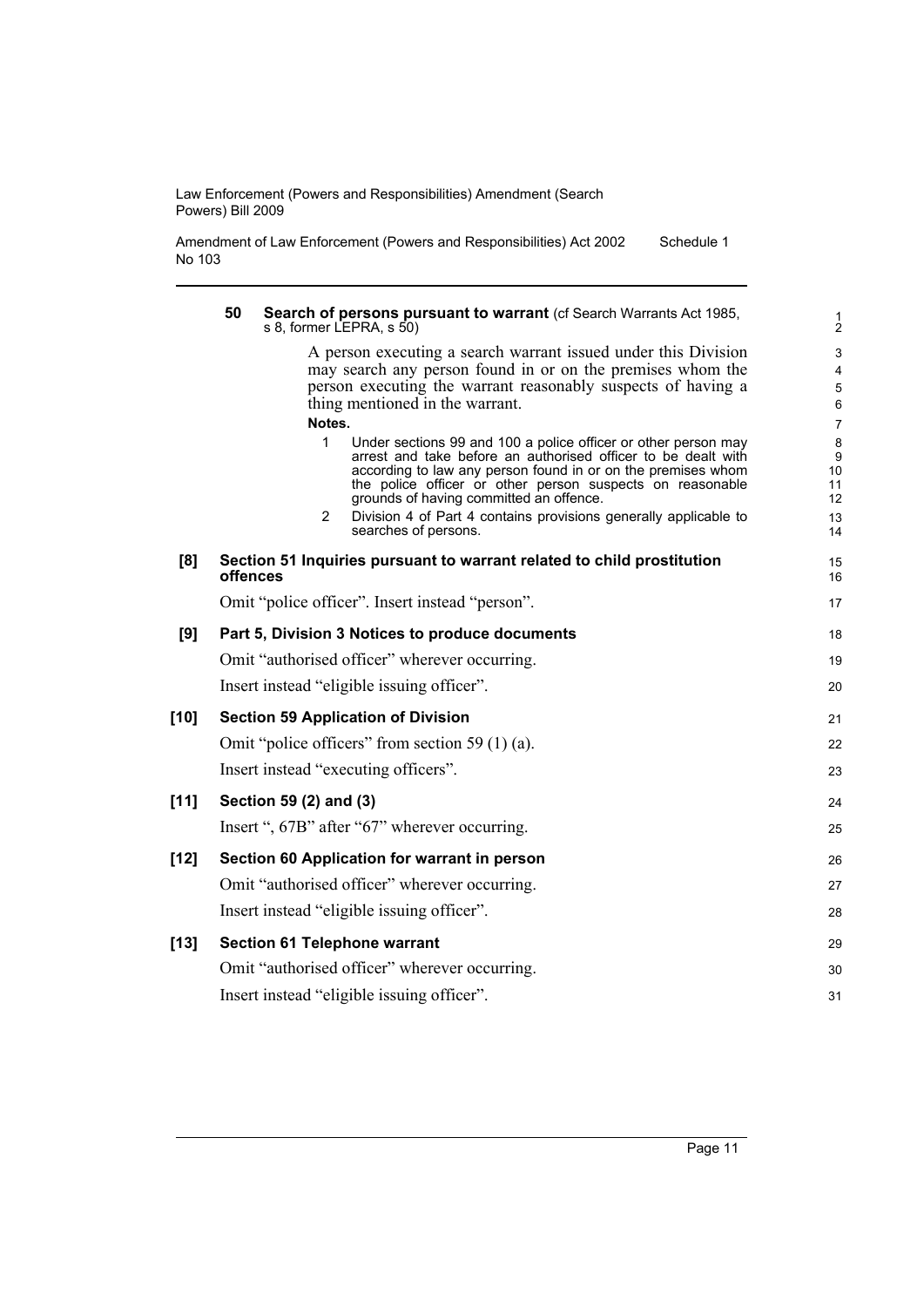Amendment of Law Enforcement (Powers and Responsibilities) Act 2002 No 103 Schedule 1

|        | 50<br>Search of persons pursuant to warrant (cf Search Warrants Act 1985,<br>s 8, former LEPRA, s 50)                                                                                                                                                                                                        | 1<br>2                                  |
|--------|--------------------------------------------------------------------------------------------------------------------------------------------------------------------------------------------------------------------------------------------------------------------------------------------------------------|-----------------------------------------|
|        | A person executing a search warrant issued under this Division<br>may search any person found in or on the premises whom the<br>person executing the warrant reasonably suspects of having a<br>thing mentioned in the warrant.                                                                              | 3<br>$\overline{4}$<br>$\mathbf 5$<br>6 |
|        | Notes.                                                                                                                                                                                                                                                                                                       | $\overline{7}$                          |
|        | 1<br>Under sections 99 and 100 a police officer or other person may<br>arrest and take before an authorised officer to be dealt with<br>according to law any person found in or on the premises whom<br>the police officer or other person suspects on reasonable<br>grounds of having committed an offence. | 8<br>9<br>10<br>11<br>12                |
|        | 2<br>Division 4 of Part 4 contains provisions generally applicable to<br>searches of persons.                                                                                                                                                                                                                | 13<br>14                                |
| [8]    | Section 51 Inquiries pursuant to warrant related to child prostitution<br>offences                                                                                                                                                                                                                           | 15<br>16                                |
|        | Omit "police officer". Insert instead "person".                                                                                                                                                                                                                                                              | 17                                      |
| [9]    | Part 5, Division 3 Notices to produce documents                                                                                                                                                                                                                                                              | 18                                      |
|        | Omit "authorised officer" wherever occurring.                                                                                                                                                                                                                                                                | 19                                      |
|        | Insert instead "eligible issuing officer".                                                                                                                                                                                                                                                                   | 20                                      |
| $[10]$ | <b>Section 59 Application of Division</b>                                                                                                                                                                                                                                                                    | 21                                      |
|        | Omit "police officers" from section 59 $(1)$ (a).                                                                                                                                                                                                                                                            | 22                                      |
|        | Insert instead "executing officers".                                                                                                                                                                                                                                                                         | 23                                      |
| [11]   | Section 59 (2) and (3)                                                                                                                                                                                                                                                                                       | 24                                      |
|        | Insert ", 67B" after "67" wherever occurring.                                                                                                                                                                                                                                                                | 25                                      |
| $[12]$ | Section 60 Application for warrant in person                                                                                                                                                                                                                                                                 | 26                                      |
|        | Omit "authorised officer" wherever occurring.                                                                                                                                                                                                                                                                | 27                                      |
|        | Insert instead "eligible issuing officer".                                                                                                                                                                                                                                                                   | 28                                      |
| $[13]$ | <b>Section 61 Telephone warrant</b>                                                                                                                                                                                                                                                                          | 29                                      |
|        | Omit "authorised officer" wherever occurring.                                                                                                                                                                                                                                                                | 30                                      |
|        | Insert instead "eligible issuing officer".                                                                                                                                                                                                                                                                   | 31                                      |
|        |                                                                                                                                                                                                                                                                                                              |                                         |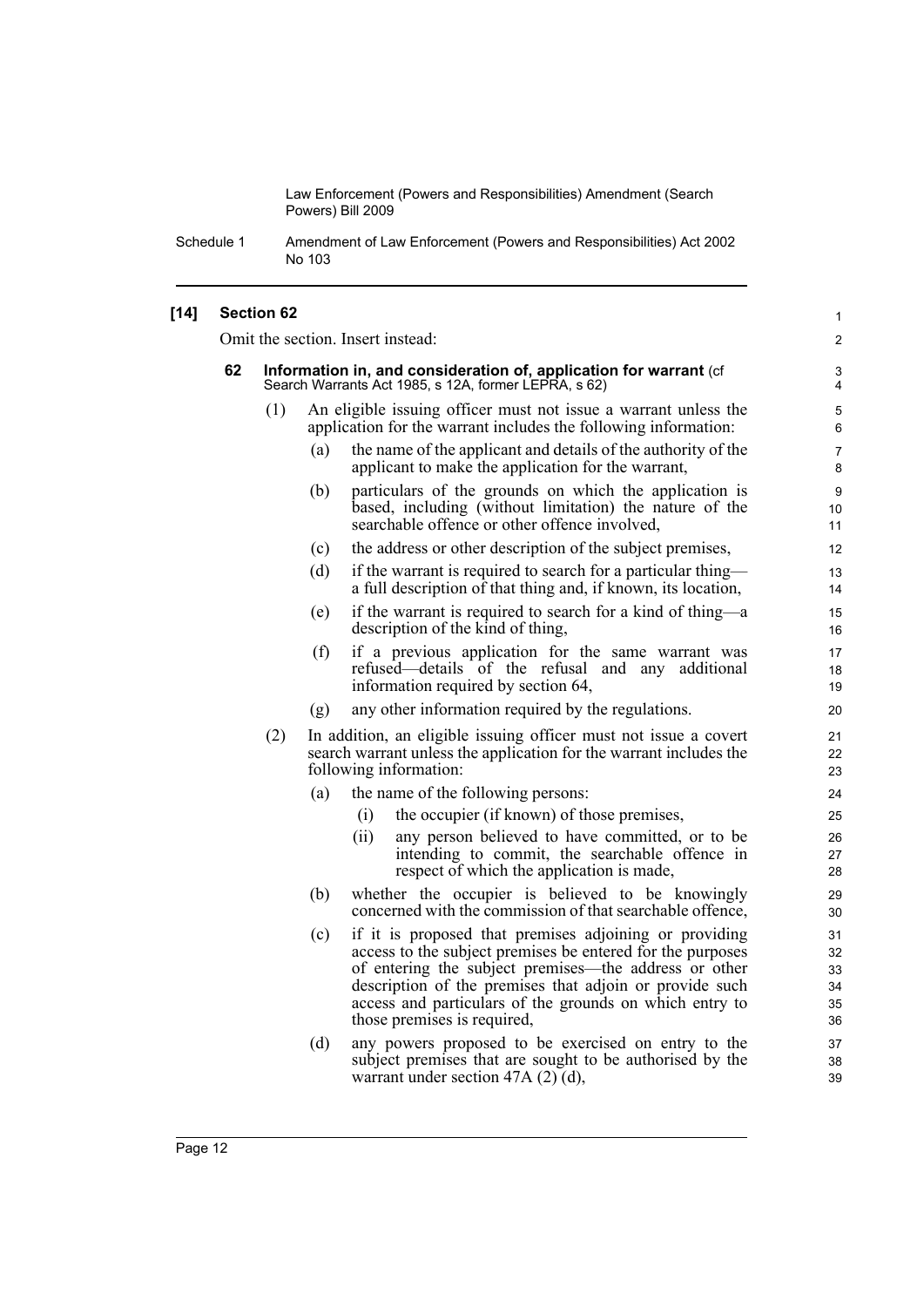1

Schedule 1 Amendment of Law Enforcement (Powers and Responsibilities) Act 2002 No 103

#### **[14] Section 62**

Omit the section. Insert instead:

|    |     |     | Omit the section. Insert instead:                                                                                                                                                                                                                                                                                                  | 2                                |
|----|-----|-----|------------------------------------------------------------------------------------------------------------------------------------------------------------------------------------------------------------------------------------------------------------------------------------------------------------------------------------|----------------------------------|
| 62 |     |     | Information in, and consideration of, application for warrant (cf<br>Search Warrants Act 1985, s 12A, former LEPRA, s 62)                                                                                                                                                                                                          | 3<br>4                           |
|    | (1) |     | An eligible issuing officer must not issue a warrant unless the<br>application for the warrant includes the following information:                                                                                                                                                                                                 | 5<br>6                           |
|    |     | (a) | the name of the applicant and details of the authority of the<br>applicant to make the application for the warrant,                                                                                                                                                                                                                | $\overline{7}$<br>8              |
|    |     | (b) | particulars of the grounds on which the application is<br>based, including (without limitation) the nature of the<br>searchable offence or other offence involved,                                                                                                                                                                 | 9<br>10<br>11                    |
|    |     | (c) | the address or other description of the subject premises,                                                                                                                                                                                                                                                                          | 12                               |
|    |     | (d) | if the warrant is required to search for a particular thing—<br>a full description of that thing and, if known, its location,                                                                                                                                                                                                      | 13<br>14                         |
|    |     | (e) | if the warrant is required to search for a kind of thing—a<br>description of the kind of thing,                                                                                                                                                                                                                                    | 15<br>16                         |
|    |     | (f) | if a previous application for the same warrant was<br>refused—details of the refusal and any additional<br>information required by section 64,                                                                                                                                                                                     | 17<br>18<br>19                   |
|    |     | (g) | any other information required by the regulations.                                                                                                                                                                                                                                                                                 | 20                               |
|    | (2) |     | In addition, an eligible issuing officer must not issue a covert<br>search warrant unless the application for the warrant includes the<br>following information:                                                                                                                                                                   | 21<br>22<br>23                   |
|    |     | (a) | the name of the following persons:                                                                                                                                                                                                                                                                                                 | 24                               |
|    |     |     | the occupier (if known) of those premises,<br>(i)                                                                                                                                                                                                                                                                                  | 25                               |
|    |     |     | (ii)<br>any person believed to have committed, or to be<br>intending to commit, the searchable offence in<br>respect of which the application is made,                                                                                                                                                                             | 26<br>27<br>28                   |
|    |     | (b) | whether the occupier is believed to be knowingly<br>concerned with the commission of that searchable offence,                                                                                                                                                                                                                      | 29<br>30                         |
|    |     | (c) | if it is proposed that premises adjoining or providing<br>access to the subject premises be entered for the purposes<br>of entering the subject premises—the address or other<br>description of the premises that adjoin or provide such<br>access and particulars of the grounds on which entry to<br>those premises is required, | 31<br>32<br>33<br>34<br>35<br>36 |
|    |     | (d) | any powers proposed to be exercised on entry to the<br>subject premises that are sought to be authorised by the<br>warrant under section 47A $(2)$ $(d)$ ,                                                                                                                                                                         | 37<br>38<br>39                   |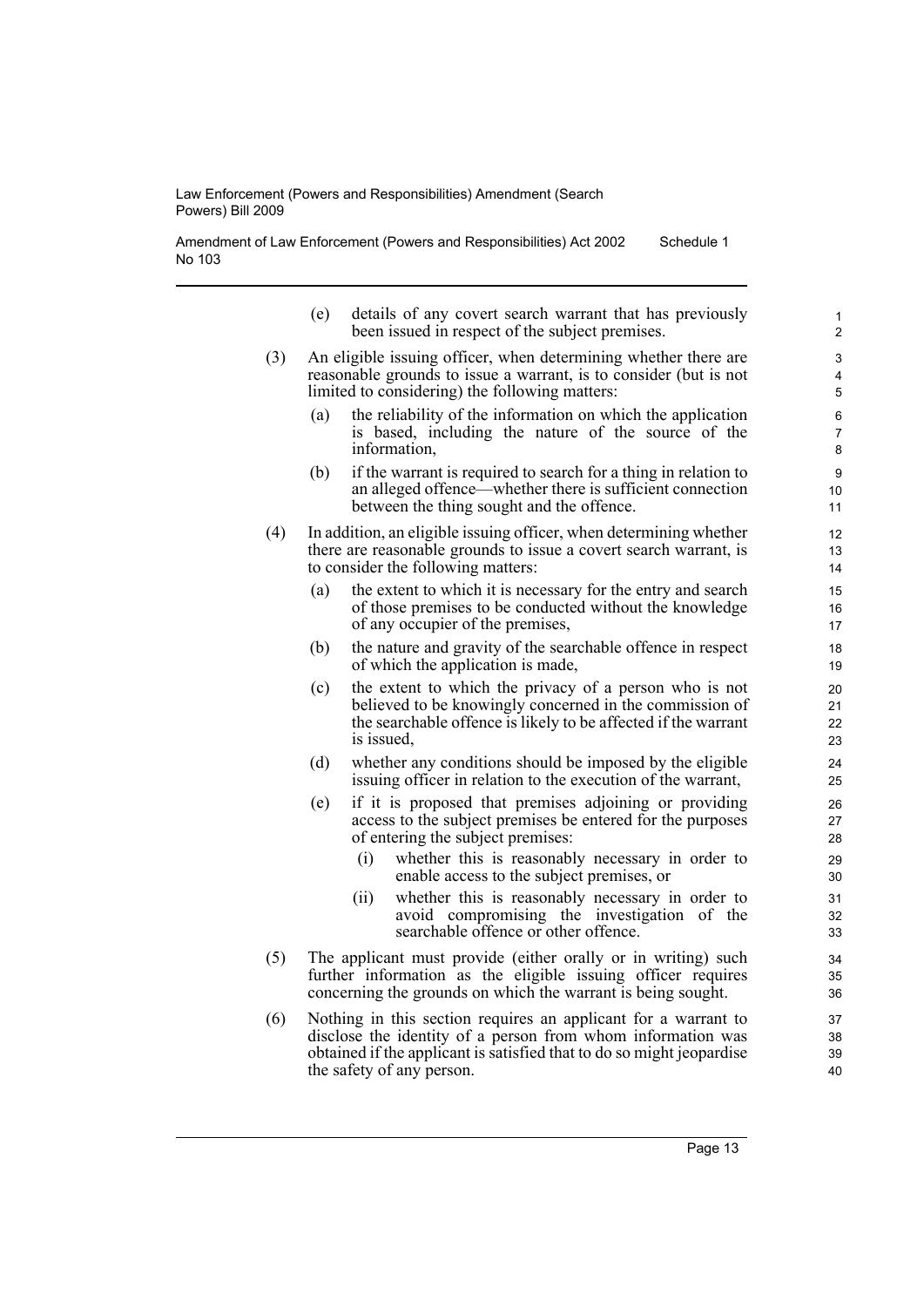Amendment of Law Enforcement (Powers and Responsibilities) Act 2002 No 103 Schedule 1

- (e) details of any covert search warrant that has previously been issued in respect of the subject premises.
- (3) An eligible issuing officer, when determining whether there are reasonable grounds to issue a warrant, is to consider (but is not limited to considering) the following matters:
	- (a) the reliability of the information on which the application is based, including the nature of the source of the information,
	- (b) if the warrant is required to search for a thing in relation to an alleged offence—whether there is sufficient connection between the thing sought and the offence.
- (4) In addition, an eligible issuing officer, when determining whether there are reasonable grounds to issue a covert search warrant, is to consider the following matters:
	- (a) the extent to which it is necessary for the entry and search of those premises to be conducted without the knowledge of any occupier of the premises,
	- (b) the nature and gravity of the searchable offence in respect of which the application is made,
	- (c) the extent to which the privacy of a person who is not believed to be knowingly concerned in the commission of the searchable offence is likely to be affected if the warrant is issued,
	- (d) whether any conditions should be imposed by the eligible issuing officer in relation to the execution of the warrant,
	- (e) if it is proposed that premises adjoining or providing access to the subject premises be entered for the purposes of entering the subject premises:
		- (i) whether this is reasonably necessary in order to enable access to the subject premises, or
		- (ii) whether this is reasonably necessary in order to avoid compromising the investigation of the searchable offence or other offence.
- (5) The applicant must provide (either orally or in writing) such further information as the eligible issuing officer requires concerning the grounds on which the warrant is being sought.
- (6) Nothing in this section requires an applicant for a warrant to disclose the identity of a person from whom information was obtained if the applicant is satisfied that to do so might jeopardise the safety of any person.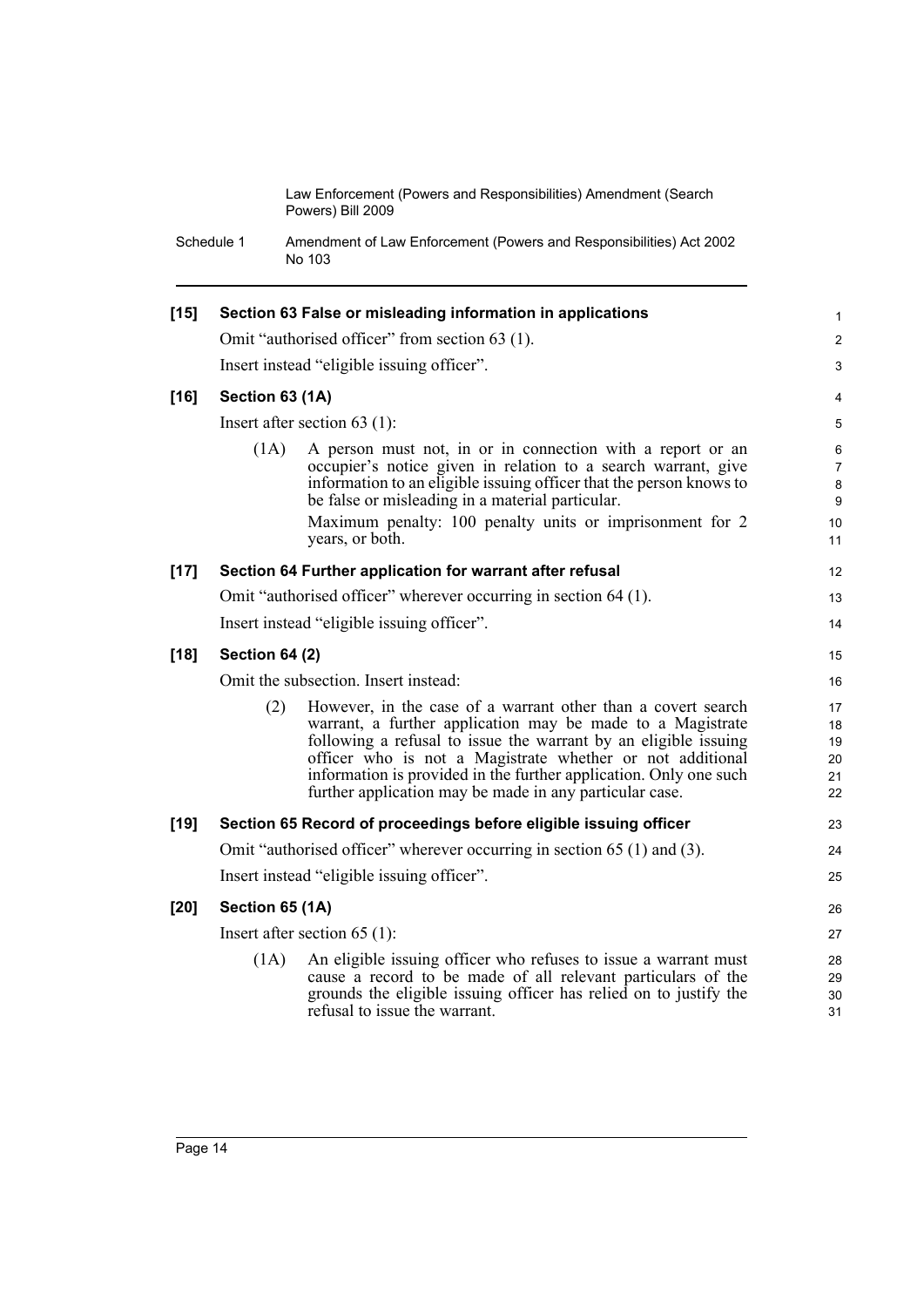Schedule 1 Amendment of Law Enforcement (Powers and Responsibilities) Act 2002 No 103

| $[15]$ |                       | Section 63 False or misleading information in applications                                                                                                                                                                                                                                                                                                                                 | $\mathbf{1}$                                |  |  |
|--------|-----------------------|--------------------------------------------------------------------------------------------------------------------------------------------------------------------------------------------------------------------------------------------------------------------------------------------------------------------------------------------------------------------------------------------|---------------------------------------------|--|--|
|        |                       | Omit "authorised officer" from section 63 (1).                                                                                                                                                                                                                                                                                                                                             | 2                                           |  |  |
|        |                       | Insert instead "eligible issuing officer".                                                                                                                                                                                                                                                                                                                                                 | 3                                           |  |  |
| $[16]$ | Section 63 (1A)       |                                                                                                                                                                                                                                                                                                                                                                                            | 4                                           |  |  |
|        |                       | Insert after section 63 $(1)$ :                                                                                                                                                                                                                                                                                                                                                            | 5                                           |  |  |
|        | (1A)                  | A person must not, in or in connection with a report or an<br>occupier's notice given in relation to a search warrant, give<br>information to an eligible issuing officer that the person knows to<br>be false or misleading in a material particular.<br>Maximum penalty: 100 penalty units or imprisonment for 2<br>years, or both.                                                      | 6<br>7<br>8<br>$\boldsymbol{9}$<br>10<br>11 |  |  |
| $[17]$ |                       | Section 64 Further application for warrant after refusal                                                                                                                                                                                                                                                                                                                                   | 12                                          |  |  |
|        |                       | Omit "authorised officer" wherever occurring in section 64 (1).                                                                                                                                                                                                                                                                                                                            | 13                                          |  |  |
|        |                       | Insert instead "eligible issuing officer".                                                                                                                                                                                                                                                                                                                                                 | 14                                          |  |  |
| $[18]$ | <b>Section 64 (2)</b> |                                                                                                                                                                                                                                                                                                                                                                                            |                                             |  |  |
|        |                       | Omit the subsection. Insert instead:                                                                                                                                                                                                                                                                                                                                                       | 16                                          |  |  |
|        | (2)                   | However, in the case of a warrant other than a covert search<br>warrant, a further application may be made to a Magistrate<br>following a refusal to issue the warrant by an eligible issuing<br>officer who is not a Magistrate whether or not additional<br>information is provided in the further application. Only one such<br>further application may be made in any particular case. | 17<br>18<br>19<br>20<br>21<br>22            |  |  |
| $[19]$ |                       | Section 65 Record of proceedings before eligible issuing officer                                                                                                                                                                                                                                                                                                                           | 23                                          |  |  |
|        |                       | Omit "authorised officer" wherever occurring in section 65 (1) and (3).                                                                                                                                                                                                                                                                                                                    | 24                                          |  |  |
|        |                       | Insert instead "eligible issuing officer".                                                                                                                                                                                                                                                                                                                                                 | 25                                          |  |  |
| $[20]$ | Section 65 (1A)       |                                                                                                                                                                                                                                                                                                                                                                                            | 26                                          |  |  |
|        |                       | Insert after section $65$ (1):                                                                                                                                                                                                                                                                                                                                                             | 27                                          |  |  |
|        | (1A)                  | An eligible issuing officer who refuses to issue a warrant must<br>cause a record to be made of all relevant particulars of the<br>grounds the eligible issuing officer has relied on to justify the<br>refusal to issue the warrant.                                                                                                                                                      | 28<br>29<br>30<br>31                        |  |  |
|        |                       |                                                                                                                                                                                                                                                                                                                                                                                            |                                             |  |  |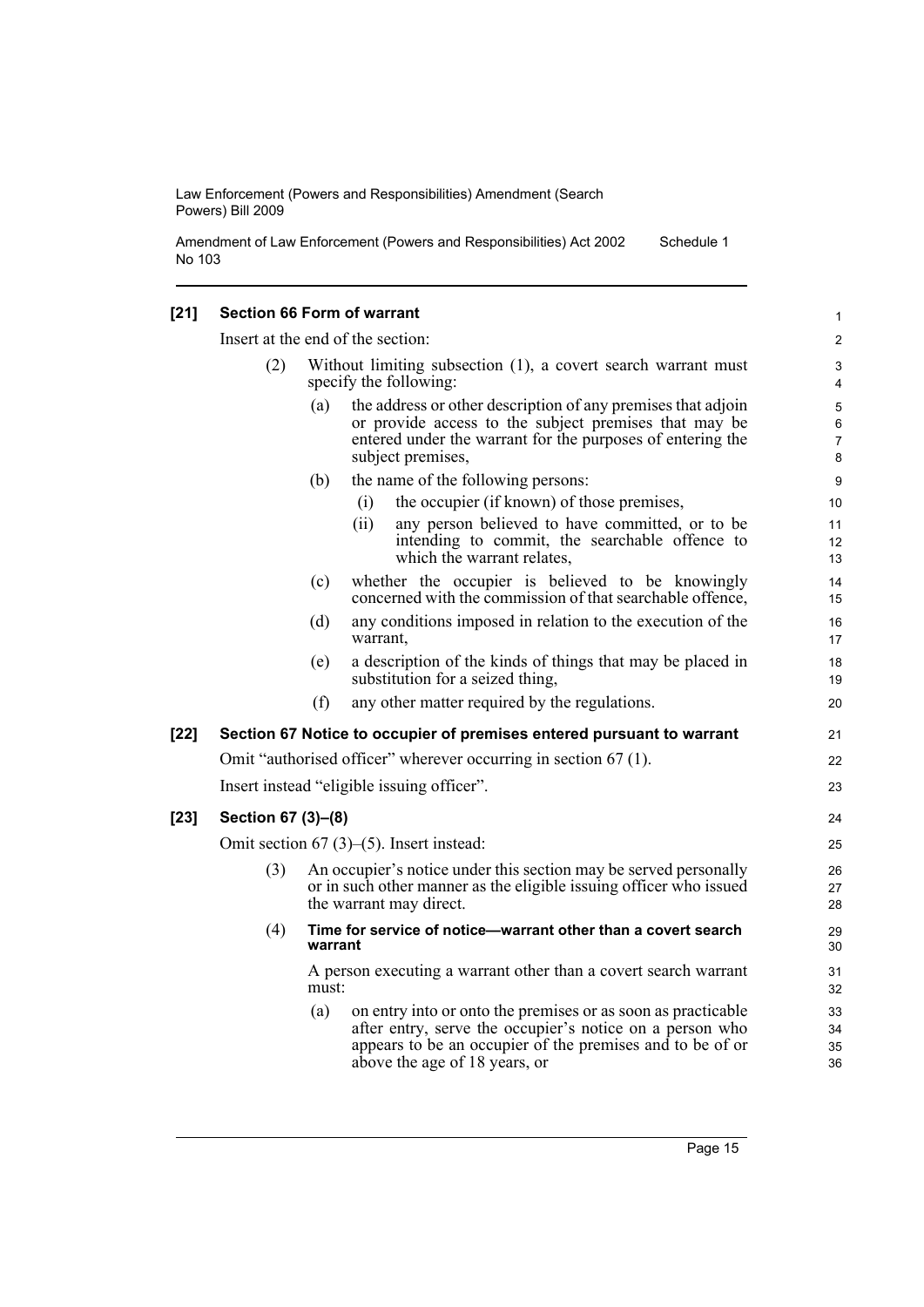Amendment of Law Enforcement (Powers and Responsibilities) Act 2002 No 103 Schedule 1

#### **[21] Section 66 Form of warrant**

Insert at the end of the section:

- (2) Without limiting subsection (1), a covert search warrant must specify the following:
	- (a) the address or other description of any premises that adjoin or provide access to the subject premises that may be entered under the warrant for the purposes of entering the subject premises,
	- (b) the name of the following persons:
		- (i) the occupier (if known) of those premises,
			- (ii) any person believed to have committed, or to be intending to commit, the searchable offence to which the warrant relates,
	- (c) whether the occupier is believed to be knowingly concerned with the commission of that searchable offence,
	- (d) any conditions imposed in relation to the execution of the warrant,
	- (e) a description of the kinds of things that may be placed in substitution for a seized thing,
	- (f) any other matter required by the regulations.

#### **[22] Section 67 Notice to occupier of premises entered pursuant to warrant**

Omit "authorised officer" wherever occurring in section 67 (1).

Insert instead "eligible issuing officer".

#### **[23] Section 67 (3)–(8)**

Omit section 67 (3)–(5). Insert instead:

- (3) An occupier's notice under this section may be served personally or in such other manner as the eligible issuing officer who issued the warrant may direct.
- (4) **Time for service of notice—warrant other than a covert search warrant**

A person executing a warrant other than a covert search warrant must:

(a) on entry into or onto the premises or as soon as practicable after entry, serve the occupier's notice on a person who appears to be an occupier of the premises and to be of or above the age of 18 years, or

21  $22$ 23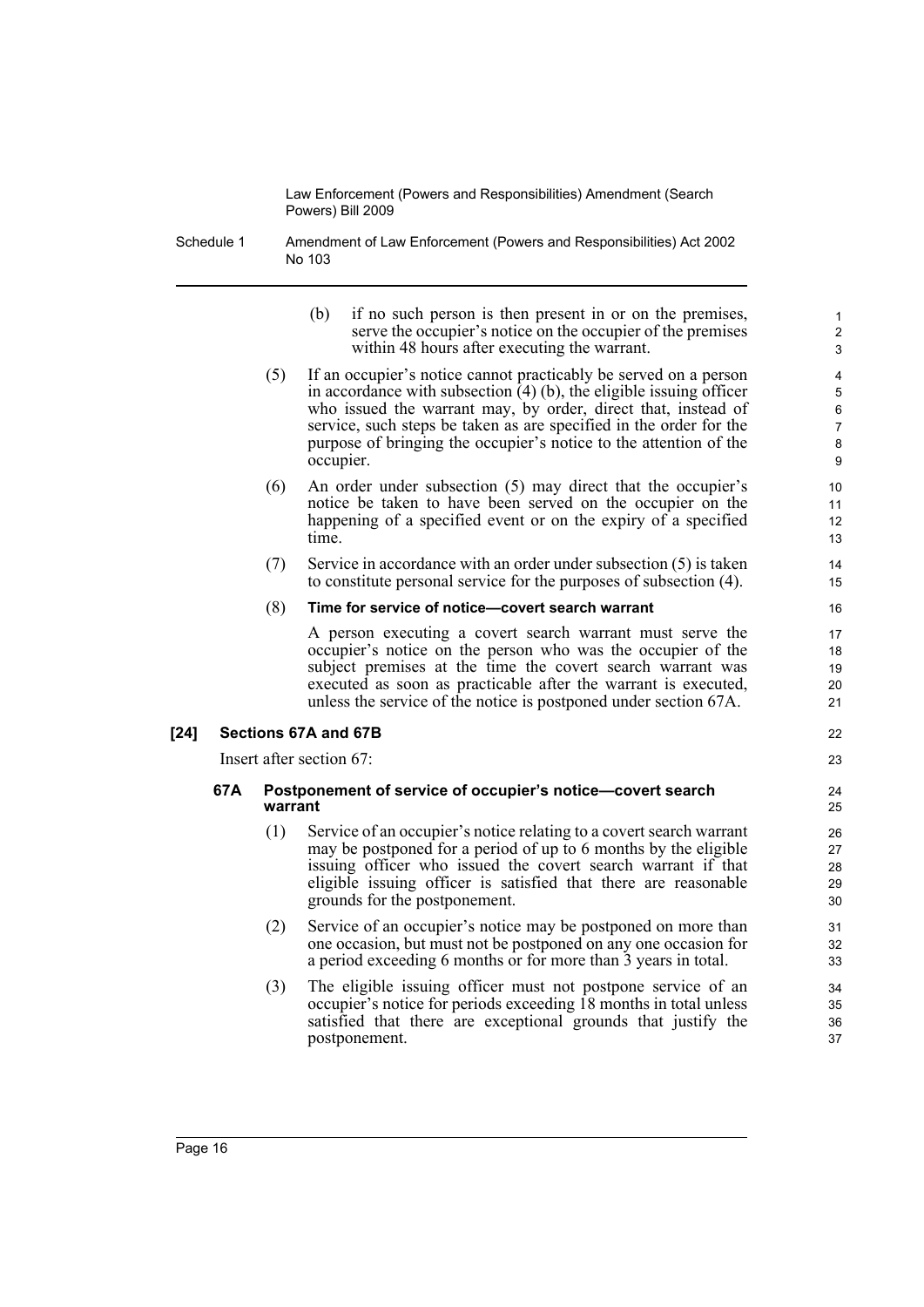Schedule 1 Amendment of Law Enforcement (Powers and Responsibilities) Act 2002 No 103

| (b) | if no such person is then present in or on the premises,    |
|-----|-------------------------------------------------------------|
|     | serve the occupier's notice on the occupier of the premises |
|     | within 48 hours after executing the warrant.                |

22 23

- (5) If an occupier's notice cannot practicably be served on a person in accordance with subsection  $(4)$  (b), the eligible issuing officer who issued the warrant may, by order, direct that, instead of service, such steps be taken as are specified in the order for the purpose of bringing the occupier's notice to the attention of the occupier.
- (6) An order under subsection (5) may direct that the occupier's notice be taken to have been served on the occupier on the happening of a specified event or on the expiry of a specified time.
- (7) Service in accordance with an order under subsection (5) is taken to constitute personal service for the purposes of subsection (4).

#### (8) **Time for service of notice—covert search warrant**

A person executing a covert search warrant must serve the occupier's notice on the person who was the occupier of the subject premises at the time the covert search warrant was executed as soon as practicable after the warrant is executed, unless the service of the notice is postponed under section 67A.

#### **[24] Sections 67A and 67B**

Insert after section 67:

#### **67A Postponement of service of occupier's notice—covert search warrant**

- (1) Service of an occupier's notice relating to a covert search warrant may be postponed for a period of up to 6 months by the eligible issuing officer who issued the covert search warrant if that eligible issuing officer is satisfied that there are reasonable grounds for the postponement.
- (2) Service of an occupier's notice may be postponed on more than one occasion, but must not be postponed on any one occasion for a period exceeding 6 months or for more than 3 years in total.
- (3) The eligible issuing officer must not postpone service of an occupier's notice for periods exceeding 18 months in total unless satisfied that there are exceptional grounds that justify the postponement.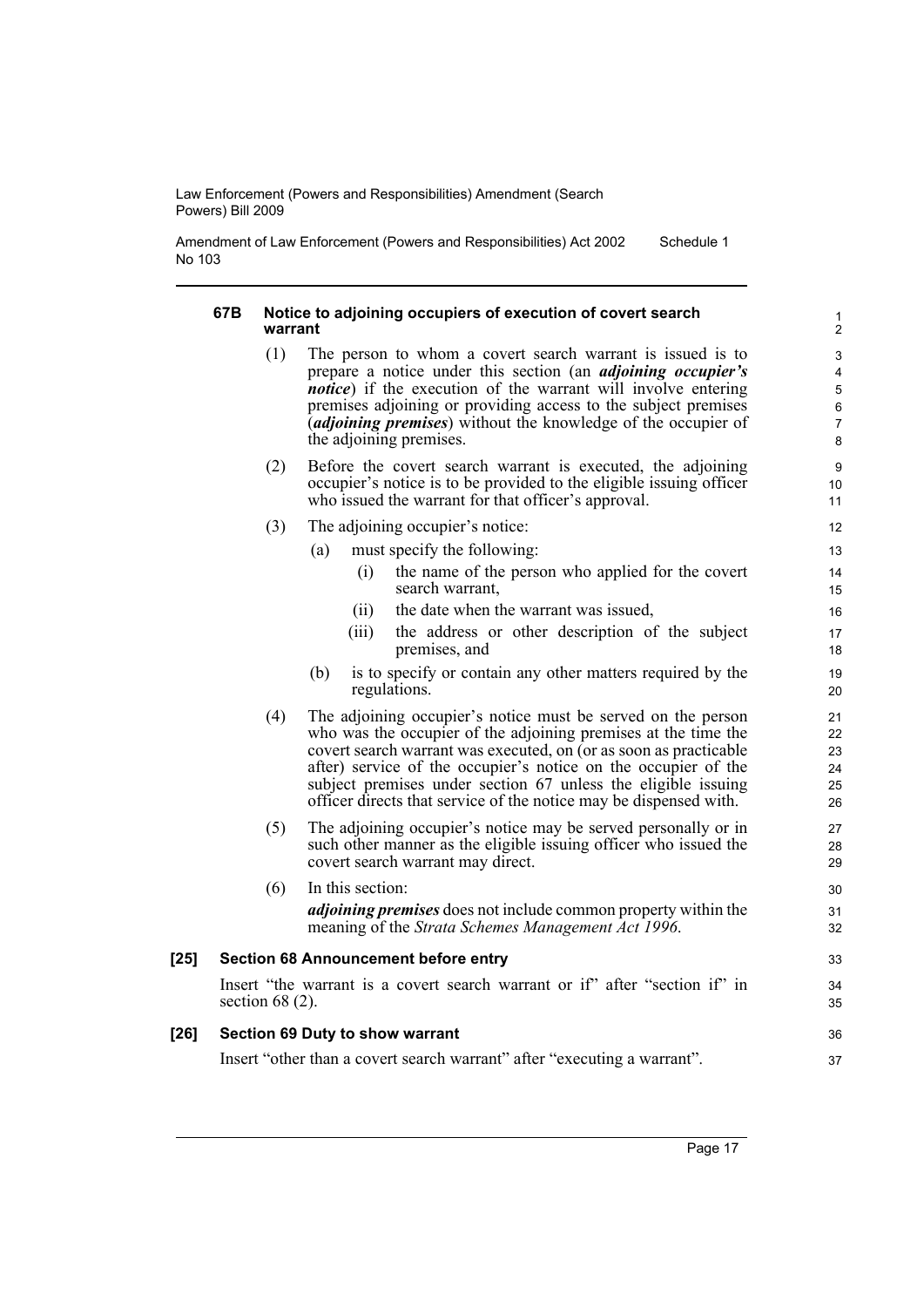Amendment of Law Enforcement (Powers and Responsibilities) Act 2002 No 103 Schedule 1

#### **67B Notice to adjoining occupiers of execution of covert search warrant**

- (1) The person to whom a covert search warrant is issued is to prepare a notice under this section (an *adjoining occupier's notice*) if the execution of the warrant will involve entering premises adjoining or providing access to the subject premises (*adjoining premises*) without the knowledge of the occupier of the adjoining premises.
- (2) Before the covert search warrant is executed, the adjoining occupier's notice is to be provided to the eligible issuing officer who issued the warrant for that officer's approval.
- (3) The adjoining occupier's notice:
	- (a) must specify the following:
		- (i) the name of the person who applied for the covert search warrant,
		- (ii) the date when the warrant was issued,
		- (iii) the address or other description of the subject premises, and
	- (b) is to specify or contain any other matters required by the regulations.
- (4) The adjoining occupier's notice must be served on the person who was the occupier of the adjoining premises at the time the covert search warrant was executed, on (or as soon as practicable after) service of the occupier's notice on the occupier of the subject premises under section 67 unless the eligible issuing officer directs that service of the notice may be dispensed with.
- (5) The adjoining occupier's notice may be served personally or in such other manner as the eligible issuing officer who issued the covert search warrant may direct.
- (6) In this section: *adjoining premises* does not include common property within the meaning of the *Strata Schemes Management Act 1996*. **[25] Section 68 Announcement before entry**

#### Insert "the warrant is a covert search warrant or if" after "section if" in section 68 $(2)$ .

#### **[26] Section 69 Duty to show warrant**

Insert "other than a covert search warrant" after "executing a warrant".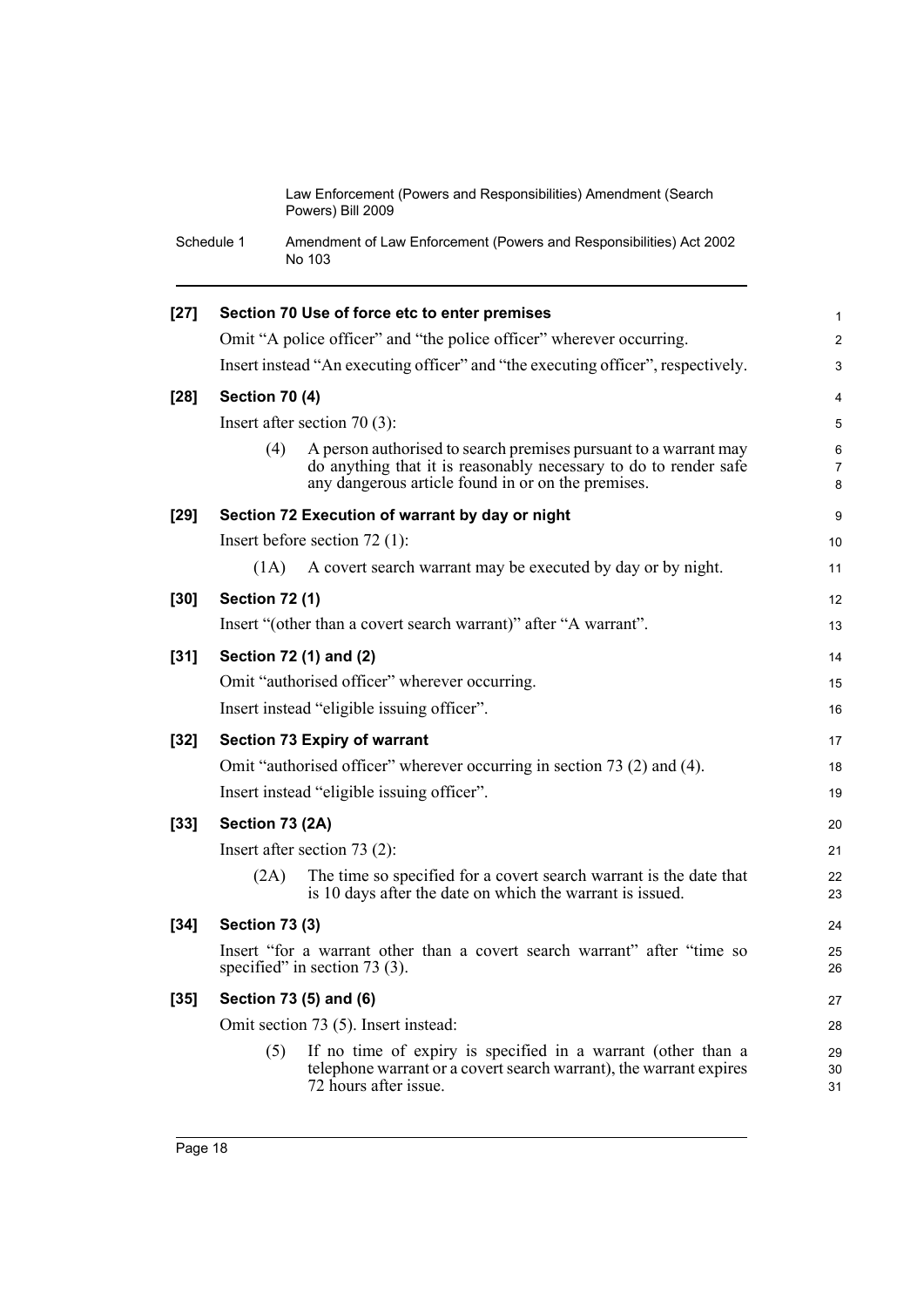Schedule 1 Amendment of Law Enforcement (Powers and Responsibilities) Act 2002 No 103

| $[27]$ |                       | Section 70 Use of force etc to enter premises                                                                                                                                              | $\mathbf{1}$   |
|--------|-----------------------|--------------------------------------------------------------------------------------------------------------------------------------------------------------------------------------------|----------------|
|        |                       | Omit "A police officer" and "the police officer" wherever occurring.                                                                                                                       | $\overline{2}$ |
|        |                       | Insert instead "An executing officer" and "the executing officer", respectively.                                                                                                           | 3              |
| $[28]$ | <b>Section 70 (4)</b> |                                                                                                                                                                                            | 4              |
|        |                       | Insert after section 70 $(3)$ :                                                                                                                                                            | 5              |
|        | (4)                   | A person authorised to search premises pursuant to a warrant may<br>do anything that it is reasonably necessary to do to render safe<br>any dangerous article found in or on the premises. | 6<br>7<br>8    |
| $[29]$ |                       | Section 72 Execution of warrant by day or night                                                                                                                                            | 9              |
|        |                       | Insert before section $72$ (1):                                                                                                                                                            | 10             |
|        | (1A)                  | A covert search warrant may be executed by day or by night.                                                                                                                                | 11             |
| $[30]$ | <b>Section 72 (1)</b> |                                                                                                                                                                                            | 12             |
|        |                       | Insert "(other than a covert search warrant)" after "A warrant".                                                                                                                           | 13             |
| $[31]$ |                       | Section 72 (1) and (2)                                                                                                                                                                     | 14             |
|        |                       | Omit "authorised officer" wherever occurring.                                                                                                                                              | 15             |
|        |                       | Insert instead "eligible issuing officer".                                                                                                                                                 | 16             |
| $[32]$ |                       | <b>Section 73 Expiry of warrant</b>                                                                                                                                                        | 17             |
|        |                       | Omit "authorised officer" wherever occurring in section 73 (2) and (4).                                                                                                                    | 18             |
|        |                       | Insert instead "eligible issuing officer".                                                                                                                                                 | 19             |
| $[33]$ | Section 73 (2A)       |                                                                                                                                                                                            | 20             |
|        |                       | Insert after section $73(2)$ :                                                                                                                                                             | 21             |
|        | (2A)                  | The time so specified for a covert search warrant is the date that<br>is 10 days after the date on which the warrant is issued.                                                            | 22<br>23       |
| $[34]$ | <b>Section 73 (3)</b> |                                                                                                                                                                                            | 24             |
|        |                       | Insert "for a warrant other than a covert search warrant" after "time so<br>specified" in section $73$ (3).                                                                                | 25<br>26       |
| $[35]$ |                       | Section 73 (5) and (6)                                                                                                                                                                     | 27             |
|        |                       | Omit section 73 (5). Insert instead:                                                                                                                                                       | 28             |
|        | (5)                   | If no time of expiry is specified in a warrant (other than a<br>telephone warrant or a covert search warrant), the warrant expires<br>72 hours after issue.                                | 29<br>30<br>31 |
|        |                       |                                                                                                                                                                                            |                |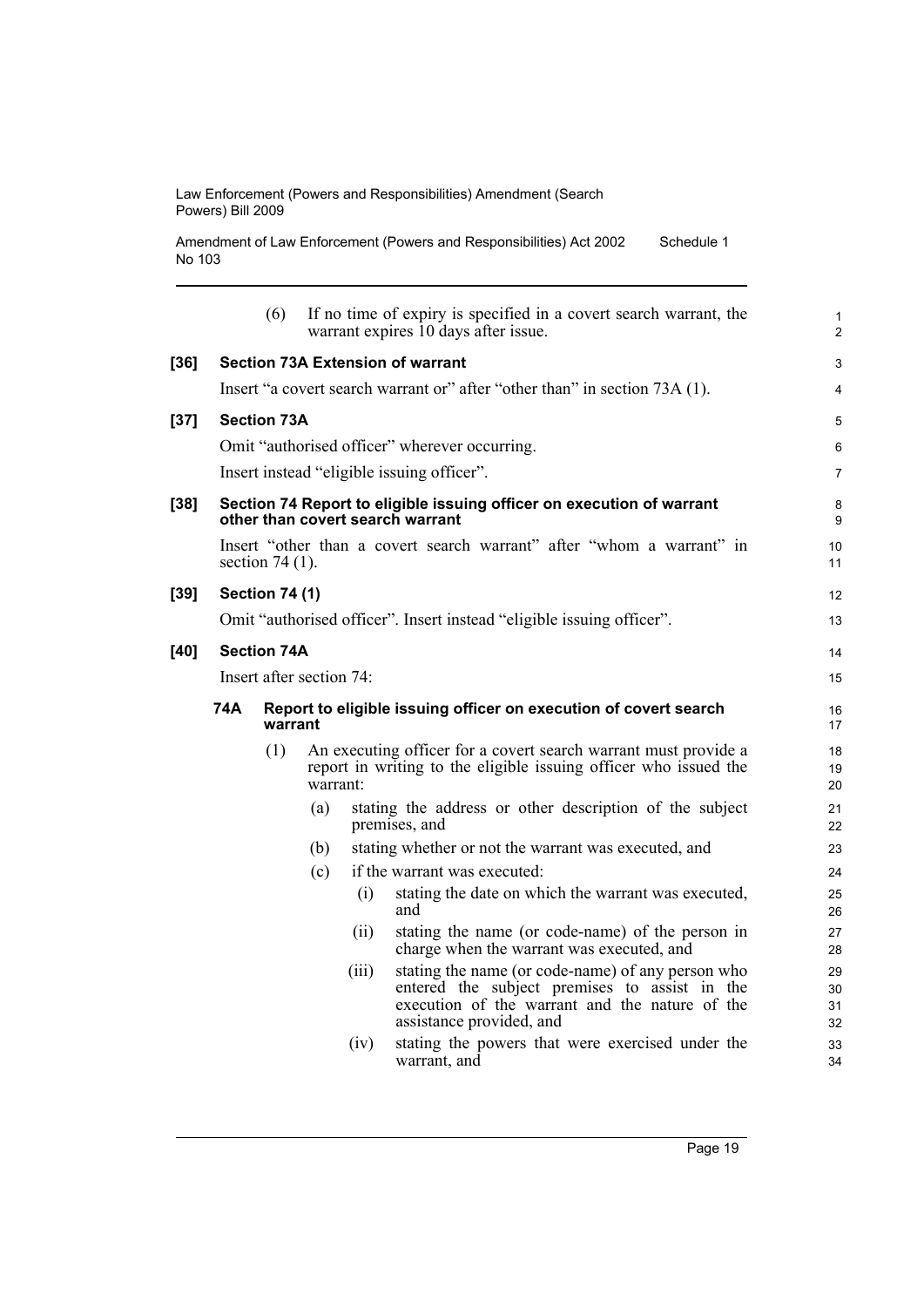Amendment of Law Enforcement (Powers and Responsibilities) Act 2002 No 103 Schedule 1

|      |                          | (6)                   |          |       | If no time of expiry is specified in a covert search warrant, the<br>warrant expires 10 days after issue.                                                                        | $\mathbf{1}$<br>2    |
|------|--------------------------|-----------------------|----------|-------|----------------------------------------------------------------------------------------------------------------------------------------------------------------------------------|----------------------|
| [36] |                          |                       |          |       | <b>Section 73A Extension of warrant</b>                                                                                                                                          | 3                    |
|      |                          |                       |          |       | Insert "a covert search warrant or" after "other than" in section 73A (1).                                                                                                       | $\overline{4}$       |
| [37] |                          | <b>Section 73A</b>    |          |       |                                                                                                                                                                                  | 5                    |
|      |                          |                       |          |       | Omit "authorised officer" wherever occurring.                                                                                                                                    | 6                    |
|      |                          |                       |          |       | Insert instead "eligible issuing officer".                                                                                                                                       | $\overline{7}$       |
| [38] |                          |                       |          |       | Section 74 Report to eligible issuing officer on execution of warrant<br>other than covert search warrant                                                                        | 8<br>9               |
|      |                          | section $74(1)$ .     |          |       | Insert "other than a covert search warrant" after "whom a warrant" in                                                                                                            | 10<br>11             |
| [39] |                          | <b>Section 74 (1)</b> |          |       |                                                                                                                                                                                  | 12                   |
|      |                          |                       |          |       | Omit "authorised officer". Insert instead "eligible issuing officer".                                                                                                            | 13                   |
| [40] |                          | <b>Section 74A</b>    |          |       |                                                                                                                                                                                  | 14                   |
|      | Insert after section 74: |                       |          |       |                                                                                                                                                                                  | 15                   |
|      | 74A                      | warrant               |          |       | Report to eligible issuing officer on execution of covert search                                                                                                                 | 16<br>17             |
|      |                          | (1)                   | warrant: |       | An executing officer for a covert search warrant must provide a<br>report in writing to the eligible issuing officer who issued the                                              | 18<br>19<br>20       |
|      |                          |                       | (a)      |       | stating the address or other description of the subject<br>premises, and                                                                                                         | 21<br>22             |
|      |                          |                       | (b)      |       | stating whether or not the warrant was executed, and                                                                                                                             | 23                   |
|      |                          |                       | (c)      |       | if the warrant was executed:                                                                                                                                                     | 24                   |
|      |                          |                       |          | (i)   | stating the date on which the warrant was executed,<br>and                                                                                                                       | 25<br>26             |
|      |                          |                       |          | (ii)  | stating the name (or code-name) of the person in<br>charge when the warrant was executed, and                                                                                    | 27<br>28             |
|      |                          |                       |          | (iii) | stating the name (or code-name) of any person who<br>entered the subject premises to assist in the<br>execution of the warrant and the nature of the<br>assistance provided, and | 29<br>30<br>31<br>32 |
|      |                          |                       |          | (iv)  | stating the powers that were exercised under the<br>warrant, and                                                                                                                 | 33<br>34             |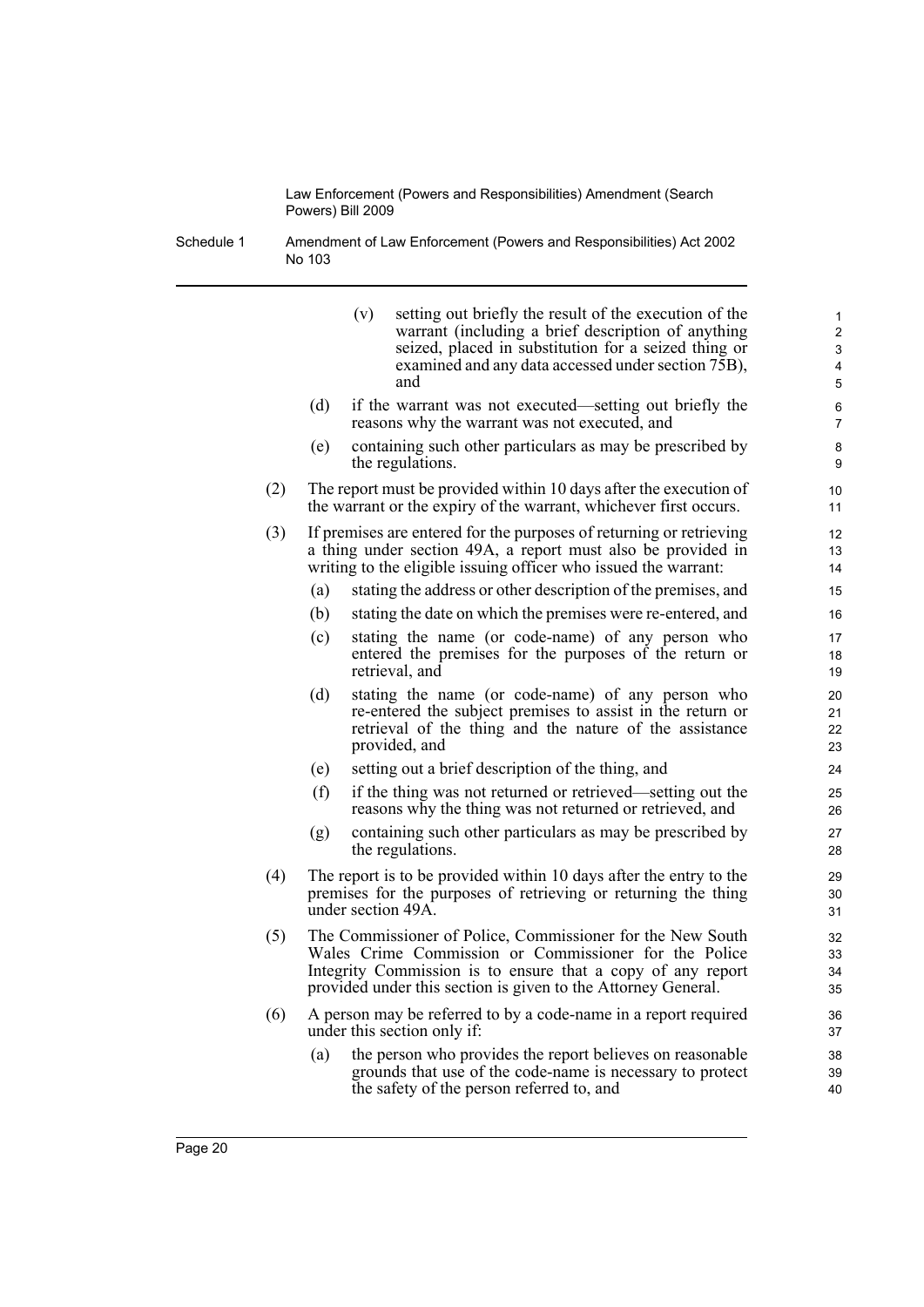Schedule 1 Amendment of Law Enforcement (Powers and Responsibilities) Act 2002 No 103

|     |     | setting out briefly the result of the execution of the<br>(v)<br>warrant (including a brief description of anything<br>seized, placed in substitution for a seized thing or<br>examined and any data accessed under section 75B),<br>and            | 1<br>$\overline{2}$<br>3<br>4<br>5 |
|-----|-----|-----------------------------------------------------------------------------------------------------------------------------------------------------------------------------------------------------------------------------------------------------|------------------------------------|
|     | (d) | if the warrant was not executed—setting out briefly the<br>reasons why the warrant was not executed, and                                                                                                                                            | 6<br>7                             |
|     | (e) | containing such other particulars as may be prescribed by<br>the regulations.                                                                                                                                                                       | 8<br>9                             |
| (2) |     | The report must be provided within 10 days after the execution of<br>the warrant or the expiry of the warrant, whichever first occurs.                                                                                                              | 10<br>11                           |
| (3) |     | If premises are entered for the purposes of returning or retrieving<br>a thing under section 49A, a report must also be provided in<br>writing to the eligible issuing officer who issued the warrant:                                              | 12<br>13<br>14                     |
|     | (a) | stating the address or other description of the premises, and                                                                                                                                                                                       | 15                                 |
|     | (b) | stating the date on which the premises were re-entered, and                                                                                                                                                                                         | 16                                 |
|     | (c) | stating the name (or code-name) of any person who<br>entered the premises for the purposes of the return or<br>retrieval, and                                                                                                                       | 17<br>18<br>19                     |
|     | (d) | stating the name (or code-name) of any person who<br>re-entered the subject premises to assist in the return or<br>retrieval of the thing and the nature of the assistance<br>provided, and                                                         | 20<br>21<br>22<br>23               |
|     | (e) | setting out a brief description of the thing, and                                                                                                                                                                                                   | 24                                 |
|     | (f) | if the thing was not returned or retrieved—setting out the<br>reasons why the thing was not returned or retrieved, and                                                                                                                              | 25<br>26                           |
|     | (g) | containing such other particulars as may be prescribed by<br>the regulations.                                                                                                                                                                       | 27<br>28                           |
| (4) |     | The report is to be provided within 10 days after the entry to the<br>premises for the purposes of retrieving or returning the thing<br>under section 49A.                                                                                          | 29<br>30<br>31                     |
| (5) |     | The Commissioner of Police, Commissioner for the New South<br>Wales Crime Commission or Commissioner for the Police<br>Integrity Commission is to ensure that a copy of any report<br>provided under this section is given to the Attorney General. | 32<br>33<br>34<br>35               |
| (6) |     | A person may be referred to by a code-name in a report required<br>under this section only if:                                                                                                                                                      | 36<br>37                           |
|     | (a) | the person who provides the report believes on reasonable<br>grounds that use of the code-name is necessary to protect<br>the safety of the person referred to, and                                                                                 | 38<br>39<br>40                     |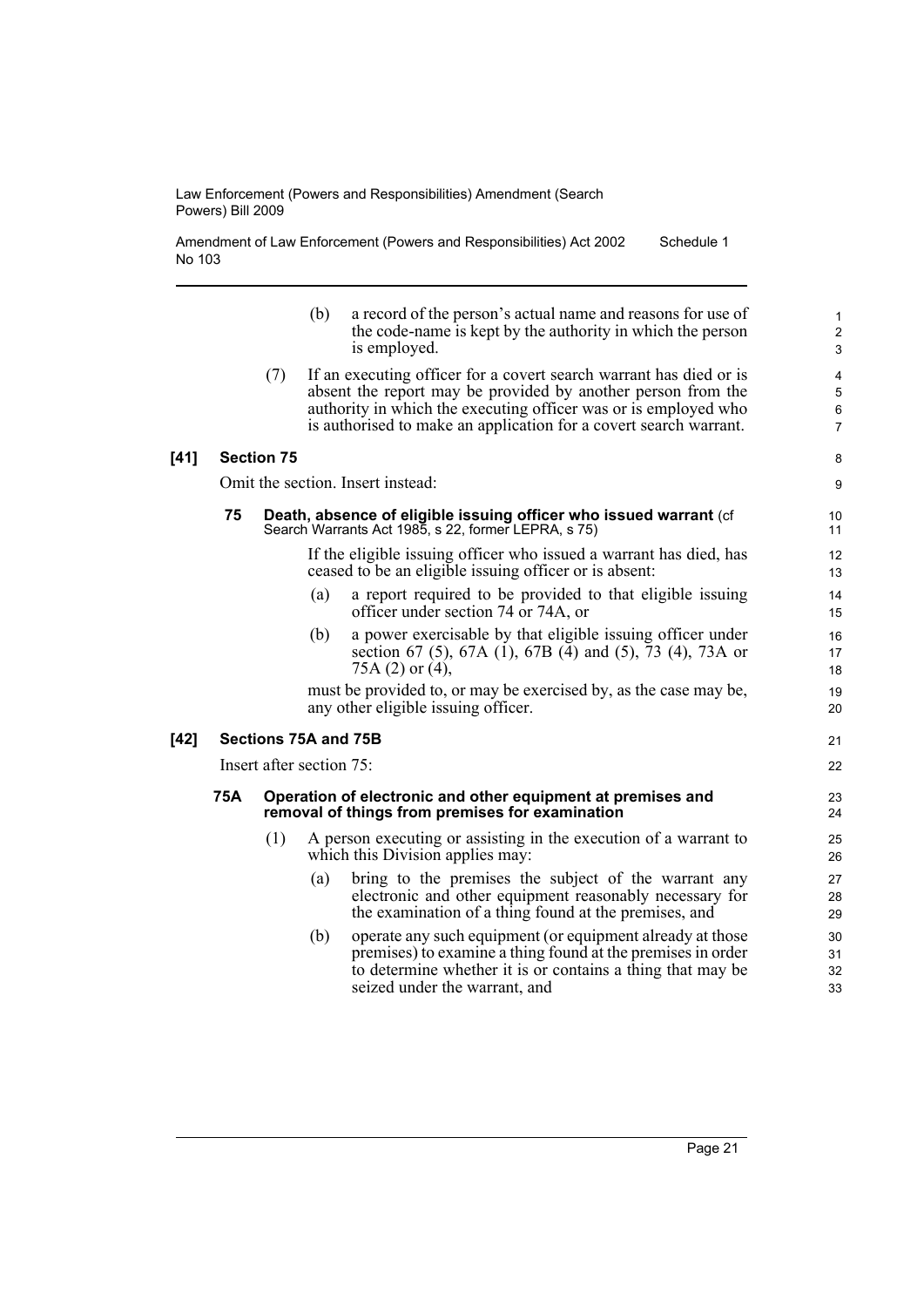Amendment of Law Enforcement (Powers and Responsibilities) Act 2002 No 103 Schedule 1

|      |     |                          | (b) | a record of the person's actual name and reasons for use of<br>the code-name is kept by the authority in which the person<br>is employed.                                                                                                                                  | $\mathbf{1}$<br>$\boldsymbol{2}$<br>$\mathfrak{S}$ |
|------|-----|--------------------------|-----|----------------------------------------------------------------------------------------------------------------------------------------------------------------------------------------------------------------------------------------------------------------------------|----------------------------------------------------|
|      |     | (7)                      |     | If an executing officer for a covert search warrant has died or is<br>absent the report may be provided by another person from the<br>authority in which the executing officer was or is employed who<br>is authorised to make an application for a covert search warrant. | 4<br>$\mathbf 5$<br>$\,6\,$<br>$\overline{7}$      |
| [41] |     | <b>Section 75</b>        |     |                                                                                                                                                                                                                                                                            | 8                                                  |
|      |     |                          |     | Omit the section. Insert instead:                                                                                                                                                                                                                                          | 9                                                  |
|      | 75  |                          |     | Death, absence of eligible issuing officer who issued warrant (cf<br>Search Warrants Act 1985, s 22, former LEPRA, s 75)                                                                                                                                                   | 10<br>11                                           |
|      |     |                          |     | If the eligible issuing officer who issued a warrant has died, has<br>ceased to be an eligible issuing officer or is absent:                                                                                                                                               | 12<br>13                                           |
|      |     |                          | (a) | a report required to be provided to that eligible issuing<br>officer under section 74 or 74A, or                                                                                                                                                                           | 14<br>15                                           |
|      |     |                          | (b) | a power exercisable by that eligible issuing officer under<br>section 67 (5), 67A (1), 67B (4) and (5), 73 (4), 73A or<br>75A $(2)$ or $(4)$ ,                                                                                                                             | 16<br>17<br>18                                     |
|      |     |                          |     | must be provided to, or may be exercised by, as the case may be,<br>any other eligible issuing officer.                                                                                                                                                                    | 19<br>20                                           |
| [42] |     | Sections 75A and 75B     |     |                                                                                                                                                                                                                                                                            | 21                                                 |
|      |     | Insert after section 75: |     |                                                                                                                                                                                                                                                                            | 22                                                 |
|      | 75A |                          |     | Operation of electronic and other equipment at premises and<br>removal of things from premises for examination                                                                                                                                                             | 23<br>24                                           |
|      |     | (1)                      |     | A person executing or assisting in the execution of a warrant to<br>which this Division applies may:                                                                                                                                                                       | 25<br>26                                           |
|      |     |                          | (a) | bring to the premises the subject of the warrant any<br>electronic and other equipment reasonably necessary for<br>the examination of a thing found at the premises, and                                                                                                   | 27<br>28<br>29                                     |
|      |     |                          | (b) | operate any such equipment (or equipment already at those<br>premises) to examine a thing found at the premises in order<br>to determine whether it is or contains a thing that may be<br>seized under the warrant, and                                                    | 30<br>31<br>32<br>33                               |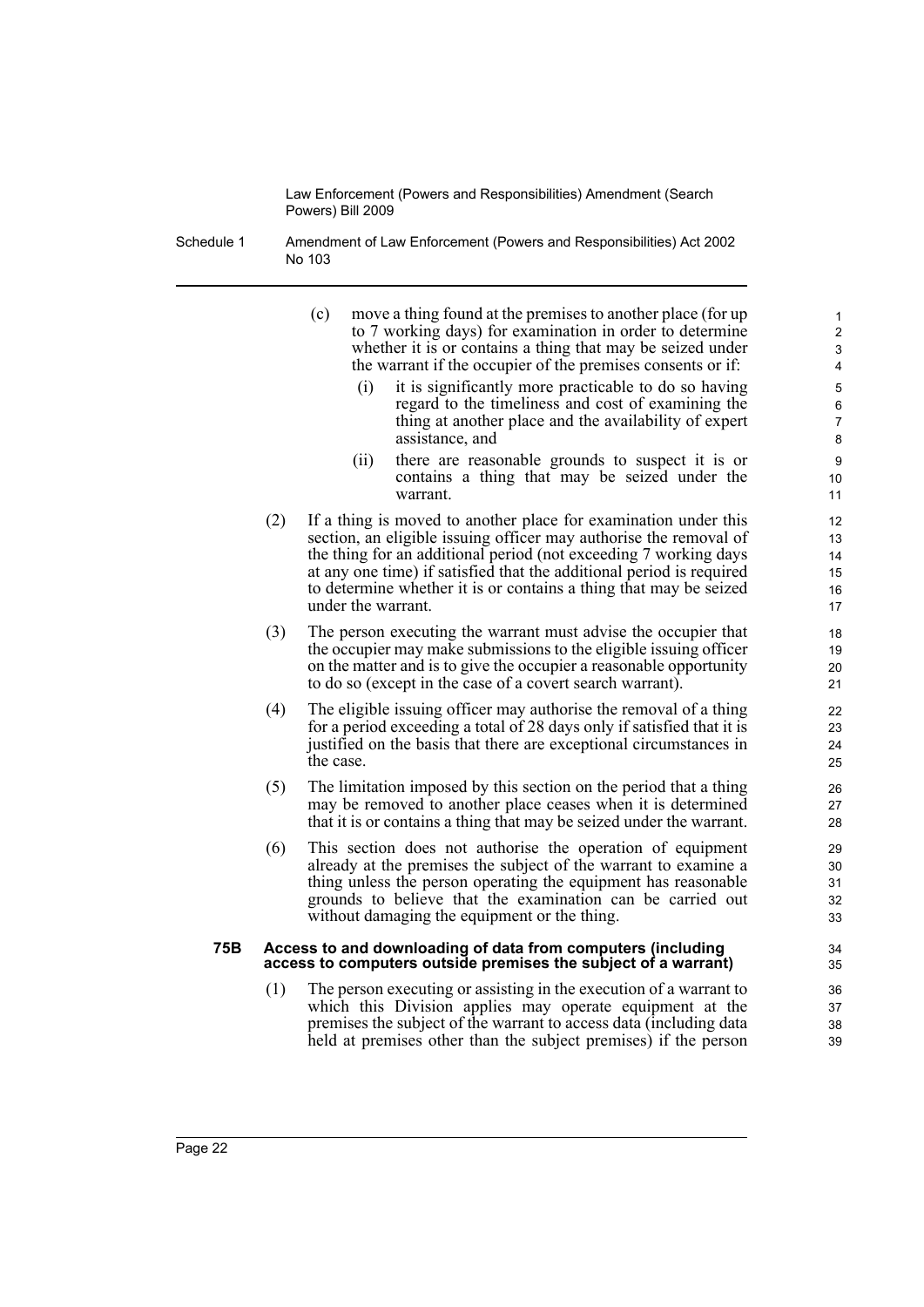- Schedule 1 Amendment of Law Enforcement (Powers and Responsibilities) Act 2002 No 103
	- (c) move a thing found at the premises to another place (for up to 7 working days) for examination in order to determine whether it is or contains a thing that may be seized under the warrant if the occupier of the premises consents or if:
		- (i) it is significantly more practicable to do so having regard to the timeliness and cost of examining the thing at another place and the availability of expert assistance, and

- (ii) there are reasonable grounds to suspect it is or contains a thing that may be seized under the warrant.
- (2) If a thing is moved to another place for examination under this section, an eligible issuing officer may authorise the removal of the thing for an additional period (not exceeding 7 working days at any one time) if satisfied that the additional period is required to determine whether it is or contains a thing that may be seized under the warrant.
- (3) The person executing the warrant must advise the occupier that the occupier may make submissions to the eligible issuing officer on the matter and is to give the occupier a reasonable opportunity to do so (except in the case of a covert search warrant).
- (4) The eligible issuing officer may authorise the removal of a thing for a period exceeding a total of 28 days only if satisfied that it is justified on the basis that there are exceptional circumstances in the case.
- (5) The limitation imposed by this section on the period that a thing may be removed to another place ceases when it is determined that it is or contains a thing that may be seized under the warrant.
- (6) This section does not authorise the operation of equipment already at the premises the subject of the warrant to examine a thing unless the person operating the equipment has reasonable grounds to believe that the examination can be carried out without damaging the equipment or the thing.

#### **75B Access to and downloading of data from computers (including access to computers outside premises the subject of a warrant)**

(1) The person executing or assisting in the execution of a warrant to which this Division applies may operate equipment at the premises the subject of the warrant to access data (including data held at premises other than the subject premises) if the person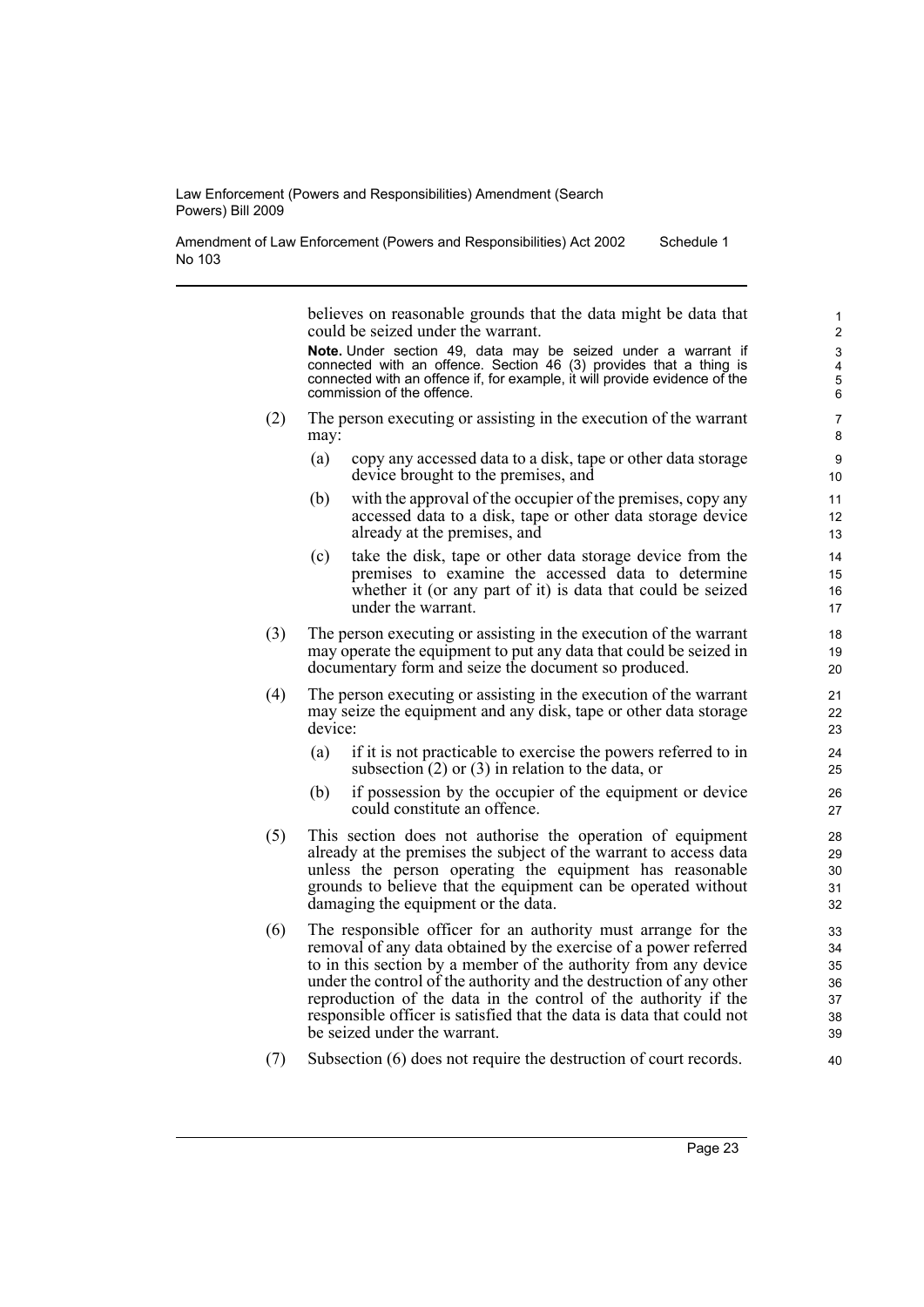Amendment of Law Enforcement (Powers and Responsibilities) Act 2002 No 103 Schedule 1

> believes on reasonable grounds that the data might be data that could be seized under the warrant.

> **Note.** Under section 49, data may be seized under a warrant if connected with an offence. Section 46 (3) provides that a thing is connected with an offence if, for example, it will provide evidence of the commission of the offence.

- (2) The person executing or assisting in the execution of the warrant may:
	- (a) copy any accessed data to a disk, tape or other data storage device brought to the premises, and
	- (b) with the approval of the occupier of the premises, copy any accessed data to a disk, tape or other data storage device already at the premises, and
	- (c) take the disk, tape or other data storage device from the premises to examine the accessed data to determine whether it (or any part of it) is data that could be seized under the warrant.
- (3) The person executing or assisting in the execution of the warrant may operate the equipment to put any data that could be seized in documentary form and seize the document so produced.
- (4) The person executing or assisting in the execution of the warrant may seize the equipment and any disk, tape or other data storage device:
	- (a) if it is not practicable to exercise the powers referred to in subsection (2) or (3) in relation to the data, or
	- (b) if possession by the occupier of the equipment or device could constitute an offence.
- (5) This section does not authorise the operation of equipment already at the premises the subject of the warrant to access data unless the person operating the equipment has reasonable grounds to believe that the equipment can be operated without damaging the equipment or the data.
- (6) The responsible officer for an authority must arrange for the removal of any data obtained by the exercise of a power referred to in this section by a member of the authority from any device under the control of the authority and the destruction of any other reproduction of the data in the control of the authority if the responsible officer is satisfied that the data is data that could not be seized under the warrant.
- (7) Subsection (6) does not require the destruction of court records.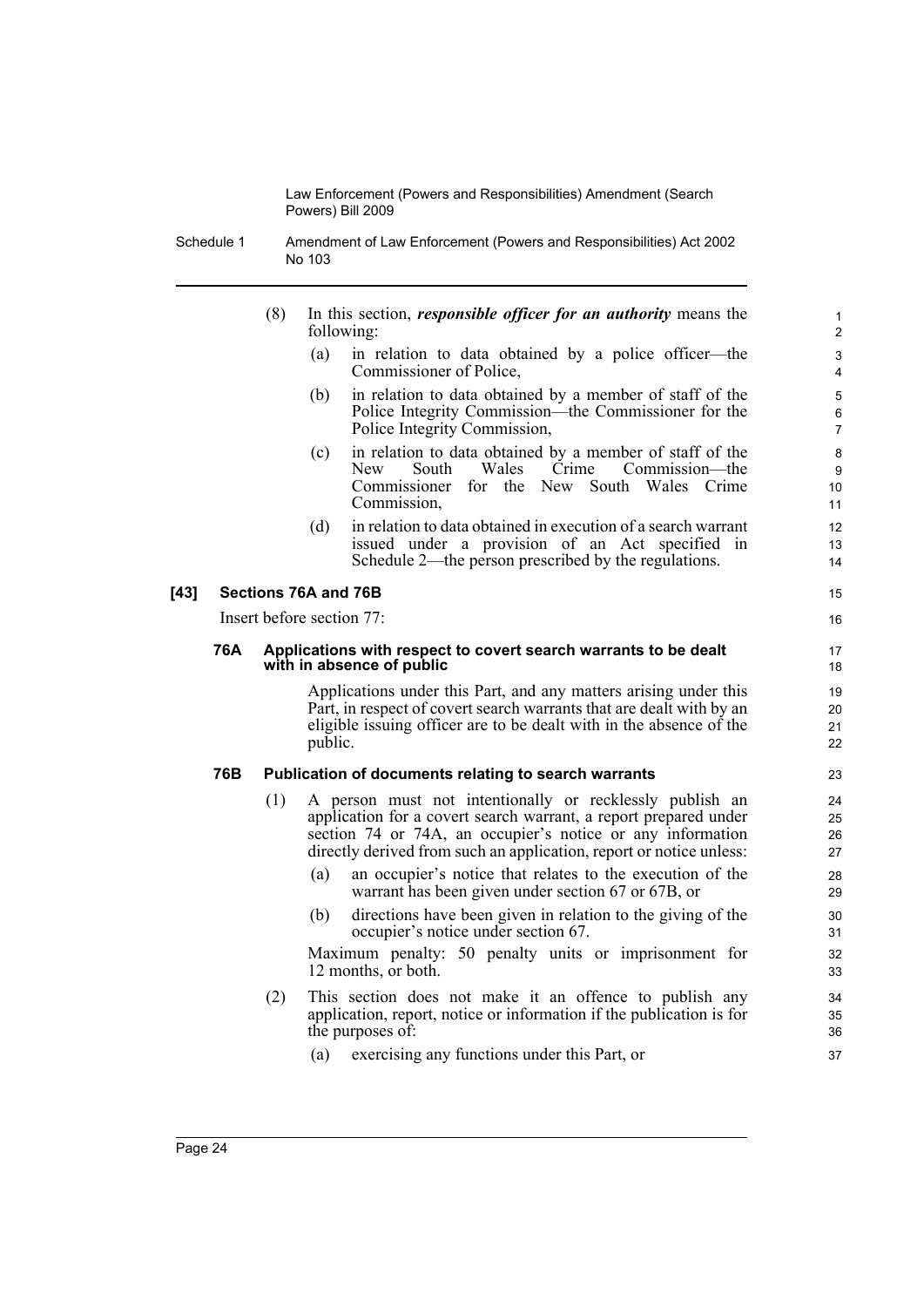Schedule 1 Amendment of Law Enforcement (Powers and Responsibilities) Act 2002 No 103

- (8) In this section, *responsible officer for an authority* means the following:
	- (a) in relation to data obtained by a police officer—the Commissioner of Police,

- (b) in relation to data obtained by a member of staff of the Police Integrity Commission—the Commissioner for the Police Integrity Commission,
- (c) in relation to data obtained by a member of staff of the New South Wales Crime Commission—the Commissioner for the New South Wales Crime Commission,
- (d) in relation to data obtained in execution of a search warrant issued under a provision of an Act specified in Schedule 2—the person prescribed by the regulations.

#### **[43] Sections 76A and 76B**

Insert before section 77:

#### **76A Applications with respect to covert search warrants to be dealt with in absence of public**

Applications under this Part, and any matters arising under this Part, in respect of covert search warrants that are dealt with by an eligible issuing officer are to be dealt with in the absence of the public.

#### **76B Publication of documents relating to search warrants**

- (1) A person must not intentionally or recklessly publish an application for a covert search warrant, a report prepared under section 74 or 74A, an occupier's notice or any information directly derived from such an application, report or notice unless:
	- (a) an occupier's notice that relates to the execution of the warrant has been given under section 67 or 67B, or
	- (b) directions have been given in relation to the giving of the occupier's notice under section 67.

Maximum penalty: 50 penalty units or imprisonment for 12 months, or both.

- (2) This section does not make it an offence to publish any application, report, notice or information if the publication is for the purposes of:
	- (a) exercising any functions under this Part, or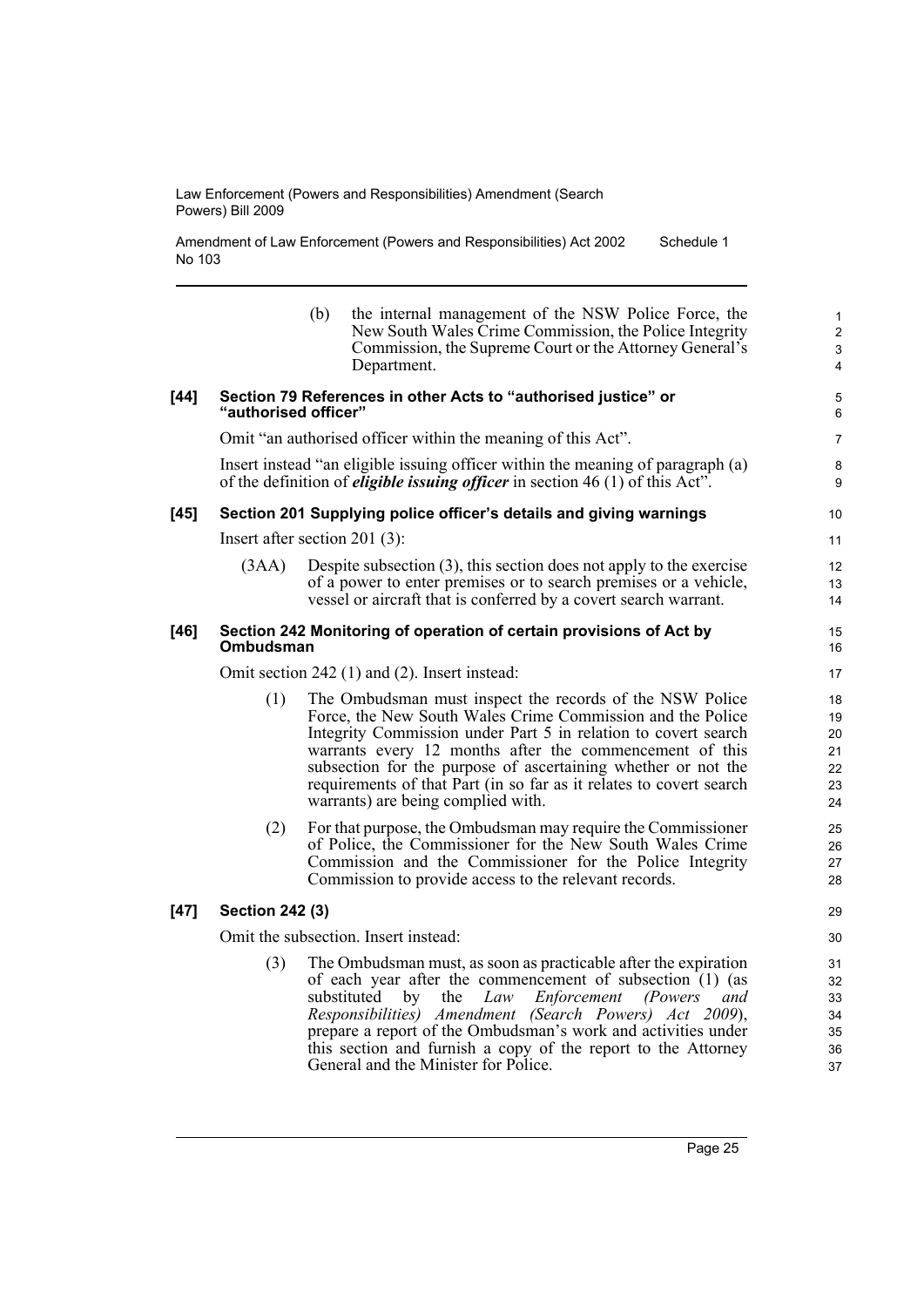Amendment of Law Enforcement (Powers and Responsibilities) Act 2002 No 103 Schedule 1

|        |                                                                                                                                                                          | (b) | the internal management of the NSW Police Force, the<br>New South Wales Crime Commission, the Police Integrity<br>Commission, the Supreme Court or the Attorney General's<br>Department.                                                                                                                                                                                                                                                               | $\mathbf{1}$<br>$\overline{2}$<br>3<br>4 |
|--------|--------------------------------------------------------------------------------------------------------------------------------------------------------------------------|-----|--------------------------------------------------------------------------------------------------------------------------------------------------------------------------------------------------------------------------------------------------------------------------------------------------------------------------------------------------------------------------------------------------------------------------------------------------------|------------------------------------------|
| $[44]$ | Section 79 References in other Acts to "authorised justice" or<br>"authorised officer"                                                                                   |     |                                                                                                                                                                                                                                                                                                                                                                                                                                                        |                                          |
|        |                                                                                                                                                                          |     | Omit "an authorised officer within the meaning of this Act".                                                                                                                                                                                                                                                                                                                                                                                           | $\overline{7}$                           |
|        | Insert instead "an eligible issuing officer within the meaning of paragraph (a)<br>of the definition of <i>eligible issuing officer</i> in section $46(1)$ of this Act". |     |                                                                                                                                                                                                                                                                                                                                                                                                                                                        |                                          |
| [45]   |                                                                                                                                                                          |     | Section 201 Supplying police officer's details and giving warnings                                                                                                                                                                                                                                                                                                                                                                                     | 10                                       |
|        | Insert after section 201 $(3)$ :                                                                                                                                         |     |                                                                                                                                                                                                                                                                                                                                                                                                                                                        |                                          |
|        | (3AA)                                                                                                                                                                    |     | Despite subsection $(3)$ , this section does not apply to the exercise<br>of a power to enter premises or to search premises or a vehicle,<br>vessel or aircraft that is conferred by a covert search warrant.                                                                                                                                                                                                                                         | 12<br>13<br>14                           |
| [46]   | Section 242 Monitoring of operation of certain provisions of Act by<br>Ombudsman                                                                                         |     |                                                                                                                                                                                                                                                                                                                                                                                                                                                        | 15<br>16                                 |
|        | Omit section 242 (1) and (2). Insert instead:                                                                                                                            |     |                                                                                                                                                                                                                                                                                                                                                                                                                                                        |                                          |
|        | (1)                                                                                                                                                                      |     | The Ombudsman must inspect the records of the NSW Police<br>Force, the New South Wales Crime Commission and the Police<br>Integrity Commission under Part 5 in relation to covert search<br>warrants every 12 months after the commencement of this<br>subsection for the purpose of ascertaining whether or not the<br>requirements of that Part (in so far as it relates to covert search<br>warrants) are being complied with.                      | 18<br>19<br>20<br>21<br>22<br>23<br>24   |
|        | (2)                                                                                                                                                                      |     | For that purpose, the Ombudsman may require the Commissioner<br>of Police, the Commissioner for the New South Wales Crime<br>Commission and the Commissioner for the Police Integrity<br>Commission to provide access to the relevant records.                                                                                                                                                                                                         | 25<br>26<br>27<br>28                     |
| $[47]$ | <b>Section 242 (3)</b>                                                                                                                                                   |     |                                                                                                                                                                                                                                                                                                                                                                                                                                                        | 29                                       |
|        | Omit the subsection. Insert instead:                                                                                                                                     |     |                                                                                                                                                                                                                                                                                                                                                                                                                                                        |                                          |
|        | (3)                                                                                                                                                                      |     | The Ombudsman must, as soon as practicable after the expiration<br>of each year after the commencement of subsection (1) (as<br>Enforcement<br>substituted<br>$_{\rm by}$<br>the<br>Law<br><i>(Powers</i> )<br>and<br>Responsibilities) Amendment (Search Powers) Act 2009),<br>prepare a report of the Ombudsman's work and activities under<br>this section and furnish a copy of the report to the Attorney<br>General and the Minister for Police. | 31<br>32<br>33<br>34<br>35<br>36<br>37   |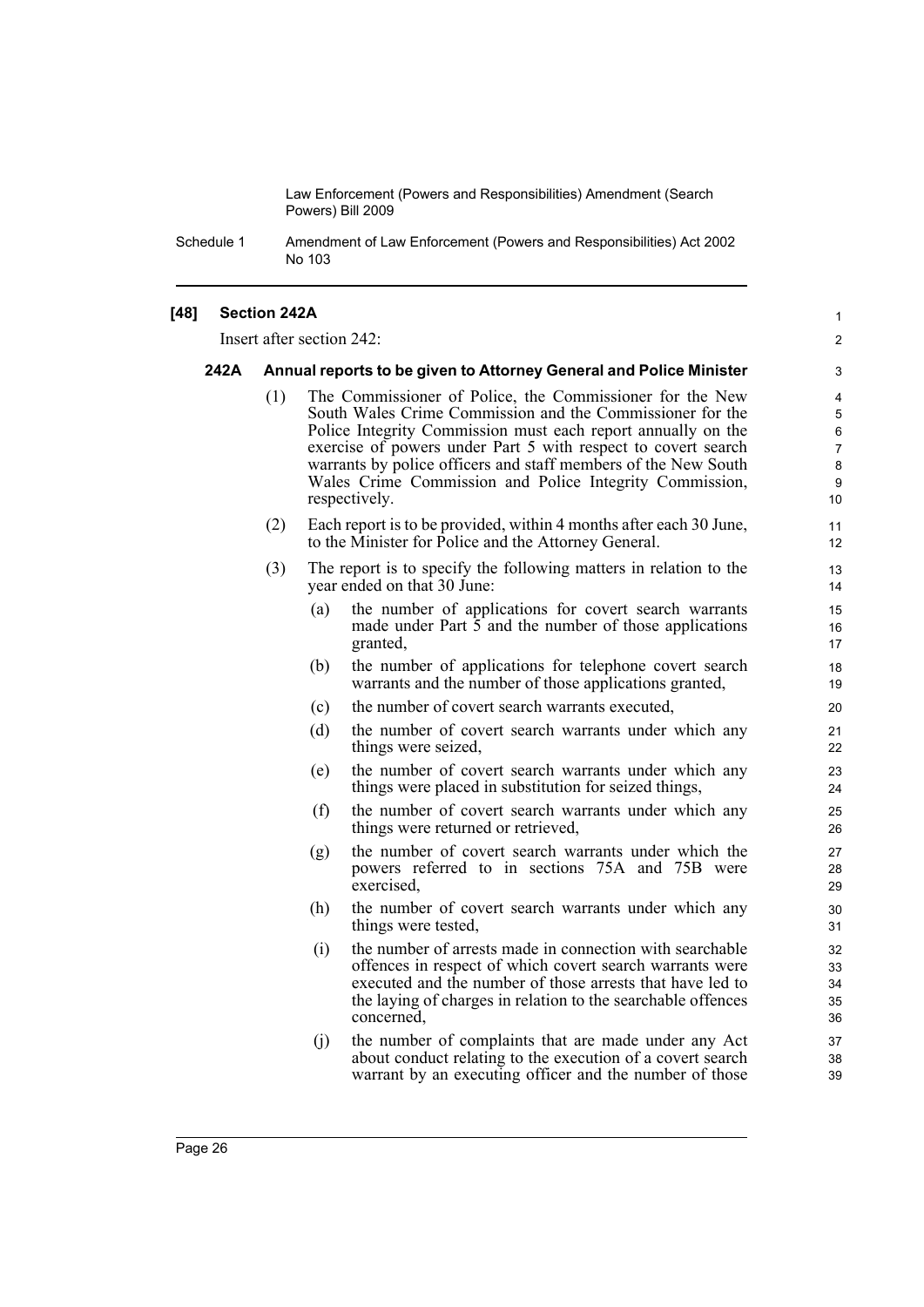Schedule 1 Amendment of Law Enforcement (Powers and Responsibilities) Act 2002 No 103

#### **[48] Section 242A**

Insert after section 242:

#### **242A Annual reports to be given to Attorney General and Police Minister**

(1) The Commissioner of Police, the Commissioner for the New South Wales Crime Commission and the Commissioner for the Police Integrity Commission must each report annually on the exercise of powers under Part 5 with respect to covert search warrants by police officers and staff members of the New South Wales Crime Commission and Police Integrity Commission, respectively.

1  $\mathfrak{p}$ 

- (2) Each report is to be provided, within 4 months after each 30 June, to the Minister for Police and the Attorney General.
- (3) The report is to specify the following matters in relation to the year ended on that 30 June:
	- (a) the number of applications for covert search warrants made under Part 5 and the number of those applications granted,
	- (b) the number of applications for telephone covert search warrants and the number of those applications granted,
	- (c) the number of covert search warrants executed,
	- (d) the number of covert search warrants under which any things were seized,
	- (e) the number of covert search warrants under which any things were placed in substitution for seized things,
	- (f) the number of covert search warrants under which any things were returned or retrieved,
	- (g) the number of covert search warrants under which the powers referred to in sections 75A and 75B were exercised,
	- (h) the number of covert search warrants under which any things were tested,
	- (i) the number of arrests made in connection with searchable offences in respect of which covert search warrants were executed and the number of those arrests that have led to the laying of charges in relation to the searchable offences concerned,
	- (j) the number of complaints that are made under any Act about conduct relating to the execution of a covert search warrant by an executing officer and the number of those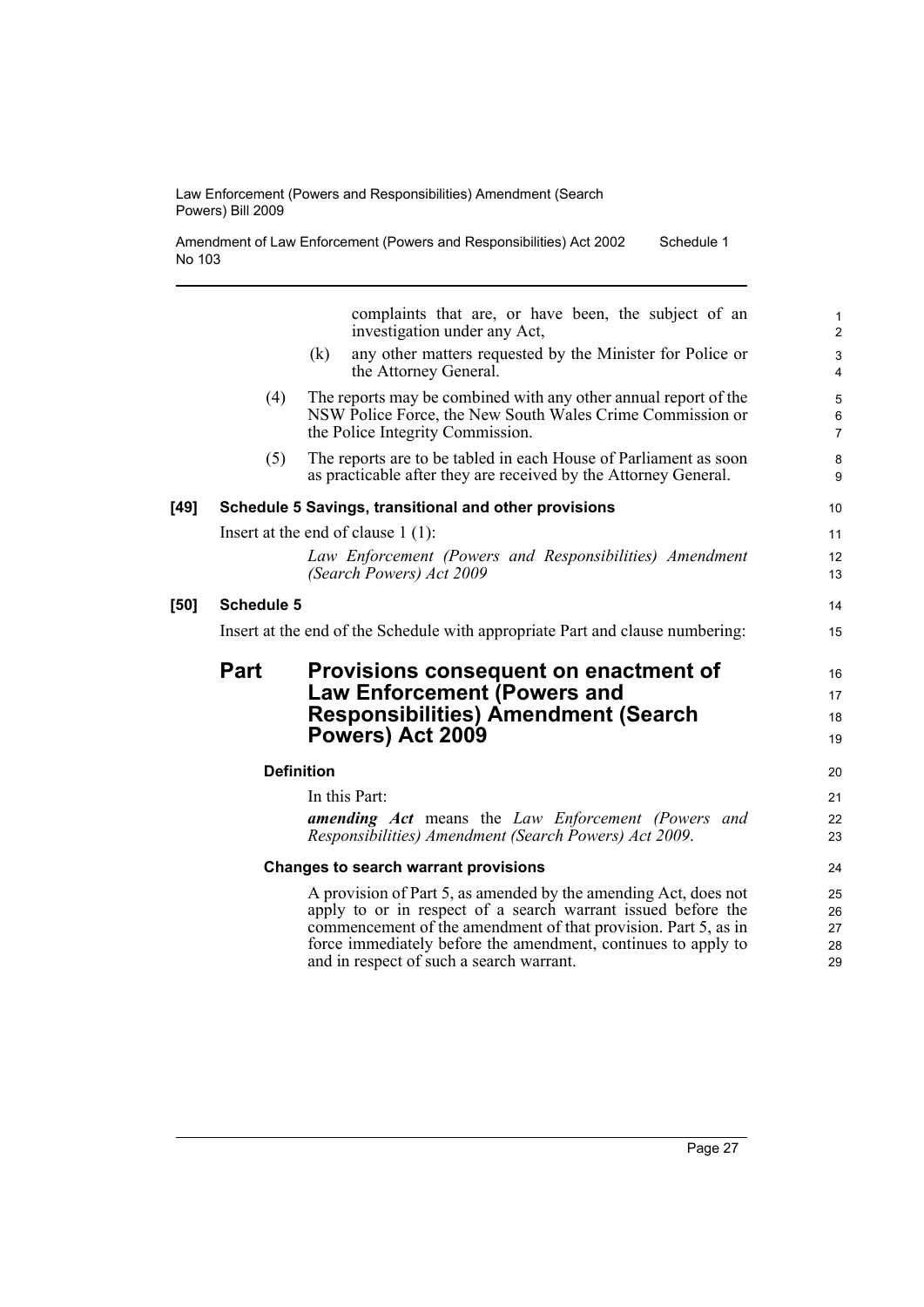| Amendment of Law Enforcement (Powers and Responsibilities) Act 2002 | Schedule 1 |
|---------------------------------------------------------------------|------------|
| No 103                                                              |            |

|        |                                                                               | complaints that are, or have been, the subject of an<br>investigation under any Act,                                                                             | $\mathbf{1}$<br>$\overline{2}$              |
|--------|-------------------------------------------------------------------------------|------------------------------------------------------------------------------------------------------------------------------------------------------------------|---------------------------------------------|
|        |                                                                               | any other matters requested by the Minister for Police or<br>(k)<br>the Attorney General.                                                                        | $\ensuremath{\mathsf{3}}$<br>$\overline{4}$ |
|        | (4)                                                                           | The reports may be combined with any other annual report of the<br>NSW Police Force, the New South Wales Crime Commission or<br>the Police Integrity Commission. | 5<br>$\,6\,$<br>$\overline{7}$              |
|        | (5)                                                                           | The reports are to be tabled in each House of Parliament as soon<br>as practicable after they are received by the Attorney General.                              | 8<br>9                                      |
| $[49]$ |                                                                               | Schedule 5 Savings, transitional and other provisions                                                                                                            | 10                                          |
|        | Insert at the end of clause $1(1)$ :                                          |                                                                                                                                                                  |                                             |
|        |                                                                               | Law Enforcement (Powers and Responsibilities) Amendment<br>(Search Powers) Act 2009                                                                              | 12<br>13                                    |
| $[50]$ | <b>Schedule 5</b>                                                             |                                                                                                                                                                  |                                             |
|        | Insert at the end of the Schedule with appropriate Part and clause numbering: |                                                                                                                                                                  |                                             |
|        | Part                                                                          | Provisions consequent on enactment of                                                                                                                            | 16                                          |
|        |                                                                               | <b>Law Enforcement (Powers and</b>                                                                                                                               | 17                                          |
|        |                                                                               | <b>Responsibilities) Amendment (Search</b><br>Powers) Act 2009                                                                                                   | 18<br>19                                    |
|        |                                                                               | <b>Definition</b>                                                                                                                                                | 20                                          |
|        |                                                                               | In this Part:                                                                                                                                                    | 21                                          |
|        |                                                                               | <b>amending Act</b> means the Law Enforcement (Powers and<br>Responsibilities) Amendment (Search Powers) Act 2009.                                               | 22<br>23                                    |
|        |                                                                               | Changes to search warrant provisions                                                                                                                             | 24                                          |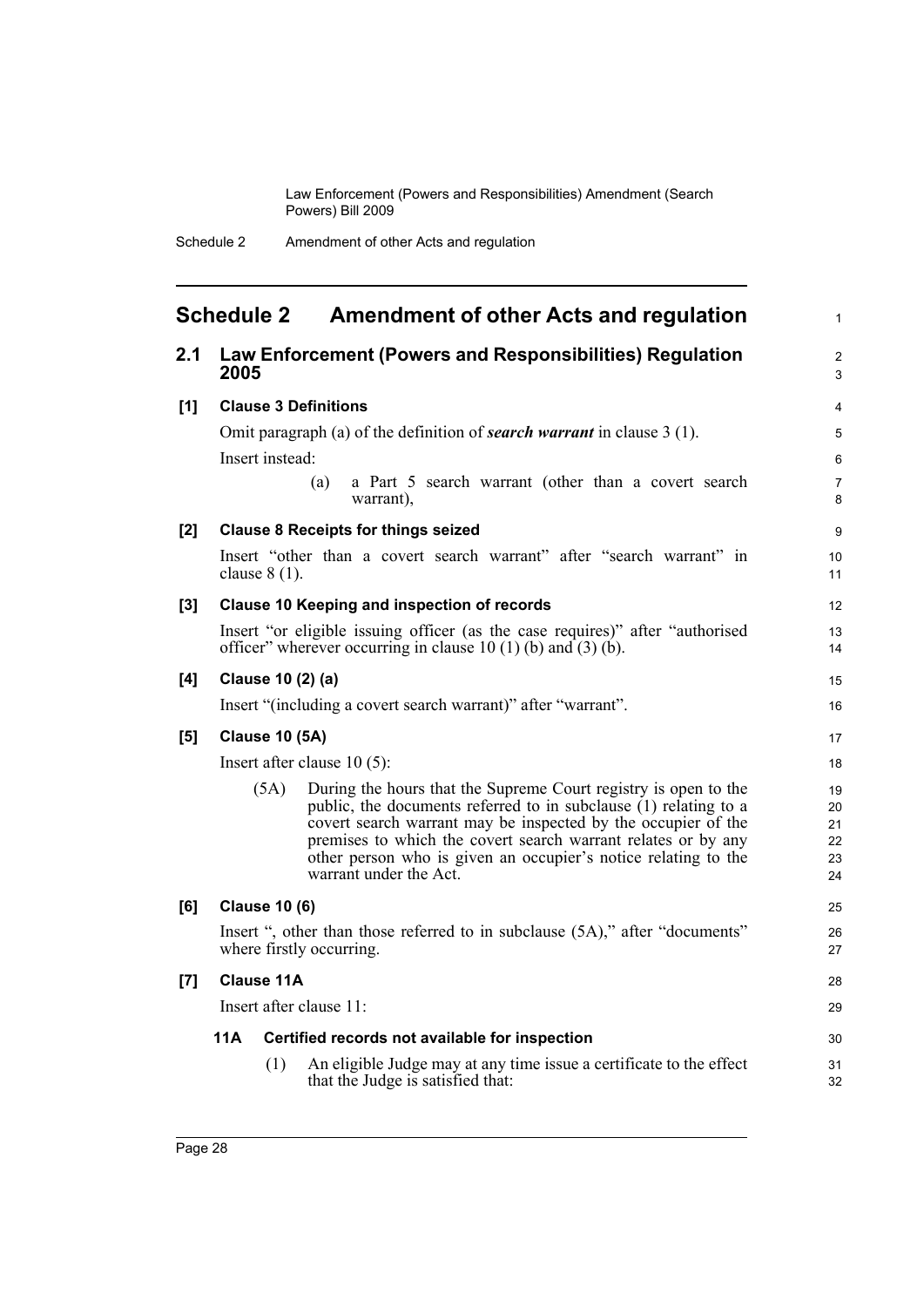1

## <span id="page-35-0"></span>**Schedule 2 Amendment of other Acts and regulation**

| 2.1   | 2005                                                                                                                                           |                 | Law Enforcement (Powers and Responsibilities) Regulation                                                                                                                                                                                                                                                                                                            | $\overline{2}$<br>3              |
|-------|------------------------------------------------------------------------------------------------------------------------------------------------|-----------------|---------------------------------------------------------------------------------------------------------------------------------------------------------------------------------------------------------------------------------------------------------------------------------------------------------------------------------------------------------------------|----------------------------------|
| [1]   | <b>Clause 3 Definitions</b>                                                                                                                    |                 |                                                                                                                                                                                                                                                                                                                                                                     | 4                                |
|       |                                                                                                                                                |                 | Omit paragraph (a) of the definition of <b>search warrant</b> in clause $3(1)$ .                                                                                                                                                                                                                                                                                    | 5                                |
|       |                                                                                                                                                | Insert instead: |                                                                                                                                                                                                                                                                                                                                                                     | 6                                |
|       |                                                                                                                                                |                 | a Part 5 search warrant (other than a covert search<br>(a)<br>warrant),                                                                                                                                                                                                                                                                                             | $\overline{7}$<br>8              |
| [2]   | <b>Clause 8 Receipts for things seized</b>                                                                                                     |                 |                                                                                                                                                                                                                                                                                                                                                                     | 9                                |
|       |                                                                                                                                                | clause $8(1)$ . | Insert "other than a covert search warrant" after "search warrant" in                                                                                                                                                                                                                                                                                               | 10<br>11                         |
| $[3]$ | Clause 10 Keeping and inspection of records                                                                                                    |                 |                                                                                                                                                                                                                                                                                                                                                                     | 12                               |
|       | Insert "or eligible issuing officer (as the case requires)" after "authorised<br>officer" wherever occurring in clause 10 (1) (b) and (3) (b). |                 |                                                                                                                                                                                                                                                                                                                                                                     | 13<br>14                         |
| [4]   | Clause 10 (2) (a)                                                                                                                              |                 |                                                                                                                                                                                                                                                                                                                                                                     | 15                               |
|       | Insert "(including a covert search warrant)" after "warrant".                                                                                  |                 |                                                                                                                                                                                                                                                                                                                                                                     | 16                               |
| [5]   | <b>Clause 10 (5A)</b>                                                                                                                          |                 |                                                                                                                                                                                                                                                                                                                                                                     | 17                               |
|       | Insert after clause $10(5)$ :                                                                                                                  |                 |                                                                                                                                                                                                                                                                                                                                                                     | 18                               |
|       |                                                                                                                                                | (5A)            | During the hours that the Supreme Court registry is open to the<br>public, the documents referred to in subclause $(1)$ relating to a<br>covert search warrant may be inspected by the occupier of the<br>premises to which the covert search warrant relates or by any<br>other person who is given an occupier's notice relating to the<br>warrant under the Act. | 19<br>20<br>21<br>22<br>23<br>24 |
| [6]   | <b>Clause 10 (6)</b>                                                                                                                           |                 |                                                                                                                                                                                                                                                                                                                                                                     | 25                               |
|       | Insert ", other than those referred to in subclause (5A)," after "documents"<br>where firstly occurring.                                       |                 |                                                                                                                                                                                                                                                                                                                                                                     | 26<br>27                         |
| [7]   | <b>Clause 11A</b>                                                                                                                              |                 |                                                                                                                                                                                                                                                                                                                                                                     | 28                               |
|       | Insert after clause 11:                                                                                                                        |                 |                                                                                                                                                                                                                                                                                                                                                                     |                                  |
|       | 11A<br>Certified records not available for inspection                                                                                          |                 |                                                                                                                                                                                                                                                                                                                                                                     | 30                               |
|       |                                                                                                                                                | (1)             | An eligible Judge may at any time issue a certificate to the effect<br>that the Judge is satisfied that:                                                                                                                                                                                                                                                            | 31<br>32                         |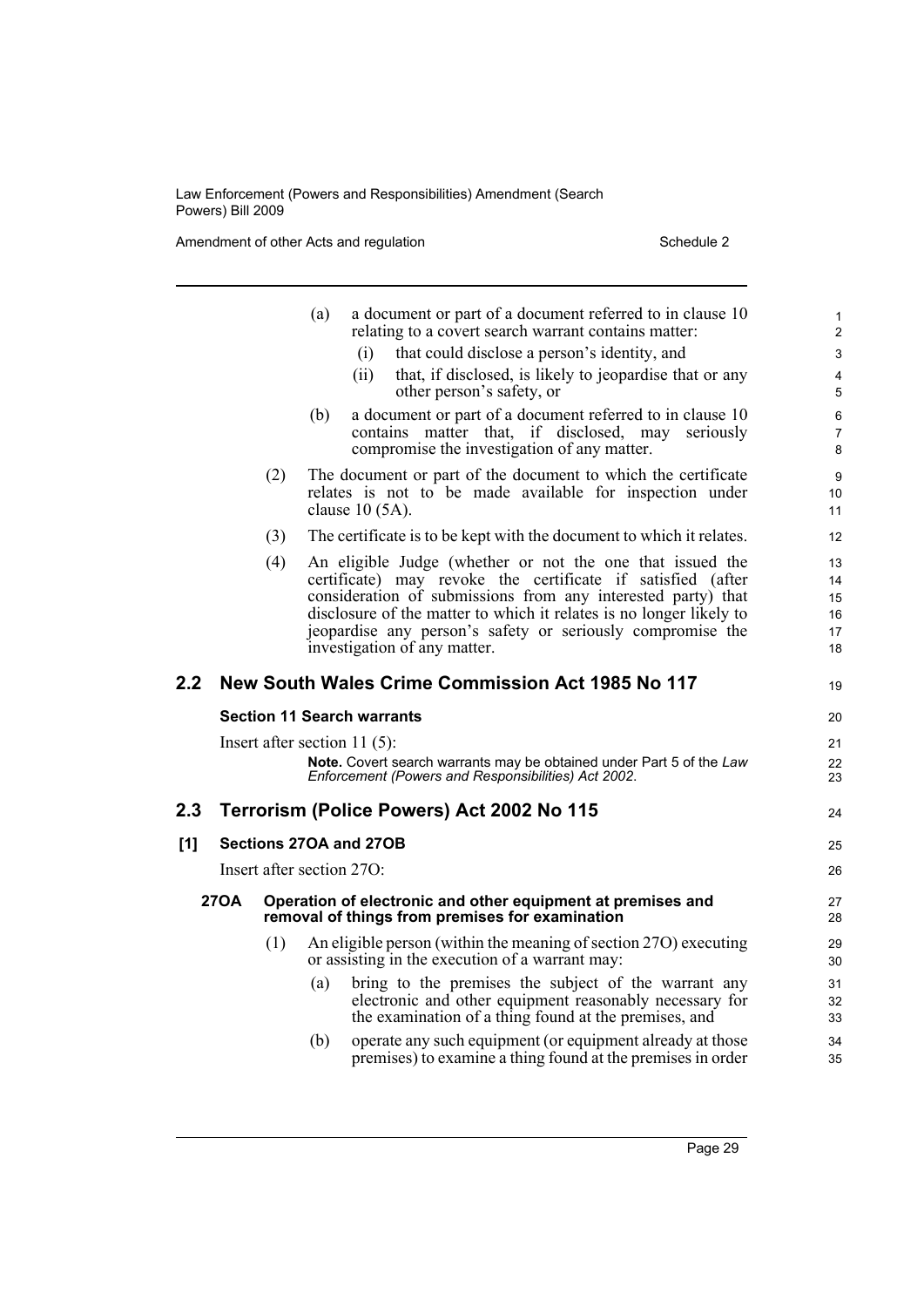Amendment of other Acts and regulation Schedule 2

|     |                                                                                                                               |     | (a) |                              | a document or part of a document referred to in clause 10<br>relating to a covert search warrant contains matter:                                                                                                                                                                                                             | $\mathbf{1}$<br>$\overline{2}$   |
|-----|-------------------------------------------------------------------------------------------------------------------------------|-----|-----|------------------------------|-------------------------------------------------------------------------------------------------------------------------------------------------------------------------------------------------------------------------------------------------------------------------------------------------------------------------------|----------------------------------|
|     |                                                                                                                               |     |     | (i)                          | that could disclose a person's identity, and                                                                                                                                                                                                                                                                                  | 3                                |
|     |                                                                                                                               |     |     | (ii)                         | that, if disclosed, is likely to jeopardise that or any<br>other person's safety, or                                                                                                                                                                                                                                          | 4<br>5                           |
|     |                                                                                                                               |     | (b) |                              | a document or part of a document referred to in clause 10<br>contains matter that, if disclosed, may seriously<br>compromise the investigation of any matter.                                                                                                                                                                 | 6<br>$\overline{7}$<br>8         |
|     |                                                                                                                               | (2) |     | clause $10(5A)$ .            | The document or part of the document to which the certificate<br>relates is not to be made available for inspection under                                                                                                                                                                                                     | 9<br>10<br>11                    |
|     | (3)<br>The certificate is to be kept with the document to which it relates.                                                   |     |     |                              | 12                                                                                                                                                                                                                                                                                                                            |                                  |
|     |                                                                                                                               | (4) |     | investigation of any matter. | An eligible Judge (whether or not the one that issued the<br>certificate) may revoke the certificate if satisfied (after<br>consideration of submissions from any interested party) that<br>disclosure of the matter to which it relates is no longer likely to<br>jeopardise any person's safety or seriously compromise the | 13<br>14<br>15<br>16<br>17<br>18 |
| 2.2 |                                                                                                                               |     |     |                              | New South Wales Crime Commission Act 1985 No 117                                                                                                                                                                                                                                                                              | 19                               |
|     | <b>Section 11 Search warrants</b>                                                                                             |     |     |                              |                                                                                                                                                                                                                                                                                                                               | 20                               |
|     | Insert after section 11 $(5)$ :                                                                                               |     |     |                              |                                                                                                                                                                                                                                                                                                                               | 21                               |
|     |                                                                                                                               |     |     |                              | Note. Covert search warrants may be obtained under Part 5 of the Law<br>Enforcement (Powers and Responsibilities) Act 2002.                                                                                                                                                                                                   | 22<br>23                         |
| 2.3 | Terrorism (Police Powers) Act 2002 No 115                                                                                     |     |     | 24                           |                                                                                                                                                                                                                                                                                                                               |                                  |
| [1] | Sections 27OA and 27OB                                                                                                        |     |     |                              | 25                                                                                                                                                                                                                                                                                                                            |                                  |
|     | Insert after section 270:                                                                                                     |     |     |                              |                                                                                                                                                                                                                                                                                                                               | 26                               |
|     | <b>270A</b><br>Operation of electronic and other equipment at premises and<br>removal of things from premises for examination |     |     |                              |                                                                                                                                                                                                                                                                                                                               | 27<br>28                         |
|     |                                                                                                                               | (1) |     |                              | An eligible person (within the meaning of section 27O) executing<br>or assisting in the execution of a warrant may:                                                                                                                                                                                                           | 29<br>30                         |
|     |                                                                                                                               |     | (a) |                              | bring to the premises the subject of the warrant any<br>electronic and other equipment reasonably necessary for<br>the examination of a thing found at the premises, and                                                                                                                                                      | 31<br>32<br>33                   |
|     |                                                                                                                               |     | (b) |                              | operate any such equipment (or equipment already at those<br>premises) to examine a thing found at the premises in order                                                                                                                                                                                                      | 34<br>35                         |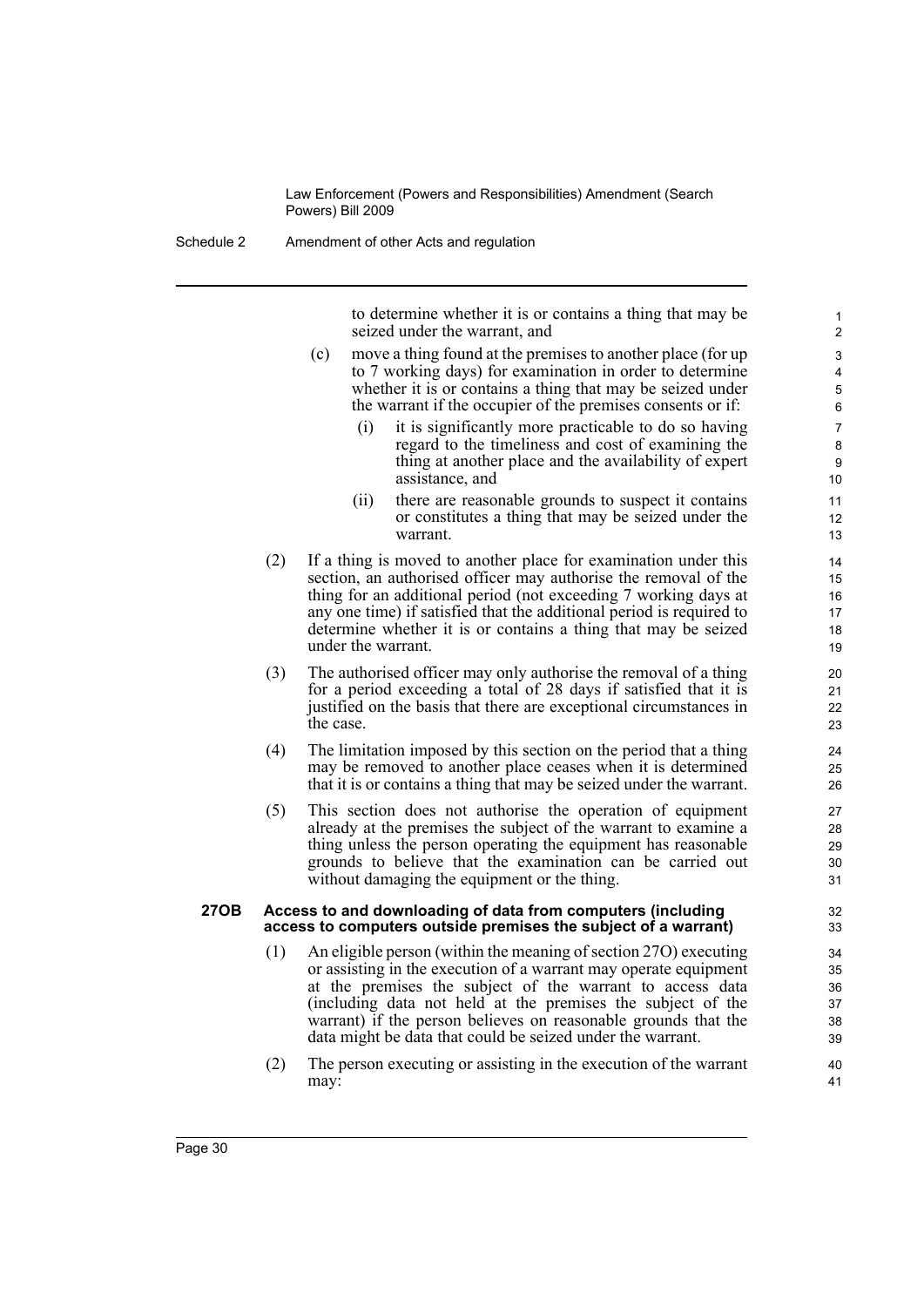Schedule 2 Amendment of other Acts and regulation

to determine whether it is or contains a thing that may be seized under the warrant, and

- (c) move a thing found at the premises to another place (for up to 7 working days) for examination in order to determine whether it is or contains a thing that may be seized under the warrant if the occupier of the premises consents or if:
	- (i) it is significantly more practicable to do so having regard to the timeliness and cost of examining the thing at another place and the availability of expert assistance, and
	- (ii) there are reasonable grounds to suspect it contains or constitutes a thing that may be seized under the warrant.
- (2) If a thing is moved to another place for examination under this section, an authorised officer may authorise the removal of the thing for an additional period (not exceeding 7 working days at any one time) if satisfied that the additional period is required to determine whether it is or contains a thing that may be seized under the warrant.
- (3) The authorised officer may only authorise the removal of a thing for a period exceeding a total of 28 days if satisfied that it is justified on the basis that there are exceptional circumstances in the case.
- (4) The limitation imposed by this section on the period that a thing may be removed to another place ceases when it is determined that it is or contains a thing that may be seized under the warrant.
- (5) This section does not authorise the operation of equipment already at the premises the subject of the warrant to examine a thing unless the person operating the equipment has reasonable grounds to believe that the examination can be carried out without damaging the equipment or the thing.

#### **27OB Access to and downloading of data from computers (including access to computers outside premises the subject of a warrant)**

- (1) An eligible person (within the meaning of section 27O) executing or assisting in the execution of a warrant may operate equipment at the premises the subject of the warrant to access data (including data not held at the premises the subject of the warrant) if the person believes on reasonable grounds that the data might be data that could be seized under the warrant.
- (2) The person executing or assisting in the execution of the warrant may: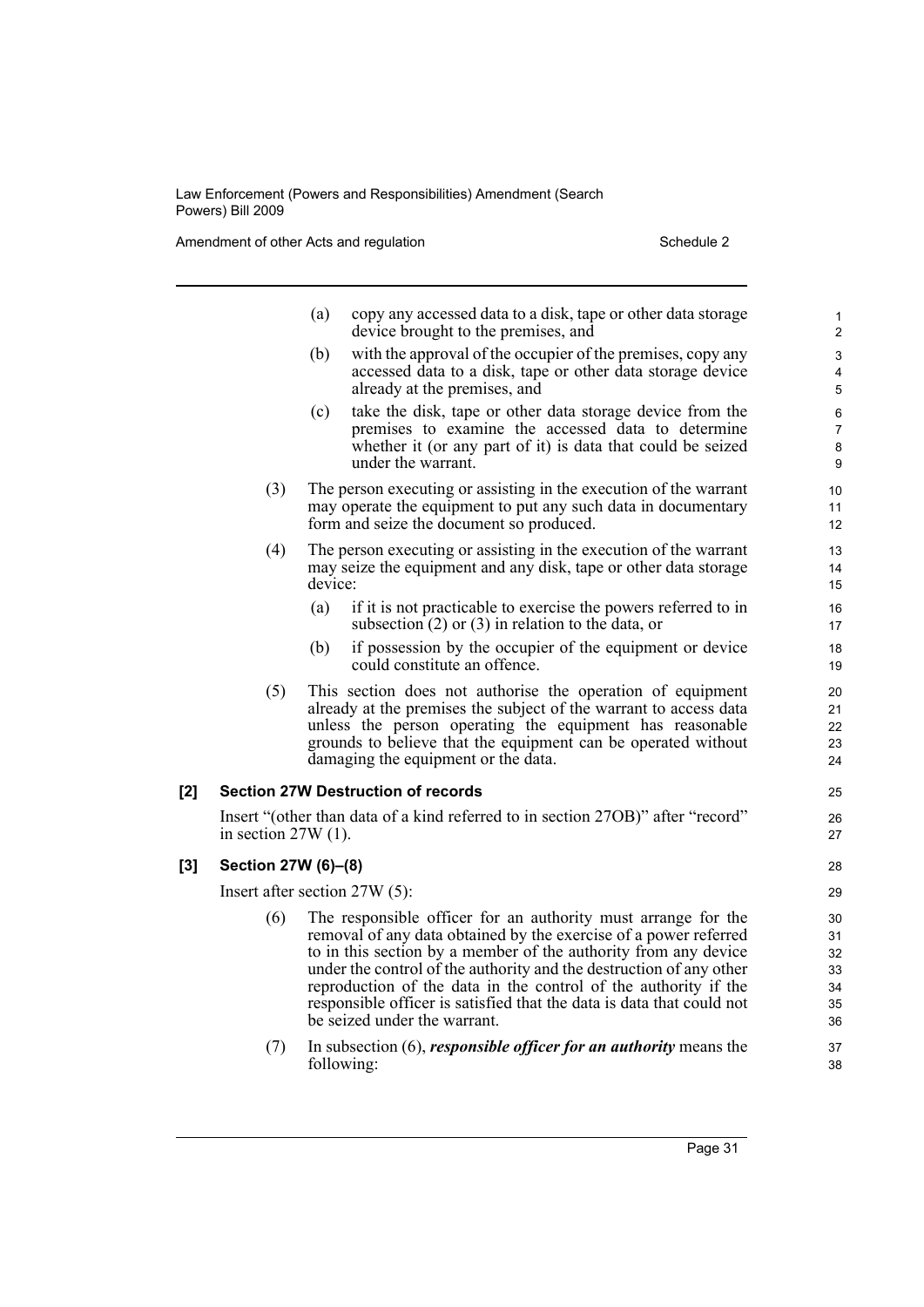Amendment of other Acts and regulation Schedule 2

- (a) copy any accessed data to a disk, tape or other data storage device brought to the premises, and (b) with the approval of the occupier of the premises, copy any accessed data to a disk, tape or other data storage device already at the premises, and (c) take the disk, tape or other data storage device from the premises to examine the accessed data to determine whether it (or any part of it) is data that could be seized under the warrant. (3) The person executing or assisting in the execution of the warrant may operate the equipment to put any such data in documentary form and seize the document so produced. (4) The person executing or assisting in the execution of the warrant may seize the equipment and any disk, tape or other data storage device: (a) if it is not practicable to exercise the powers referred to in subsection (2) or (3) in relation to the data, or (b) if possession by the occupier of the equipment or device could constitute an offence. (5) This section does not authorise the operation of equipment already at the premises the subject of the warrant to access data unless the person operating the equipment has reasonable grounds to believe that the equipment can be operated without damaging the equipment or the data. **[2] Section 27W Destruction of records** Insert "(other than data of a kind referred to in section 27OB)" after "record" in section 27W (1). **[3] Section 27W (6)–(8)** Insert after section 27W (5): (6) The responsible officer for an authority must arrange for the removal of any data obtained by the exercise of a power referred to in this section by a member of the authority from any device under the control of the authority and the destruction of any other reproduction of the data in the control of the authority if the responsible officer is satisfied that the data is data that could not be seized under the warrant. 1 2 3 4 5 6 7 8 9  $10$ 11 12 13 14 15 16 17 18 19 20 21 22 23  $24$ 25 26 27 28 29 30 31 32 33  $34$ 35 36 37
	- (7) In subsection (6), *responsible officer for an authority* means the following:
		- Page 31